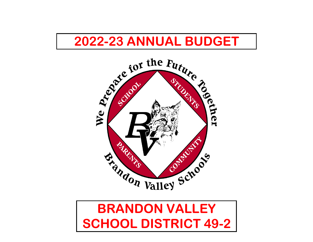



# **SCHOOL DISTRICT 49-2**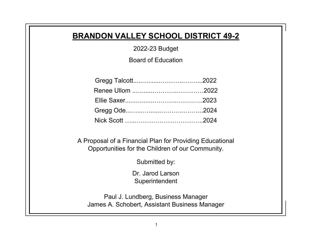## **BRANDON VALLEY SCHOOL DISTRICT 49-2**

2022-23 Budget

Board of Education

A Proposal of a Financial Plan for Providing Educational Opportunities for the Children of our Community.

Submitted by:

Dr. Jarod Larson **Superintendent** 

Paul J. Lundberg, Business Manager James A. Schobert, Assistant Business Manager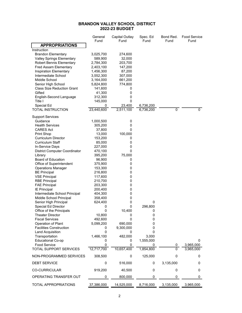### **BRANDON VALLEY SCHOOL DISTRICT 2022-23 BUDGET**

|                                            | General<br>Fund | Capital Outlay<br>Fund | Spec. Ed<br>Fund | Bond Red.     | <b>Food Service</b> |
|--------------------------------------------|-----------------|------------------------|------------------|---------------|---------------------|
| <b>APPROPRIATIONS</b>                      |                 |                        |                  | Fund          | Fund                |
| Instruction                                |                 |                        |                  |               |                     |
| <b>Brandon Elementary</b>                  | 3,025,700       | 274,600                |                  |               |                     |
| <b>Valley Springs Elementary</b>           | 589,900         | 32,000                 |                  |               |                     |
| <b>Robert Bennis Elementary</b>            | 2,784,300       | 203,700                |                  |               |                     |
| <b>Fred Assam Elementary</b>               | 2,403,100       | 147,200                |                  |               |                     |
| Inspiration Elementary                     | 1,456,300       | 87,200                 |                  |               |                     |
| Intermediate School                        | 3,552,300       | 307,000                |                  |               |                     |
| Middle School                              | 3,164,000       | 661,200                |                  |               |                     |
| Senior High School                         | 5,824,800       | 774,800                |                  |               |                     |
| <b>Class Size Reduction Grant</b>          | 141,600         | 0                      |                  |               |                     |
| Gifted                                     | 41,300          | 0                      |                  |               |                     |
| English-Second Language                    | 312,300         | 0                      |                  |               |                     |
| Title I                                    | 145,000         | 0                      |                  |               |                     |
| Special Ed                                 | 0               | 23,400                 | 6,736,200        |               |                     |
| TOTAL INSTRUCTION                          | 23,440,600      | 2,511,100              | 6,736,200        | 0             | 0                   |
| <b>Support Services</b>                    |                 |                        |                  |               |                     |
| Guidance                                   | 1,000,500       | 0                      |                  |               |                     |
| <b>Health Services</b>                     | 305,200         | 0                      |                  |               |                     |
| CARES Act                                  | 37,800          | 0                      |                  |               |                     |
| Print Shop                                 | 13,000          | 100,000                |                  |               |                     |
| <b>Curriculum Director</b>                 | 153,200         | 0                      |                  |               |                     |
| <b>Curriculum Staff</b>                    | 85,000          | 0                      |                  |               |                     |
| In-Service Days                            | 227,000         | 0                      |                  |               |                     |
| <b>District Computer Coordinator</b>       | 470,100         | 0                      |                  |               |                     |
| Library                                    | 395,200         | 75,000                 |                  |               |                     |
| Board of Education                         | 96,900          | 0                      |                  |               |                     |
| Office of Superintendent                   | 375,900         | 0                      |                  |               |                     |
| <b>Operations Manager</b>                  | 153,300         | 0                      |                  |               |                     |
| <b>BE Principal</b>                        | 216,800         | 0                      |                  |               |                     |
| <b>VSE Principal</b>                       | 117,600         | 0                      |                  |               |                     |
| <b>RBE Principal</b>                       | 210,700         | 0                      |                  |               |                     |
| <b>FAE Principal</b>                       | 203,300         | 0                      |                  |               |                     |
| <b>IE Principal</b>                        | 200,400         | 0                      |                  |               |                     |
| Intermediate School Principal              | 404,300         | 0                      |                  |               |                     |
| Middle School Principal                    | 358,400         | 0                      |                  |               |                     |
| Senior High Principal                      | 624,400         | 0                      | 0                |               |                     |
| Special Ed Director                        | 0               | 0                      | 296,800          |               |                     |
| Office of the Principals                   | 0               | 10,400                 | 0                |               |                     |
| <b>Theater Director</b>                    | 10,800          | 0                      | 0                |               |                     |
| <b>Fiscal Services</b>                     | 492,600         | 0                      | 0                |               |                     |
| Operation of Plant                         | 5,099,200       | 690,000                | 0                |               |                     |
| <b>Facilities Construction</b>             | 0               | 9,300,000              | 0                |               |                     |
| Land Acquisition                           | $\pmb{0}$       | 0                      | 0<br>3,000       |               |                     |
| Transportation<br><b>Educational Co-op</b> | 1,466,100       | 482,000                | 1,555,000        |               | 0                   |
| <b>Food Service</b>                        | 0<br>0          | 0<br>0                 | 0                |               | 3,965,000           |
| <b>TOTAL SUPPORT SERVICES</b>              | 12,717,700      | 10,657,400             | 1,854,800        | 0<br>$\Omega$ | 3,965,000           |
|                                            |                 |                        |                  |               |                     |
| NON-PROGRAMMED SERVICES                    | 308,500         | 0                      | 125,000          | 0             | 0                   |
| <b>DEBT SERVICE</b>                        | 0               | 516,000                | 0                | 3,135,000     | 0                   |
| <b>CO-CURRICULAR</b>                       | 919,200         | 40,500                 | 0                | 0             | 0                   |
| OPERATING TRANSFER OUT                     | 0               | 800,000                | 0                | 0             | 0                   |
| TOTAL APPROPRIATIONS                       | 37,386,000      | 14,525,000             | 8,716,000        | 3,135,000     | 3,965,000           |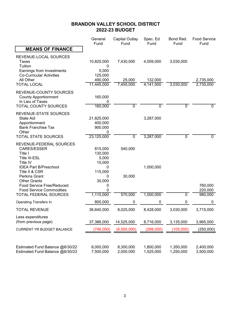### **BRANDON VALLEY SCHOOL DISTRICT 2022-23 BUDGET**

|                                                                                                                                                                                                                                                        | General<br>Fund                                                                | <b>Capital Outlay</b><br>Fund | Spec. Ed<br>Fund       | Bond Red.<br>Fund      | <b>Food Service</b><br>Fund |
|--------------------------------------------------------------------------------------------------------------------------------------------------------------------------------------------------------------------------------------------------------|--------------------------------------------------------------------------------|-------------------------------|------------------------|------------------------|-----------------------------|
| <b>MEANS OF FINANCE</b>                                                                                                                                                                                                                                |                                                                                |                               |                        |                        |                             |
| REVENUE-LOCAL SOURCES<br>Taxes<br>Tuition<br>Earnings from Investments<br><b>Co-Curricular Activities</b><br>All Other                                                                                                                                 | 10,825,000<br>0<br>5,000<br>125,000<br>490,000                                 | 7,430,000<br>25,000           | 4,009,000<br>132,000   | 3,030,000              | 2,735,000                   |
| <b>TOTAL LOCAL</b>                                                                                                                                                                                                                                     | 11,445,000                                                                     | 7,455,000                     | 4,141,000              | 3,030,000              | 2,735,000                   |
| REVENUE-COUNTY SOURCES<br><b>County Apportionment</b><br>In Lieu of Taxes<br><b>TOTAL COUNTY SOURCES</b>                                                                                                                                               | 160,000<br>0<br>160,000                                                        | $\overline{0}$                | $\overline{0}$         | $\overline{0}$         | $\mathbf{0}$                |
| REVENUE-STATE SOURCES<br><b>State Aid</b><br>Apportionment<br><b>Bank Franchise Tax</b><br>Other<br>TOTAL STATE SOURCES                                                                                                                                | 21,825,000<br>400,000<br>900,000<br>0<br>23,125,000                            | $\overline{0}$                | 3,287,000<br>3,287,000 | $\overline{0}$         | $\overline{0}$              |
| REVENUE-FEDERAL SOURCES<br>CARES/ESSER<br>Title I<br><b>Title III-ESL</b><br>Title IV<br><b>IDEA Part B/Preschool</b><br>Title II & CSR<br>Perkins Grant<br><b>Other Grants</b><br><b>Food Service Free/Reduced</b><br><b>Food Service Commodities</b> | 815,000<br>130,000<br>5,000<br>15,000<br>0<br>115,000<br>0<br>30,000<br>0<br>0 | 540,000<br>30,000             | 1,000,000              |                        | 760,000<br>220,000          |
| <b>TOTAL FEDERAL SOURCES</b>                                                                                                                                                                                                                           | 1,110,000                                                                      | 570,000                       | 1,000,000              | $\overline{0}$         | 980,000                     |
| <b>Operating Transfers In</b>                                                                                                                                                                                                                          | 800,000                                                                        | $\pmb{0}$                     | 0                      | $\pmb{0}$              | 0                           |
| <b>TOTAL REVENUE</b>                                                                                                                                                                                                                                   | 36,640,000                                                                     | 8,025,000                     | 8,428,000              | 3,030,000              | 3,715,000                   |
| Less expenditures<br>(from previous page)                                                                                                                                                                                                              | 37,386,000                                                                     | 14,525,000                    | 8,716,000              | 3,135,000              | 3,965,000                   |
| <b>CURRENT YR BUDGET BALANCE</b>                                                                                                                                                                                                                       | (746,000)                                                                      | (6,500,000)                   | (288,000)              | (105,000)              | (250,000)                   |
| Estimated Fund Balance @6/30/22<br>Estimated Fund Balance @6/30/23                                                                                                                                                                                     | 8,000,000<br>7,500,000                                                         | 8,300,000<br>2,000,000        | 1,800,000<br>1,525,000 | 1,350,000<br>1,250,000 | 2,400,000<br>3,500,000      |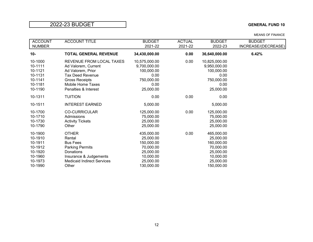| <b>ACCOUNT</b>                                                                       | <b>ACCOUNT TITLE</b>                                                                                                                                                  | <b>BUDGET</b>                                                                                           | <b>ACTUAL</b> | <b>BUDGET</b>                                                                                           | <b>BUDGET</b>       |
|--------------------------------------------------------------------------------------|-----------------------------------------------------------------------------------------------------------------------------------------------------------------------|---------------------------------------------------------------------------------------------------------|---------------|---------------------------------------------------------------------------------------------------------|---------------------|
| <b>NUMBER</b>                                                                        |                                                                                                                                                                       | 2021-22                                                                                                 | 2021-22       | 2022-23                                                                                                 | INCREASE/(DECREASE) |
| $10 -$                                                                               | <b>TOTAL GENERAL REVENUE</b>                                                                                                                                          | 34,430,000.00                                                                                           | 0.00          | 36,640,000.00                                                                                           | 6.42%               |
| 10-1000<br>10-1111<br>10-1121<br>10-1131<br>10-1141<br>10-1181<br>10-1190            | REVENUE FROM LOCAL TAXES<br>Ad Valorem, Current<br>Ad Valorem, Prior<br><b>Tax Deed Revenue</b><br><b>Gross Receipts</b><br>Mobile Home Taxes<br>Penalties & Interest | 10,575,000.00<br>9,700,000.00<br>100,000.00<br>0.00<br>750,000.00<br>0.00<br>25,000.00                  | 0.00          | 10,825,000.00<br>9,950,000.00<br>100,000.00<br>0.00<br>750,000.00<br>0.00<br>25,000.00                  |                     |
| 10-1311<br>10-1511                                                                   | <b>TUITION</b><br><b>INTEREST EARNED</b>                                                                                                                              | 0.00<br>5,000.00                                                                                        | 0.00          | 0.00<br>5,000.00                                                                                        |                     |
| 10-1700<br>10-1710<br>10-1730<br>10-1790                                             | <b>CO-CURRICULAR</b><br>Admissions<br><b>Activity Tickets</b><br>Other                                                                                                | 125,000.00<br>75,000.00<br>25,000.00<br>25,000.00                                                       | 0.00          | 125,000.00<br>75,000.00<br>25,000.00<br>25,000.00                                                       |                     |
| 10-1900<br>10-1910<br>10-1911<br>10-1912<br>10-1920<br>10-1960<br>10-1973<br>10-1990 | <b>OTHER</b><br>Rental<br><b>Bus Fees</b><br><b>Parking Permits</b><br>Donations<br>Insurance & Judgements<br><b>Medicaid Indirect Services</b><br>Other              | 435,000.00<br>25,000.00<br>150,000.00<br>70,000.00<br>25,000.00<br>10,000.00<br>25,000.00<br>130,000.00 | 0.00          | 465,000.00<br>25,000.00<br>160,000.00<br>70,000.00<br>25,000.00<br>10,000.00<br>25,000.00<br>150,000.00 |                     |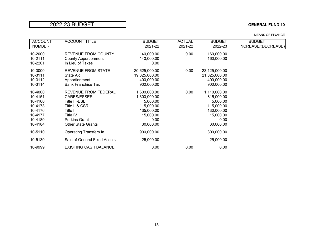| <b>ACCOUNT</b>                                                                       | <b>ACCOUNT TITLE</b>                                                                                                                                      | <b>BUDGET</b>                                                                                          | <b>ACTUAL</b> | <b>BUDGET</b>                                                                                        | <b>BUDGET</b>       |
|--------------------------------------------------------------------------------------|-----------------------------------------------------------------------------------------------------------------------------------------------------------|--------------------------------------------------------------------------------------------------------|---------------|------------------------------------------------------------------------------------------------------|---------------------|
| <b>NUMBER</b>                                                                        |                                                                                                                                                           | 2021-22                                                                                                | 2021-22       | 2022-23                                                                                              | INCREASE/(DECREASE) |
| 10-2000<br>10-2111<br>10-2201                                                        | <b>REVENUE FROM COUNTY</b><br><b>County Apportionment</b><br>In Lieu of Taxes                                                                             | 140,000.00<br>140,000.00<br>0.00                                                                       | 0.00          | 160,000.00<br>160,000.00                                                                             |                     |
| 10-3000<br>10-3111<br>10-3112<br>10-3114                                             | <b>REVENUE FROM STATE</b><br>State Aid<br>Apportionment<br><b>Bank Franchise Tax</b>                                                                      | 20,625,000.00<br>19,325,000.00<br>400,000.00<br>900,000.00                                             | 0.00          | 23,125,000.00<br>21,825,000.00<br>400,000.00<br>900,000.00                                           |                     |
| 10-4000<br>10-4151<br>10-4160<br>10-4173<br>10-4176<br>10-4177<br>10-4180<br>10-4184 | REVENUE FROM FEDERAL<br><b>CARES/ESSER</b><br>Title III-ESL<br>Title II & CSR<br>Title I<br>Title IV<br><b>Perkins Grant</b><br><b>Other State Grants</b> | 1,600,000.00<br>1,300,000.00<br>5,000.00<br>115,000.00<br>135,000.00<br>15,000.00<br>0.00<br>30,000.00 | 0.00          | 1,110,000.00<br>815,000.00<br>5,000.00<br>115,000.00<br>130,000.00<br>15,000.00<br>0.00<br>30,000.00 |                     |
| 10-5110                                                                              | <b>Operating Transfers In</b>                                                                                                                             | 900,000.00                                                                                             |               | 800,000.00                                                                                           |                     |
| 10-5130                                                                              | Sale of General Fixed Assets                                                                                                                              | 25,000.00                                                                                              |               | 25,000.00                                                                                            |                     |
| 10-9999                                                                              | <b>EXISTING CASH BALANCE</b>                                                                                                                              | 0.00                                                                                                   | 0.00          | 0.00                                                                                                 |                     |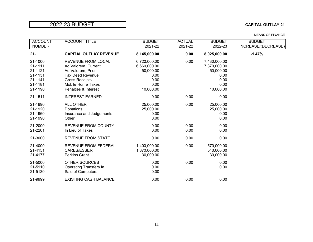### 2022-23 BUDGET **CAPITAL OUTLAY 21**

| <b>ACCOUNT</b><br><b>NUMBER</b>                                           | <b>ACCOUNT TITLE</b>                                                                                                                                                          | <b>BUDGET</b><br>2021-22                                                       | <b>ACTUAL</b><br>2021-22 | <b>BUDGET</b><br>2022-23                                                       | <b>BUDGET</b><br>INCREASE/(DECREASE) |
|---------------------------------------------------------------------------|-------------------------------------------------------------------------------------------------------------------------------------------------------------------------------|--------------------------------------------------------------------------------|--------------------------|--------------------------------------------------------------------------------|--------------------------------------|
| $21 -$                                                                    | <b>CAPITAL OUTLAY REVENUE</b>                                                                                                                                                 | 8,145,000.00                                                                   | 0.00                     | 8,025,000.00                                                                   | $-1.47%$                             |
| 21-1000<br>21-1111<br>21-1121<br>21-1131<br>21-1141<br>21-1181<br>21-1190 | <b>REVENUE FROM LOCAL</b><br>Ad Valorem, Current<br>Ad Valorem, Prior<br><b>Tax Deed Revenue</b><br><b>Gross Receipts</b><br><b>Mobile Home Taxes</b><br>Penalties & Interest | 6,720,000.00<br>6,660,000.00<br>50,000.00<br>0.00<br>0.00<br>0.00<br>10,000.00 | 0.00                     | 7,430,000.00<br>7,370,000.00<br>50,000.00<br>0.00<br>0.00<br>0.00<br>10,000.00 |                                      |
| 21-1511                                                                   | <b>INTEREST EARNED</b>                                                                                                                                                        | 0.00                                                                           | 0.00                     | 0.00                                                                           |                                      |
| 21-1990<br>21-1920<br>21-1960<br>21-1990                                  | <b>ALL OTHER</b><br>Donations<br>Insurance and Judgements<br>Other                                                                                                            | 25,000.00<br>25,000.00<br>0.00<br>0.00                                         | 0.00                     | 25,000.00<br>25,000.00<br>0.00<br>0.00                                         |                                      |
| 21-2000<br>21-2201                                                        | <b>REVENUE FROM COUNTY</b><br>In Lieu of Taxes                                                                                                                                | 0.00<br>0.00                                                                   | 0.00<br>0.00             | 0.00<br>0.00                                                                   |                                      |
| 21-3000                                                                   | <b>REVENUE FROM STATE</b>                                                                                                                                                     | 0.00                                                                           | 0.00                     | 0.00                                                                           |                                      |
| 21-4000<br>21-4151<br>21-4177                                             | <b>REVENUE FROM FEDERAL</b><br><b>CARES/ESSER</b><br><b>Perkins Grant</b>                                                                                                     | 1,400,000.00<br>1,370,000.00<br>30,000.00                                      | 0.00                     | 570,000.00<br>540,000.00<br>30,000.00                                          |                                      |
| 21-5000<br>21-5110<br>21-5130                                             | <b>OTHER SOURCES</b><br><b>Operating Transfers In</b><br>Sale of Computers                                                                                                    | 0.00<br>0.00<br>0.00                                                           | 0.00                     | 0.00<br>0.00                                                                   |                                      |
| 21-9999                                                                   | <b>EXISTING CASH BALANCE</b>                                                                                                                                                  | 0.00                                                                           | 0.00                     | 0.00                                                                           |                                      |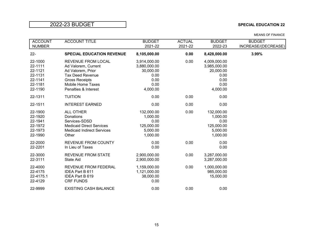### 2022-23 BUDGET **SPECIAL EDUCATION 22**

| <b>ACCOUNT</b><br><b>NUMBER</b>                                           | <b>ACCOUNT TITLE</b>                                                                                                                                                          | <b>BUDGET</b><br>2021-22                                                      | <b>ACTUAL</b><br>2021-22 | <b>BUDGET</b><br>2022-23                                                      | <b>BUDGET</b><br>INCREASE/(DECREASE) |
|---------------------------------------------------------------------------|-------------------------------------------------------------------------------------------------------------------------------------------------------------------------------|-------------------------------------------------------------------------------|--------------------------|-------------------------------------------------------------------------------|--------------------------------------|
| $22 -$                                                                    | <b>SPECIAL EDUCATION REVENUE</b>                                                                                                                                              | 8,105,000.00                                                                  | 0.00                     | 8,428,000.00                                                                  | 3.99%                                |
| 22-1000<br>22-1111<br>22-1121<br>22-1131<br>22-1141<br>22-1181<br>22-1190 | <b>REVENUE FROM LOCAL</b><br>Ad Valorem, Current<br>Ad Valorem, Prior<br><b>Tax Deed Revenue</b><br><b>Gross Receipts</b><br><b>Mobile Home Taxes</b><br>Penalties & Interest | 3,914,000.00<br>3,880,000.00<br>30,000.00<br>0.00<br>0.00<br>0.00<br>4,000.00 | 0.00                     | 4,009,000.00<br>3,985,000.00<br>20,000.00<br>0.00<br>0.00<br>0.00<br>4,000.00 |                                      |
| 22-1311                                                                   | <b>TUITION</b>                                                                                                                                                                | 0.00                                                                          | 0.00                     | 0.00                                                                          |                                      |
| 22-1511                                                                   | <b>INTEREST EARNED</b>                                                                                                                                                        | 0.00                                                                          | 0.00                     | 0.00                                                                          |                                      |
| 22-1900<br>22-1920<br>22-1941<br>22-1972<br>22-1973<br>22-1990            | ALL OTHER<br>Donations<br>Services-SDSD<br><b>Medicaid Direct Services</b><br><b>Medicaid Indirect Services</b><br>Other                                                      | 132,000.00<br>1,000.00<br>0.00<br>125,000.00<br>5,000.00<br>1,000.00          | 0.00                     | 132,000.00<br>1,000.00<br>0.00<br>125,000.00<br>5,000.00<br>1,000.00          |                                      |
| 22-2000<br>22-2201                                                        | <b>REVENUE FROM COUNTY</b><br>In Lieu of Taxes                                                                                                                                | 0.00<br>0.00                                                                  | 0.00                     | 0.00<br>0.00                                                                  |                                      |
| 22-3000<br>22-3111                                                        | <b>REVENUE FROM STATE</b><br>State Aid                                                                                                                                        | 2,900,000.00<br>2,900,000.00                                                  | 0.00                     | 3,287,000.00<br>3,287,000.00                                                  |                                      |
| 22-4000<br>22-4175<br>22-4175.1<br>22-4129                                | <b>REVENUE FROM FEDERAL</b><br><b>IDEA Part B 611</b><br>IDEA Part B 619<br><b>CRF FUNDS</b>                                                                                  | 1,159,000.00<br>1,121,000.00<br>38,000.00<br>0.00                             | 0.00                     | 1,000,000.00<br>985,000.00<br>15,000.00                                       |                                      |
| 22-9999                                                                   | <b>EXISTING CASH BALANCE</b>                                                                                                                                                  | 0.00                                                                          | 0.00                     | 0.00                                                                          |                                      |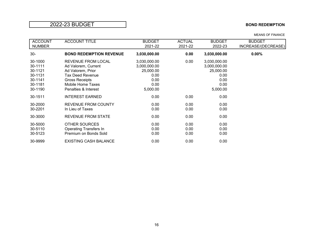### **2022-23 BUDGET BOND REDEMPTION**

| <b>ACCOUNT</b>                           | <b>ACCOUNT TITLE</b>                                                                   | <b>BUDGET</b>                             | <b>ACTUAL</b>        | <b>BUDGET</b>                             | <b>BUDGET</b>       |
|------------------------------------------|----------------------------------------------------------------------------------------|-------------------------------------------|----------------------|-------------------------------------------|---------------------|
| <b>NUMBER</b>                            |                                                                                        | 2021-22                                   | 2021-22              | 2022-23                                   | INCREASE/(DECREASE) |
| $30-$                                    | <b>BOND REDEMPTION REVENUE</b>                                                         | 3,030,000.00                              | 0.00                 | 3,030,000.00                              | $0.00\%$            |
| 30-1000<br>30-1111<br>30-1121            | REVENUE FROM LOCAL<br>Ad Valorem, Current<br>Ad Valorem, Prior                         | 3,030,000.00<br>3,000,000.00<br>25,000.00 | 0.00                 | 3,030,000.00<br>3,000,000.00<br>25,000.00 |                     |
| 30-1131<br>30-1141<br>30-1181<br>30-1190 | Tax Deed Revenue<br><b>Gross Receipts</b><br>Mobile Home Taxes<br>Penalties & Interest | 0.00<br>0.00<br>0.00<br>5,000.00          |                      | 0.00<br>0.00<br>0.00<br>5,000.00          |                     |
| 30-1511                                  | <b>INTEREST EARNED</b>                                                                 | 0.00                                      | 0.00                 | 0.00                                      |                     |
| 30-2000<br>30-2201                       | <b>REVENUE FROM COUNTY</b><br>In Lieu of Taxes                                         | 0.00<br>0.00                              | 0.00<br>0.00         | 0.00<br>0.00                              |                     |
| 30-3000                                  | REVENUE FROM STATE                                                                     | 0.00                                      | 0.00                 | 0.00                                      |                     |
| 30-5000<br>30-5110<br>30-5123            | <b>OTHER SOURCES</b><br><b>Operating Transfers In</b><br>Premium on Bonds Sold         | 0.00<br>0.00<br>0.00                      | 0.00<br>0.00<br>0.00 | 0.00<br>0.00<br>0.00                      |                     |
| 30-9999                                  | <b>EXISTING CASH BALANCE</b>                                                           | 0.00                                      | 0.00                 | 0.00                                      |                     |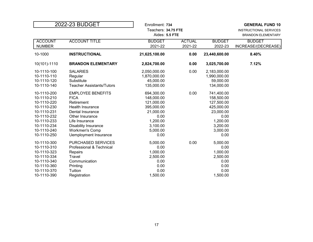|                                                                                                                                                    | 2022-23 BUDGET                                                                                                                                                                                                             | Enrollment: 734<br>Teachers: 34.75 FTE<br>Aides: 5.5 FTE                                                              |                          |                                                                                                                       | <b>GENERAL FUND 10</b><br><b>INSTRUCTIONAL SERVICES</b><br><b>BRANDON ELEMENTARY</b> |
|----------------------------------------------------------------------------------------------------------------------------------------------------|----------------------------------------------------------------------------------------------------------------------------------------------------------------------------------------------------------------------------|-----------------------------------------------------------------------------------------------------------------------|--------------------------|-----------------------------------------------------------------------------------------------------------------------|--------------------------------------------------------------------------------------|
| <b>ACCOUNT</b><br><b>NUMBER</b>                                                                                                                    | <b>ACCOUNT TITLE</b>                                                                                                                                                                                                       | <b>BUDGET</b><br>2021-22                                                                                              | <b>ACTUAL</b><br>2021-22 | <b>BUDGET</b><br>2022-23                                                                                              | <b>BUDGET</b><br>INCREASE/(DECREASE)                                                 |
| 10-1000                                                                                                                                            | <b>INSTRUCTIONAL</b>                                                                                                                                                                                                       | 21,625,100.00                                                                                                         | 0.00                     | 23,440,600.00                                                                                                         | 8.40%                                                                                |
| 10(101)-1110                                                                                                                                       | <b>BRANDON ELEMENTARY</b>                                                                                                                                                                                                  | 2,824,700.00                                                                                                          | 0.00                     | 3,025,700.00                                                                                                          | 7.12%                                                                                |
| 10-1110-100<br>10-1110-110<br>10-1110-120<br>10-1110-140                                                                                           | <b>SALARIES</b><br>Regular<br>Substitute<br><b>Teacher Assistants/Tutors</b>                                                                                                                                               | 2,050,000.00<br>1,870,000.00<br>45,000.00<br>135,000.00                                                               | 0.00                     | 2,183,000.00<br>1,990,000.00<br>59,000.00<br>134,000.00                                                               |                                                                                      |
| 10-1110-200<br>10-1110-210<br>10-1110-220<br>10-1110-230<br>10-1110-231<br>10-1110-232<br>10-1110-233<br>10-1110-234<br>10-1110-240<br>10-1110-250 | <b>EMPLOYEE BENEFITS</b><br><b>FICA</b><br>Retirement<br><b>Health Insurance</b><br>Dental Insurance<br>Other Insurance<br>Life Insurance<br><b>Disability Insurance</b><br><b>Workmen's Comp</b><br>Uemployment Insurance | 694,300.00<br>148,000.00<br>121,000.00<br>395,000.00<br>21,000.00<br>0.00<br>1,200.00<br>3,100.00<br>5,000.00<br>0.00 | 0.00                     | 741,400.00<br>158,500.00<br>127,500.00<br>425,000.00<br>23,000.00<br>0.00<br>1,200.00<br>3,200.00<br>3,000.00<br>0.00 |                                                                                      |
| 10-1110-300<br>10-1110-310<br>10-1110-323<br>10-1110-334<br>10-1110-340<br>10-1110-360<br>10-1110-370<br>10-1110-390                               | <b>PURCHASED SERVICES</b><br>Professional & Technical<br>Repairs<br>Travel<br>Communication<br>Printing<br>Tuition<br>Registration                                                                                         | 5,000.00<br>0.00<br>1,000.00<br>2,500.00<br>0.00<br>0.00<br>0.00<br>1,500.00                                          | 0.00                     | 5,000.00<br>0.00<br>1,000.00<br>2,500.00<br>0.00<br>0.00<br>0.00<br>1,500.00                                          |                                                                                      |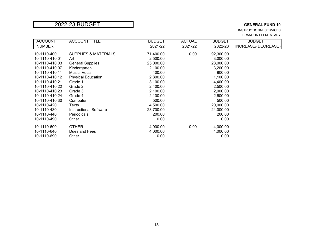INSTRUCTIONAL SERVICES BRANDON ELEMENTARY

| <b>ACCOUNT</b> | <b>ACCOUNT TITLE</b>            | <b>BUDGET</b> | <b>ACTUAL</b> | <b>BUDGET</b> | <b>BUDGET</b>       |
|----------------|---------------------------------|---------------|---------------|---------------|---------------------|
| <b>NUMBER</b>  |                                 | 2021-22       | 2021-22       | 2022-23       | INCREASE/(DECREASE) |
|                |                                 |               |               |               |                     |
| 10-1110-400    | <b>SUPPLIES &amp; MATERIALS</b> | 71,400.00     | 0.00          | 92,300.00     |                     |
| 10-1110-410.01 | Art                             | 2,500.00      |               | 3,000.00      |                     |
| 10-1110-410.03 | <b>General Supplies</b>         | 25,000.00     |               | 28,000.00     |                     |
| 10-1110-410.07 | Kindergarten                    | 2,100.00      |               | 3,200.00      |                     |
| 10-1110-410.11 | Music, Vocal                    | 400.00        |               | 800.00        |                     |
| 10-1110-410.12 | <b>Physical Education</b>       | 2,800.00      |               | 1,100.00      |                     |
| 10-1110-410.21 | Grade 1                         | 3,100.00      |               | 4,400.00      |                     |
| 10-1110-410.22 | Grade 2                         | 2,400.00      |               | 2,500.00      |                     |
| 10-1110-410.23 | Grade 3                         | 2,100.00      |               | 2,000.00      |                     |
| 10-1110-410.24 | Grade 4                         | 2,100.00      |               | 2,600.00      |                     |
| 10-1110-410.30 | Computer                        | 500.00        |               | 500.00        |                     |
| 10-1110-420    | Texts                           | 4,500.00      |               | 20,000.00     |                     |
| 10-1110-430    | <b>Instructional Software</b>   | 23,700.00     |               | 24,000.00     |                     |
| 10-1110-440    | <b>Periodicals</b>              | 200.00        |               | 200.00        |                     |
| 10-1110-490    | Other                           | 0.00          |               | 0.00          |                     |
| 10-1110-600    | <b>OTHER</b>                    | 4,000.00      | 0.00          | 4,000.00      |                     |
| 10-1110-640    | Dues and Fees                   | 4,000.00      |               | 4,000.00      |                     |
| 10-1110-690    | Other                           | 0.00          |               | 0.00          |                     |
|                |                                 |               |               |               |                     |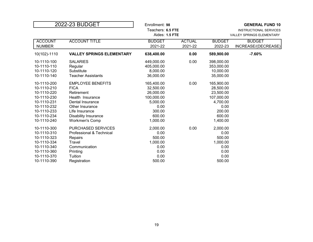| 2022-23 BUDGET                                                                                                                      |                                                                                                                                                                                            | Enrollment: 98<br>Teachers: 6.5 FTE<br>Aides: 1.5 FTE                                                  |                          |                                                                                                        | <b>GENERAL FUND 10</b><br>INSTRUCTIONAL SERVICES<br><b>VALLEY SPRINGS ELEMENTARY</b> |
|-------------------------------------------------------------------------------------------------------------------------------------|--------------------------------------------------------------------------------------------------------------------------------------------------------------------------------------------|--------------------------------------------------------------------------------------------------------|--------------------------|--------------------------------------------------------------------------------------------------------|--------------------------------------------------------------------------------------|
| <b>ACCOUNT</b><br><b>NUMBER</b>                                                                                                     | <b>ACCOUNT TITLE</b>                                                                                                                                                                       | <b>BUDGET</b><br>2021-22                                                                               | <b>ACTUAL</b><br>2021-22 | <b>BUDGET</b><br>2022-23                                                                               | <b>BUDGET</b><br>INCREASE/(DECREASE)                                                 |
| 10(102)-1110                                                                                                                        | <b>VALLEY SPRINGS ELEMENTARY</b>                                                                                                                                                           | 638,400.00                                                                                             | 0.00                     | 589,900.00                                                                                             | $-7.60%$                                                                             |
| 10-1110-100<br>10-1110-110<br>10-1110-120<br>10-1110-140                                                                            | <b>SALARIES</b><br>Regular<br>Substitute<br><b>Teacher Assistants</b>                                                                                                                      | 449,000.00<br>405,000.00<br>8,000.00<br>36,000.00                                                      | 0.00                     | 398,000.00<br>353,000.00<br>10,000.00<br>35,000.00                                                     |                                                                                      |
| 10-1110-200<br>10-1110-210<br>10-1110-220<br>10-1110-230<br>10-1110-231<br>10-1110-232<br>10-1110-233<br>10-1110-234<br>10-1110-240 | <b>EMPLOYEE BENEFITS</b><br><b>FICA</b><br>Retirement<br>Health Insurance<br>Dental Insurance<br>Other Insurance<br>Life Insurance<br><b>Disability Insurance</b><br><b>Workmen's Comp</b> | 165,400.00<br>32,500.00<br>26,000.00<br>100,000.00<br>5,000.00<br>0.00<br>300.00<br>600.00<br>1,000.00 | 0.00                     | 165,900.00<br>28,500.00<br>23,500.00<br>107,000.00<br>4,700.00<br>0.00<br>200.00<br>600.00<br>1,400.00 |                                                                                      |
| 10-1110-300<br>10-1110-310<br>10-1110-323<br>10-1110-334<br>10-1110-340<br>10-1110-360<br>10-1110-370<br>10-1110-390                | <b>PURCHASED SERVICES</b><br>Professional & Technical<br>Repairs<br>Travel<br>Communication<br>Printing<br>Tuition<br>Registration                                                         | 2,000.00<br>0.00<br>500.00<br>1,000.00<br>0.00<br>0.00<br>0.00<br>500.00                               | 0.00                     | 2,000.00<br>0.00<br>500.00<br>1,000.00<br>0.00<br>0.00<br>0.00<br>500.00                               |                                                                                      |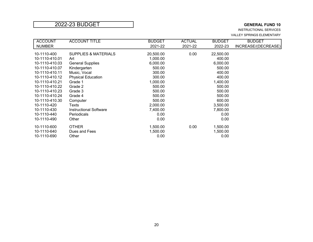INSTRUCTIONAL SERVICES VALLEY SPRINGS ELEMENTARY

| <b>ACCOUNT</b> | <b>ACCOUNT TITLE</b>            | <b>BUDGET</b> | <b>ACTUAL</b> | <b>BUDGET</b> | <b>BUDGET</b>       |
|----------------|---------------------------------|---------------|---------------|---------------|---------------------|
| <b>NUMBER</b>  |                                 | 2021-22       | 2021-22       | 2022-23       | INCREASE/(DECREASE) |
| 10-1110-400    | <b>SUPPLIES &amp; MATERIALS</b> | 20,500.00     | 0.00          | 22,500.00     |                     |
| 10-1110-410.01 | Art                             | 1,000.00      |               | 400.00        |                     |
| 10-1110-410.03 | <b>General Supplies</b>         | 6,000.00      |               | 6,000.00      |                     |
| 10-1110-410.07 | Kindergarten                    | 500.00        |               | 500.00        |                     |
| 10-1110-410.11 | Music, Vocal                    | 300.00        |               | 400.00        |                     |
| 10-1110-410.12 | <b>Physical Education</b>       | 300.00        |               | 400.00        |                     |
| 10-1110-410.21 | Grade 1                         | 1,000.00      |               | 1,400.00      |                     |
| 10-1110-410.22 | Grade 2                         | 500.00        |               | 500.00        |                     |
| 10-1110-410.23 | Grade 3                         | 500.00        |               | 500.00        |                     |
| 10-1110-410.24 | Grade 4                         | 500.00        |               | 500.00        |                     |
| 10-1110-410.30 | Computer                        | 500.00        |               | 600.00        |                     |
| 10-1110-420    | Texts                           | 2,000.00      |               | 3,500.00      |                     |
| 10-1110-430    | <b>Instructional Software</b>   | 7,400.00      |               | 7,800.00      |                     |
| 10-1110-440    | <b>Periodicals</b>              | 0.00          |               | 0.00          |                     |
| 10-1110-490    | Other                           | 0.00          |               | 0.00          |                     |
| 10-1110-600    | <b>OTHER</b>                    | 1,500.00      | 0.00          | 1,500.00      |                     |
| 10-1110-640    | Dues and Fees                   | 1,500.00      |               | 1,500.00      |                     |
| 10-1110-690    | Other                           | 0.00          |               | 0.00          |                     |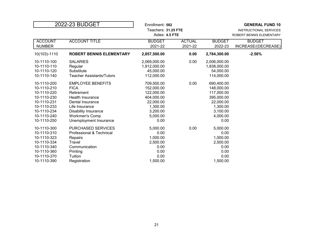| 2022-23 BUDGET                                                                                                                      |                                                                                                                                                                                                   | Enrollment: 582<br>Teachers: 31.25 FTE<br>Aides: 4.5 FTE                                                      |                          |                                                                                                               | <b>GENERAL FUND 10</b><br><b>INSTRUCTIONAL SERVICES</b><br>ROBERT BENNIS ELEMENTARY |
|-------------------------------------------------------------------------------------------------------------------------------------|---------------------------------------------------------------------------------------------------------------------------------------------------------------------------------------------------|---------------------------------------------------------------------------------------------------------------|--------------------------|---------------------------------------------------------------------------------------------------------------|-------------------------------------------------------------------------------------|
| <b>ACCOUNT</b><br><b>NUMBER</b>                                                                                                     | <b>ACCOUNT TITLE</b>                                                                                                                                                                              | <b>BUDGET</b><br>2021-22                                                                                      | <b>ACTUAL</b><br>2021-22 | <b>BUDGET</b><br>2022-23                                                                                      | <b>BUDGET</b><br>INCREASE/(DECREASE)                                                |
| 10(103)-1110                                                                                                                        | <b>ROBERT BENNIS ELEMENTARY</b>                                                                                                                                                                   | 2,857,500.00                                                                                                  | 0.00                     | 2,784,300.00                                                                                                  | $-2.56%$                                                                            |
| 10-1110-100<br>10-1110-110<br>10-1110-120<br>10-1110-140                                                                            | <b>SALARIES</b><br>Regular<br>Substitute<br><b>Teacher Assistants/Tutors</b>                                                                                                                      | 2,069,000.00<br>1,912,000.00<br>45,000.00<br>112,000.00                                                       | 0.00                     | 2,006,000.00<br>1,838,000.00<br>54,000.00<br>114,000.00                                                       |                                                                                     |
| 10-1110-200<br>10-1110-210<br>10-1110-220<br>10-1110-230<br>10-1110-231<br>10-1110-233<br>10-1110-234<br>10-1110-240<br>10-1110-250 | <b>EMPLOYEE BENEFITS</b><br><b>FICA</b><br>Retirement<br><b>Health Insurance</b><br>Dental Insurance<br>Life Insurance<br><b>Disability Insurance</b><br>Workmen's Comp<br>Unemployment Insurance | 709,500.00<br>152,000.00<br>122,000.00<br>404,000.00<br>22,000.00<br>1,300.00<br>3,200.00<br>5,000.00<br>0.00 | 0.00                     | 690,400.00<br>148,000.00<br>117,000.00<br>395,000.00<br>22,000.00<br>1,300.00<br>3,100.00<br>4,000.00<br>0.00 |                                                                                     |
| 10-1110-300<br>10-1110-310<br>10-1110-323<br>10-1110-334<br>10-1110-340<br>10-1110-360<br>10-1110-370<br>10-1110-390                | <b>PURCHASED SERVICES</b><br>Professional & Technical<br>Repairs<br>Travel<br>Communication<br>Printing<br>Tuition<br>Registration                                                                | 5,000.00<br>0.00<br>1,000.00<br>2,500.00<br>0.00<br>0.00<br>0.00<br>1,500.00                                  | 0.00                     | 5,000.00<br>0.00<br>1,000.00<br>2,500.00<br>0.00<br>0.00<br>0.00<br>1,500.00                                  |                                                                                     |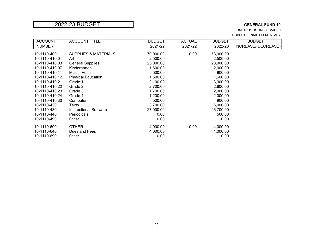INSTRUCTIONAL SERVICES ROBERT BENNIS ELEMENTARY

| <b>ACCOUNT</b> | <b>ACCOUNT TITLE</b>            | <b>BUDGET</b> | <b>ACTUAL</b> | <b>BUDGET</b> | <b>BUDGET</b>       |
|----------------|---------------------------------|---------------|---------------|---------------|---------------------|
| <b>NUMBER</b>  |                                 | 2021-22       | 2021-22       | 2022-23       | INCREASE/(DECREASE) |
| 10-1110-400    | <b>SUPPLIES &amp; MATERIALS</b> | 70,000.00     | 0.00          | 78,900.00     |                     |
| 10-1110-410.01 | Art                             | 2,500.00      |               | 2,500.00      |                     |
| 10-1110-410.03 | <b>General Supplies</b>         | 25,000.00     |               | 28,000.00     |                     |
| 10-1110-410.07 | Kindergarten                    | 1,600.00      |               | 2,000.00      |                     |
| 10-1110-410.11 | Music, Vocal                    | 500.00        |               | 800.00        |                     |
| 10-1110-410.12 | <b>Physical Education</b>       | 1,500.00      |               | 1,600.00      |                     |
| 10-1110-410.21 | Grade 1                         | 2,100.00      |               | 3,300.00      |                     |
| 10-1110-410.22 | Grade 2                         | 2,700.00      |               | 2,600.00      |                     |
| 10-1110-410.23 | Grade 3                         | 1,700.00      |               | 2,000.00      |                     |
| 10-1110-410.24 | Grade 4                         | 1,200.00      |               | 2,000.00      |                     |
| 10-1110-410.30 | Computer                        | 500.00        |               | 900.00        |                     |
| 10-1110-420    | Texts                           | 3,700.00      |               | 6,000.00      |                     |
| 10-1110-430    | <b>Instructional Software</b>   | 27,000.00     |               | 26,700.00     |                     |
| 10-1110-440    | <b>Periodicals</b>              | 0.00          |               | 500.00        |                     |
| 10-1110-490    | Other                           | 0.00          |               | 0.00          |                     |
| 10-1110-600    | <b>OTHER</b>                    | 4,000.00      | 0.00          | 4,000.00      |                     |
| 10-1110-640    | Dues and Fees                   | 4,000.00      |               | 4,000.00      |                     |
| 10-1110-690    | Other                           | 0.00          |               | 0.00          |                     |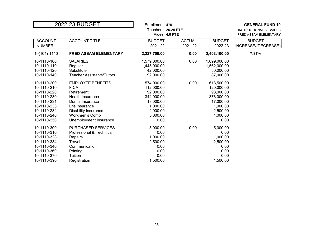|                                 | 2022-23 BUDGET            | Enrollment: 475<br>Teachers: 26.25 FTE<br>Aides: 4.0 FTE |                          |                          | <b>GENERAL FUND 10</b><br><b>INSTRUCTIONAL SERVICES</b><br>FRED ASSAM ELEMENTARY |
|---------------------------------|---------------------------|----------------------------------------------------------|--------------------------|--------------------------|----------------------------------------------------------------------------------|
| <b>ACCOUNT</b><br><b>NUMBER</b> | <b>ACCOUNT TITLE</b>      | <b>BUDGET</b><br>2021-22                                 | <b>ACTUAL</b><br>2021-22 | <b>BUDGET</b><br>2022-23 | <b>BUDGET</b><br>INCREASE/(DECREASE)                                             |
|                                 |                           |                                                          |                          |                          |                                                                                  |
| 10(104)-1110                    | FRED ASSAM ELEMENTARY     | 2,227,700.00                                             | 0.00                     | 2,403,100.00             | 7.87%                                                                            |
| 10-1110-100                     | <b>SALARIES</b>           | 1,579,000.00                                             | 0.00                     | 1,699,000.00             |                                                                                  |
| 10-1110-110                     | Regular                   | 1,445,000.00                                             |                          | 1,562,000.00             |                                                                                  |
| 10-1110-120                     | Substitute                | 42,000.00                                                |                          | 50,000.00                |                                                                                  |
| 10-1110-140                     | Teacher Assistants/Tutors | 92,000.00                                                |                          | 87,000.00                |                                                                                  |
| 10-1110-200                     | <b>EMPLOYEE BENEFITS</b>  | 574,000.00                                               | 0.00                     | 618,500.00               |                                                                                  |
| 10-1110-210                     | <b>FICA</b>               | 112,000.00                                               |                          | 120,000.00               |                                                                                  |
| 10-1110-220                     | Retirement                | 92,000.00                                                |                          | 98,000.00                |                                                                                  |
| 10-1110-230                     | Health Insurance          | 344,000.00                                               |                          | 376,000.00               |                                                                                  |
| 10-1110-231                     | Dental Insurance          | 18,000.00                                                |                          | 17,000.00                |                                                                                  |
| 10-1110-233                     | Life Insurance            | 1,000.00                                                 |                          | 1,000.00                 |                                                                                  |
| 10-1110-234                     | Disability Insurance      | 2,000.00                                                 |                          | 2,500.00                 |                                                                                  |
| 10-1110-240                     | <b>Workmen's Comp</b>     | 5,000.00                                                 |                          | 4,000.00                 |                                                                                  |
| 10-1110-250                     | Unemployment Insurance    | 0.00                                                     |                          | 0.00                     |                                                                                  |
| 10-1110-300                     | PURCHASED SERVICES        | 5,000.00                                                 | 0.00                     | 5,000.00                 |                                                                                  |
| 10-1110-310                     | Professional & Technical  | 0.00                                                     |                          | 0.00                     |                                                                                  |
| 10-1110-323                     | Repairs                   | 1,000.00                                                 |                          | 1,000.00                 |                                                                                  |
| 10-1110-334                     | Travel                    | 2,500.00                                                 |                          | 2,500.00                 |                                                                                  |
| 10-1110-340                     | Communication             | 0.00                                                     |                          | 0.00                     |                                                                                  |
| 10-1110-360                     | Printing                  | 0.00                                                     |                          | 0.00                     |                                                                                  |
| 10-1110-370                     | Tuition                   | 0.00                                                     |                          | 0.00                     |                                                                                  |
| 10-1110-390                     | Registration              | 1,500.00                                                 |                          | 1,500.00                 |                                                                                  |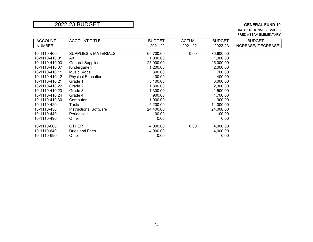INSTRUCTIONAL SERVICES FRED ASSAM ELEMENTARY

| <b>ACCOUNT</b> | <b>ACCOUNT TITLE</b>            | <b>BUDGET</b> | <b>ACTUAL</b> | <b>BUDGET</b> | <b>BUDGET</b>       |
|----------------|---------------------------------|---------------|---------------|---------------|---------------------|
| <b>NUMBER</b>  |                                 | 2021-22       | 2021-22       | 2022-23       | INCREASE/(DECREASE) |
|                |                                 |               |               |               |                     |
| 10-1110-400    | <b>SUPPLIES &amp; MATERIALS</b> | 65,700.00     | 0.00          | 76,600.00     |                     |
| 10-1110-410.01 | Art                             | 1,000.00      |               | 1,000.00      |                     |
| 10-1110-410.03 | <b>General Supplies</b>         | 25,000.00     |               | 25,000.00     |                     |
| 10-1110-410.07 | Kindergarten                    | 1,200.00      |               | 2,000.00      |                     |
| 10-1110-410.11 | Music, Vocal                    | 300.00        |               | 700.00        |                     |
| 10-1110-410.12 | <b>Physical Education</b>       | 400.00        |               | 400.00        |                     |
| 10-1110-410.21 | Grade 1                         | 3,100.00      |               | 3,000.00      |                     |
| 10-1110-410.22 | Grade 2                         | 1,800.00      |               | 2,300.00      |                     |
| 10-1110-410.23 | Grade 3                         | 1,300.00      |               | 1,500.00      |                     |
| 10-1110-410.24 | Grade 4                         | 900.00        |               | 1,700.00      |                     |
| 10-1110-410.30 | Computer                        | 1,000.00      |               | 900.00        |                     |
| 10-1110-420    | Texts                           | 5,200.00      |               | 14,000.00     |                     |
| 10-1110-430    | <b>Instructional Software</b>   | 24,400.00     |               | 24,000.00     |                     |
| 10-1110-440    | Periodicals                     | 100.00        |               | 100.00        |                     |
| 10-1110-490    | Other                           | 0.00          |               | 0.00          |                     |
| 10-1110-600    | <b>OTHER</b>                    | 4,000.00      | 0.00          | 4,000.00      |                     |
|                |                                 |               |               |               |                     |
| 10-1110-640    | Dues and Fees                   | 4,000.00      |               | 4,000.00      |                     |
| 10-1110-690    | Other                           | 0.00          |               | 0.00          |                     |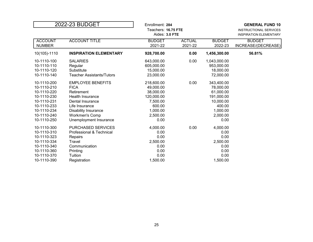|                                                                                                                                     | 2022-23 BUDGET                                                                                                                                                                                           | Enrollment: 284<br>Teachers: 16.75 FTE<br>Aides: 3.0 FTE                                                 |                          |                                                                                                           | <b>GENERAL FUND 10</b><br>INSTRUCTIONAL SERVICES<br><b>INSPIRATION ELEMENTARY</b> |
|-------------------------------------------------------------------------------------------------------------------------------------|----------------------------------------------------------------------------------------------------------------------------------------------------------------------------------------------------------|----------------------------------------------------------------------------------------------------------|--------------------------|-----------------------------------------------------------------------------------------------------------|-----------------------------------------------------------------------------------|
| <b>ACCOUNT</b><br><b>NUMBER</b>                                                                                                     | <b>ACCOUNT TITLE</b>                                                                                                                                                                                     | <b>BUDGET</b><br>2021-22                                                                                 | <b>ACTUAL</b><br>2021-22 | <b>BUDGET</b><br>2022-23                                                                                  | <b>BUDGET</b><br>INCREASE/(DECREASE)                                              |
| 10(105)-1110                                                                                                                        | <b>INSPIRATION ELEMENTARY</b>                                                                                                                                                                            | 928,700.00                                                                                               | 0.00                     | 1,456,300.00                                                                                              | 56.81%                                                                            |
| 10-1110-100<br>10-1110-110<br>10-1110-120<br>10-1110-140                                                                            | <b>SALARIES</b><br>Regular<br>Substitute<br>Teacher Assistants/Tutors                                                                                                                                    | 643,000.00<br>605,000.00<br>15,000.00<br>23,000.00                                                       | 0.00                     | 1,043,000.00<br>953,000.00<br>18,000.00<br>72,000.00                                                      |                                                                                   |
| 10-1110-200<br>10-1110-210<br>10-1110-220<br>10-1110-230<br>10-1110-231<br>10-1110-233<br>10-1110-234<br>10-1110-240<br>10-1110-250 | <b>EMPLOYEE BENEFITS</b><br><b>FICA</b><br>Retirement<br><b>Health Insurance</b><br>Dental Insurance<br>Life Insurance<br><b>Disability Insurance</b><br><b>Workmen's Comp</b><br>Unemployment Insurance | 218,600.00<br>49,000.00<br>38,000.00<br>120,000.00<br>7,500.00<br>600.00<br>1,000.00<br>2,500.00<br>0.00 | 0.00                     | 343,400.00<br>78,000.00<br>61,000.00<br>191,000.00<br>10,000.00<br>400.00<br>1,000.00<br>2,000.00<br>0.00 |                                                                                   |
| 10-1110-300<br>10-1110-310<br>10-1110-323<br>10-1110-334<br>10-1110-340<br>10-1110-360<br>10-1110-370<br>10-1110-390                | <b>PURCHASED SERVICES</b><br>Professional & Technical<br>Repairs<br>Travel<br>Communication<br>Printing<br>Tuition<br>Registration                                                                       | 4,000.00<br>0.00<br>0.00<br>2,500.00<br>0.00<br>0.00<br>0.00<br>1,500.00                                 | 0.00                     | 4,000.00<br>0.00<br>0.00<br>2,500.00<br>0.00<br>0.00<br>0.00<br>1,500.00                                  |                                                                                   |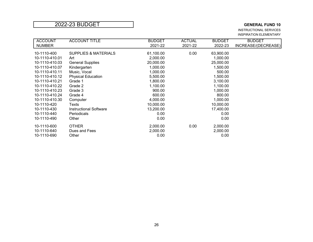INSTRUCTIONAL SERVICES INSPIRATION ELEMENTARY

| <b>ACCOUNT</b> | <b>ACCOUNT TITLE</b>            | <b>BUDGET</b> | <b>ACTUAL</b> | <b>BUDGET</b> | <b>BUDGET</b>       |
|----------------|---------------------------------|---------------|---------------|---------------|---------------------|
| <b>NUMBER</b>  |                                 | 2021-22       | 2021-22       | 2022-23       | INCREASE/(DECREASE) |
|                |                                 |               |               |               |                     |
| 10-1110-400    | <b>SUPPLIES &amp; MATERIALS</b> | 61,100.00     | 0.00          | 63,900.00     |                     |
| 10-1110-410.01 | Art                             | 2,000.00      |               | 1,000.00      |                     |
| 10-1110-410.03 | <b>General Supplies</b>         | 20,000.00     |               | 25,000.00     |                     |
| 10-1110-410.07 | Kindergarten                    | 1,000.00      |               | 1,500.00      |                     |
| 10-1110-410.11 | Music, Vocal                    | 1,000.00      |               | 500.00        |                     |
| 10-1110-410.12 | <b>Physical Education</b>       | 5,500.00      |               | 1,500.00      |                     |
| 10-1110-410.21 | Grade 1                         | 1,800.00      |               | 3,100.00      |                     |
| 10-1110-410.22 | Grade 2                         | 1,100.00      |               | 1,100.00      |                     |
| 10-1110-410.23 | Grade 3                         | 900.00        |               | 1,000.00      |                     |
| 10-1110-410.24 | Grade 4                         | 600.00        |               | 800.00        |                     |
| 10-1110-410.30 | Computer                        | 4,000.00      |               | 1,000.00      |                     |
| 10-1110-420    | Texts                           | 10,000.00     |               | 10,000.00     |                     |
| 10-1110-430    | Instructional Software          | 13,200.00     |               | 17,400.00     |                     |
| 10-1110-440    | <b>Periodicals</b>              | 0.00          |               | 0.00          |                     |
| 10-1110-490    | Other                           | 0.00          |               | 0.00          |                     |
| 10-1110-600    | <b>OTHER</b>                    | 2,000.00      | 0.00          | 2,000.00      |                     |
| 10-1110-640    | Dues and Fees                   | 2,000.00      |               | 2,000.00      |                     |
| 10-1110-690    | Other                           | 0.00          |               | 0.00          |                     |
|                |                                 |               |               |               |                     |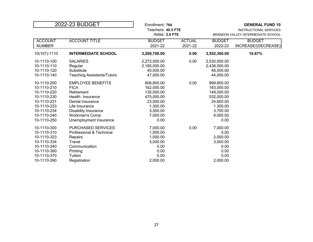| 2022-23 BUDGET                                                                                                                      |                                                                                                                                                                                            | Enrollment: 764<br>Teachers: 40.5 FTE<br>Aides: 2.0 FTE                                                       |                          | <b>GENERAL FUND 10</b><br>INSTRUCTIONAL SERVICES<br><b>BRANDON VALLEY INTERMEDIATE SCHOOL</b>                 |                                      |
|-------------------------------------------------------------------------------------------------------------------------------------|--------------------------------------------------------------------------------------------------------------------------------------------------------------------------------------------|---------------------------------------------------------------------------------------------------------------|--------------------------|---------------------------------------------------------------------------------------------------------------|--------------------------------------|
| <b>ACCOUNT</b><br><b>NUMBER</b>                                                                                                     | <b>ACCOUNT TITLE</b>                                                                                                                                                                       | <b>BUDGET</b><br>2021-22                                                                                      | <b>ACTUAL</b><br>2021-22 | <b>BUDGET</b><br>2022-23                                                                                      | <b>BUDGET</b><br>INCREASE/(DECREASE) |
| 10(107)-1110                                                                                                                        | <b>INTERMEDIATE SCHOOL</b>                                                                                                                                                                 | 3,209,700.00                                                                                                  | 0.00                     | 3,552,300.00                                                                                                  | 10.67%                               |
| 10-1110-100<br>10-1110-110<br>10-1110-120<br>10-1110-140                                                                            | <b>SALARIES</b><br>Regular<br>Substitute<br><b>Teaching Assistants/Tutors</b>                                                                                                              | 2,272,000.00<br>2,185,000.00<br>40,000.00<br>47,000.00                                                        | 0.00                     | 2,530,000.00<br>2,438,000.00<br>48,000.00<br>44,000.00                                                        |                                      |
| 10-1110-200<br>10-1110-210<br>10-1110-220<br>10-1110-230<br>10-1110-231<br>10-1110-233<br>10-1110-234<br>10-1110-240<br>10-1110-250 | <b>EMPLOYEE BENEFITS</b><br><b>FICA</b><br>Retirement<br>Health Insurance<br>Dental Insurance<br>Life Insurance<br>Disability Insurance<br><b>Workmen's Comp</b><br>Unemployment Insurance | 806,800.00<br>162,000.00<br>135,000.00<br>475,000.00<br>23,000.00<br>1,300.00<br>3,500.00<br>7.000.00<br>0.00 | 0.00                     | 899,600.00<br>183,000.00<br>149,000.00<br>532,000.00<br>24,600.00<br>1,300.00<br>3,700.00<br>6,000.00<br>0.00 |                                      |
| 10-1110-300<br>10-1110-310<br>10-1110-323<br>10-1110-334<br>10-1110-340<br>10-1110-360<br>10-1110-370<br>10-1110-390                | <b>PURCHASED SERVICES</b><br>Professional & Technical<br>Repairs<br>Travel<br>Communication<br>Printing<br>Tuition<br>Registration                                                         | 7,000.00<br>1,000.00<br>1,000.00<br>3,000.00<br>0.00<br>0.00<br>0.00<br>2,000.00                              | 0.00                     | 7,000.00<br>0.00<br>2,000.00<br>3,000.00<br>0.00<br>0.00<br>0.00<br>2,000.00                                  |                                      |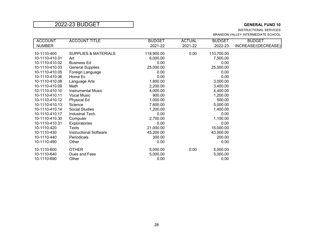### INSTRUCTIONAL SERVICES

BRANDON VALLEY INTERMEDIATE SCHOOL

| <b>ACCOUNT</b> | <b>ACCOUNT TITLE</b>            | <b>BUDGET</b> | <b>ACTUAL</b> | <b>BUDGET</b> | <b>BUDGET</b>       |
|----------------|---------------------------------|---------------|---------------|---------------|---------------------|
| <b>NUMBER</b>  |                                 | 2021-22       | 2021-22       | 2022-23       | INCREASE/(DECREASE) |
| 10-1110-400    | <b>SUPPLIES &amp; MATERIALS</b> | 118,900.00    | 0.00          | 110,700.00    |                     |
| 10-1110-410.01 | Art                             | 6,000.00      |               | 7,500.00      |                     |
| 10-1110-410.02 | <b>Business Ed</b>              | 0.00          |               | 0.00          |                     |
| 10-1110-410.03 | <b>General Supplies</b>         | 25,000.00     |               | 25,000.00     |                     |
| 10-1110-410.05 | Foreign Language                | 0.00          |               | 0.00          |                     |
| 10-1110-410.06 | Home Ec                         | 0.00          |               | 0.00          |                     |
| 10-1110-410.08 | Language Arts                   | 1,800.00      |               | 3,000.00      |                     |
| 10-1110-410.09 | Math                            | 2,200.00      |               | 3,400.00      |                     |
| 10-1110-410.10 | <b>Instrumental Music</b>       | 4,000.00      |               | 4,400.00      |                     |
| 10-1110-410.11 | <b>Vocal Music</b>              | 900.00        |               | 1,200.00      |                     |
| 10-1110-410.12 | <b>Physical Ed</b>              | 1,000.00      |               | 500.00        |                     |
| 10-1110-410.13 | Science                         | 7,600.00      |               | 5,000.00      |                     |
| 10-1110-410.14 | <b>Social Studies</b>           | 1,200.00      |               | 1,400.00      |                     |
| 10-1110-410.17 | Industrial Tech.                | 0.00          |               | 0.00          |                     |
| 10-1110-410.30 | Computer                        | 2,700.00      |               | 1,100.00      |                     |
| 10-1110-410.31 | <b>Exploratories</b>            | 0.00          |               | 0.00          |                     |
| 10-1110-420    | Texts                           | 21,000.00     |               | 15,000.00     |                     |
| 10-1110-430    | <b>Instructional Software</b>   | 45,200.00     |               | 43,000.00     |                     |
| 10-1110-440    | Periodicals                     | 300.00        |               | 200.00        |                     |
| 10-1110-490    | Other                           | 0.00          |               | 0.00          |                     |
| 10-1110-600    | <b>OTHER</b>                    | 5,000.00      | 0.00          | 5,000.00      |                     |
| 10-1110-640    | Dues and Fees                   | 5,000.00      |               | 5,000.00      |                     |
| 10-1110-690    | Other                           | 0.00          |               | 0.00          |                     |
|                |                                 |               |               |               |                     |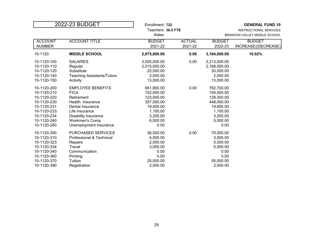| 2022-23 BUDGET                                                                                                                      |                                                                                                                                                                                                   | Enrollment: 722<br>Teachers: 36.5 FTE                                                                         |                          |                                                                                                               | <b>GENERAL FUND 10</b><br>INSTRUCTIONAL SERVICES |
|-------------------------------------------------------------------------------------------------------------------------------------|---------------------------------------------------------------------------------------------------------------------------------------------------------------------------------------------------|---------------------------------------------------------------------------------------------------------------|--------------------------|---------------------------------------------------------------------------------------------------------------|--------------------------------------------------|
|                                                                                                                                     |                                                                                                                                                                                                   | Aides:                                                                                                        |                          |                                                                                                               | BRANDON VALLEY MIDDLE SCHOOL                     |
| <b>ACCOUNT</b><br><b>NUMBER</b>                                                                                                     | <b>ACCOUNT TITLE</b>                                                                                                                                                                              | <b>BUDGET</b><br>2021-22                                                                                      | <b>ACTUAL</b><br>2021-22 | <b>BUDGET</b><br>2022-23                                                                                      | <b>BUDGET</b><br>INCREASE/(DECREASE)             |
| 10-1120                                                                                                                             | <b>MIDDLE SCHOOL</b>                                                                                                                                                                              | 2,875,800.00                                                                                                  | 0.00                     | 3,164,000.00                                                                                                  | 10.02%                                           |
| 10-1120-100<br>10-1120-110<br>10-1120-120<br>10-1120-140<br>10-1120-150                                                             | <b>SALARIES</b><br>Regular<br>Substitute<br><b>Teaching Assistants/Tutors</b><br>Activity                                                                                                         | 2,055,000.00<br>2,015,000.00<br>25,000.00<br>2,000.00<br>13,000.00                                            | 0.00                     | 2,213,000.00<br>2,168,000.00<br>30,000.00<br>2,000.00<br>13,000.00                                            |                                                  |
| 10-1120-200<br>10-1120-210<br>10-1120-220<br>10-1120-230<br>10-1120-231<br>10-1120-233<br>10-1120-234<br>10-1120-240<br>10-1120-250 | <b>EMPLOYEE BENEFITS</b><br><b>FICA</b><br>Retirement<br>Health Insurance<br>Dental Insurance<br>Life Insurance<br><b>Disability Insurance</b><br><b>Workmen's Comp</b><br>Unemployment Insurance | 661,800.00<br>152,000.00<br>123,000.00<br>357,000.00<br>19,000.00<br>1,100.00<br>3,200.00<br>6,500.00<br>0.00 | 0.00                     | 762,700.00<br>156,500.00<br>129,300.00<br>448,000.00<br>19,600.00<br>1,100.00<br>3,200.00<br>5,000.00<br>0.00 |                                                  |
| 10-1120-300<br>10-1120-310<br>10-1120-323<br>10-1120-334<br>10-1120-340<br>10-1120-360<br>10-1120-370<br>10-1120-390                | <b>PURCHASED SERVICES</b><br>Professional & Technical<br>Repairs<br>Travel<br>Communication<br>Printing<br>Tuition<br>Registration                                                                | 36,500.00<br>4,500.00<br>2,000.00<br>3,000.00<br>0.00<br>0.00<br>25,000.00<br>2,000.00                        | 0.00                     | 70,500.00<br>3,500.00<br>5,000.00<br>5,000.00<br>0.00<br>0.00<br>55,000.00<br>2,000.00                        |                                                  |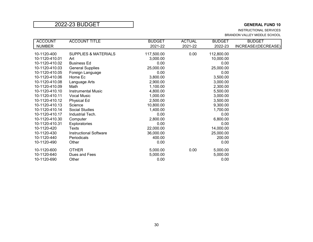INSTRUCTIONAL SERVICES BRANDON VALLEY MIDDLE SCHOOL

| <b>ACCOUNT</b> | <b>ACCOUNT TITLE</b>            | <b>BUDGET</b> | <b>ACTUAL</b> | <b>BUDGET</b> | <b>BUDGET</b>       |
|----------------|---------------------------------|---------------|---------------|---------------|---------------------|
| <b>NUMBER</b>  |                                 | 2021-22       | 2021-22       | 2022-23       | INCREASE/(DECREASE) |
| 10-1120-400    | <b>SUPPLIES &amp; MATERIALS</b> | 117,500.00    | 0.00          | 112,800.00    |                     |
| 10-1120-410.01 | Art                             | 3,000.00      |               | 10,000.00     |                     |
| 10-1120-410.02 | <b>Business Ed</b>              | 0.00          |               | 0.00          |                     |
| 10-1120-410.03 | <b>General Supplies</b>         | 25,000.00     |               | 25,000.00     |                     |
| 10-1120-410.05 | Foreign Language                | 0.00          |               | 0.00          |                     |
| 10-1120-410.06 | Home Ec                         | 3,800.00      |               | 3,500.00      |                     |
| 10-1120-410.08 | Language Arts                   | 2,900.00      |               | 3,000.00      |                     |
| 10-1120-410.09 | Math                            | 1,100.00      |               | 2,300.00      |                     |
| 10-1120-410.10 | <b>Instrumental Music</b>       | 4,800.00      |               | 5,500.00      |                     |
| 10-1120-410.11 | <b>Vocal Music</b>              | 1,000.00      |               | 3,000.00      |                     |
| 10-1120-410.12 | Physical Ed                     | 2,500.00      |               | 3,500.00      |                     |
| 10-1120-410.13 | Science                         | 10,800.00     |               | 9,300.00      |                     |
| 10-1120-410.14 | <b>Social Studies</b>           | 1,400.00      |               | 1,700.00      |                     |
| 10-1120-410.17 | Industrial Tech.                | 0.00          |               | 0.00          |                     |
| 10-1120-410.30 | Computer                        | 2,800.00      |               | 6,800.00      |                     |
| 10-1120-410.31 | Exploratories                   | 0.00          |               | 0.00          |                     |
| 10-1120-420    | Texts                           | 22,000.00     |               | 14,000.00     |                     |
| 10-1120-430    | <b>Instructional Software</b>   | 36,000.00     |               | 25,000.00     |                     |
| 10-1120-440    | Periodicals                     | 400.00        |               | 200.00        |                     |
| 10-1120-490    | Other                           | 0.00          |               | 0.00          |                     |
| 10-1120-600    | <b>OTHER</b>                    | 5,000.00      | 0.00          | 5,000.00      |                     |
| 10-1120-640    | Dues and Fees                   | 5,000.00      |               | 5,000.00      |                     |
| 10-1120-690    | Other                           | 0.00          |               | 0.00          |                     |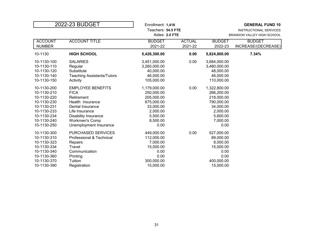| 2022-23 BUDGET                                                                                                                      |                                                                                                                                                                                                   | Enrollment: 1,416<br>Teachers: 54.5 FTE<br>Aides: 2.0 FTE                                                       |                          |                                                                                                                 | <b>GENERAL FUND 10</b><br>INSTRUCTIONAL SERVICES<br>BRANDON VALLEY HIGH SCHOOL |
|-------------------------------------------------------------------------------------------------------------------------------------|---------------------------------------------------------------------------------------------------------------------------------------------------------------------------------------------------|-----------------------------------------------------------------------------------------------------------------|--------------------------|-----------------------------------------------------------------------------------------------------------------|--------------------------------------------------------------------------------|
| <b>ACCOUNT</b><br><b>NUMBER</b>                                                                                                     | <b>ACCOUNT TITLE</b>                                                                                                                                                                              | <b>BUDGET</b><br>2021-22                                                                                        | <b>ACTUAL</b><br>2021-22 | <b>BUDGET</b><br>2022-23                                                                                        | <b>BUDGET</b><br>INCREASE/(DECREASE)                                           |
| 10-1130                                                                                                                             | <b>HIGH SCHOOL</b>                                                                                                                                                                                | 5,426,300.00                                                                                                    | 0.00                     | 5,824,800.00                                                                                                    | 7.34%                                                                          |
| 10-1130-100<br>10-1130-110<br>10-1130-120<br>10-1130-140<br>10-1130-150                                                             | <b>SALARIES</b><br>Regular<br>Substitute<br><b>Teaching Assistants/Tutors</b><br>Activity                                                                                                         | 3,451,000.00<br>3,260,000.00<br>40,000.00<br>46,000.00<br>105,000.00                                            | 0.00                     | 3,684,000.00<br>3,480,000.00<br>48,000.00<br>46,000.00<br>110,000.00                                            |                                                                                |
| 10-1130-200<br>10-1130-210<br>10-1130-220<br>10-1130-230<br>10-1130-231<br>10-1130-233<br>10-1130-234<br>10-1130-240<br>10-1130-250 | <b>EMPLOYEE BENEFITS</b><br><b>FICA</b><br>Retirement<br>Health Insurance<br>Dental Insurance<br>Life Insurance<br><b>Disability Insurance</b><br><b>Workmen's Comp</b><br>Unemployment Insurance | 1,179,000.00<br>250,000.00<br>205,000.00<br>675,000.00<br>33,000.00<br>2,000.00<br>5,500.00<br>8,500.00<br>0.00 | 0.00                     | 1,322,800.00<br>266,200.00<br>218,000.00<br>790,000.00<br>34,000.00<br>2,000.00<br>5,600.00<br>7,000.00<br>0.00 |                                                                                |
| 10-1130-300<br>10-1130-310<br>10-1130-323<br>10-1130-334<br>10-1130-340<br>10-1130-360<br>10-1130-370<br>10-1130-390                | <b>PURCHASED SERVICES</b><br>Professional & Technical<br>Repairs<br>Travel<br>Communication<br>Printing<br>Tuition<br>Registration                                                                | 449,000.00<br>112,000.00<br>7,000.00<br>15,000.00<br>0.00<br>0.00<br>300,000.00<br>15,000.00                    | 0.00                     | 527,000.00<br>89,000.00<br>8,000.00<br>15,000.00<br>0.00<br>0.00<br>400,000.00<br>15,000.00                     |                                                                                |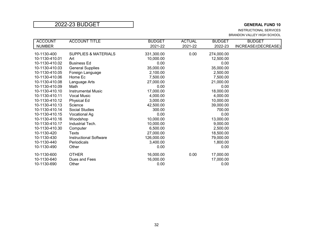INSTRUCTIONAL SERVICES BRANDON VALLEY HIGH SCHOOL

| <b>ACCOUNT</b> | <b>ACCOUNT TITLE</b>            | <b>BUDGET</b> | <b>ACTUAL</b> | <b>BUDGET</b> | <b>BUDGET</b>       |
|----------------|---------------------------------|---------------|---------------|---------------|---------------------|
| <b>NUMBER</b>  |                                 | 2021-22       | 2021-22       | 2022-23       | INCREASE/(DECREASE) |
| 10-1130-400    | <b>SUPPLIES &amp; MATERIALS</b> | 331,300.00    | 0.00          | 274,000.00    |                     |
| 10-1130-410.01 | Art                             | 10,000.00     |               | 12,500.00     |                     |
| 10-1130-410.02 | <b>Business Ed</b>              | 0.00          |               | 0.00          |                     |
| 10-1130-410.03 | <b>General Supplies</b>         | 35,000.00     |               | 35,000.00     |                     |
| 10-1130-410.05 | Foreign Language                | 2,100.00      |               | 2,500.00      |                     |
| 10-1130-410.06 | Home Ec                         | 7,500.00      |               | 7,500.00      |                     |
| 10-1130-410.08 | Language Arts                   | 27,000.00     |               | 21,000.00     |                     |
| 10-1130-410.09 | Math                            | 0.00          |               | 0.00          |                     |
| 10-1130-410.10 | <b>Instrumental Music</b>       | 17,000.00     |               | 18,000.00     |                     |
| 10-1130-410.11 | Vocal Music                     | 4,000.00      |               | 4,000.00      |                     |
| 10-1130-410.12 | <b>Physical Ed</b>              | 3,000.00      |               | 10,000.00     |                     |
| 10-1130-410.13 | Science                         | 42,500.00     |               | 39,000.00     |                     |
| 10-1130-410.14 | <b>Social Studies</b>           | 300.00        |               | 700.00        |                     |
| 10-1130-410.15 | Vocational Ag                   | 0.00          |               | 0.00          |                     |
| 10-1130-410.16 | Woodshop                        | 10,000.00     |               | 13,000.00     |                     |
| 10-1130-410.17 | Industrial Tech.                | 10,000.00     |               | 9,000.00      |                     |
| 10-1130-410.30 | Computer                        | 6,500.00      |               | 2,500.00      |                     |
| 10-1130-420    | Texts                           | 27,000.00     |               | 18,500.00     |                     |
| 10-1130-430    | <b>Instructional Software</b>   | 126,000.00    |               | 79,000.00     |                     |
| 10-1130-440    | Periodicals                     | 3,400.00      |               | 1,800.00      |                     |
| 10-1130-490    | Other                           | 0.00          |               | 0.00          |                     |
| 10-1130-600    | <b>OTHER</b>                    | 16,000.00     | 0.00          | 17,000.00     |                     |
| 10-1130-640    | Dues and Fees                   | 16,000.00     |               | 17,000.00     |                     |
| 10-1130-690    | Other                           | 0.00          |               | 0.00          |                     |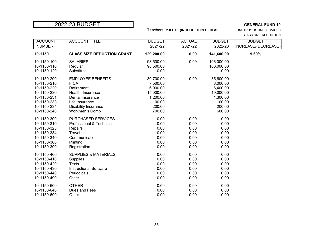Teachers: **2.0 FTE (INCLUDED IN BLDGS)** INSTRUCTIONAL SERVICES

CLASS SIZE REDUCTION

| <b>ACCOUNT</b><br><b>NUMBER</b> | <b>ACCOUNT TITLE</b>              | <b>BUDGET</b><br>2021-22 | <b>ACTUAL</b><br>2021-22 | <b>BUDGET</b><br>2022-23 | <b>BUDGET</b><br>INCREASE/(DECREASE) |
|---------------------------------|-----------------------------------|--------------------------|--------------------------|--------------------------|--------------------------------------|
| 10-1150                         | <b>CLASS SIZE REDUCTION GRANT</b> | 129,200.00               | 0.00                     | 141,600.00               | 9.60%                                |
| 10-1150-100                     | <b>SALARIES</b>                   | 98,500.00                | 0.00                     | 106,000.00               |                                      |
| 10-1150-110                     | Regular                           | 98,500.00                |                          | 106,000.00               |                                      |
| 10-1150-120                     | Substitute                        | 0.00                     |                          | 0.00                     |                                      |
| 10-1150-200                     | <b>EMPLOYEE BENEFITS</b>          | 30,700.00                | 0.00                     | 35,600.00                |                                      |
| 10-1150-210                     | <b>FICA</b>                       | 7,500.00                 |                          | 8,000.00                 |                                      |
| 10-1150-220                     | Retirement                        | 6,000.00                 |                          | 6,400.00                 |                                      |
| 10-1150-230                     | Health Insurance                  | 15,000.00                |                          | 19,000.00                |                                      |
| 10-1150-231                     | Dental Insurance                  | 1,200.00                 |                          | 1,300.00                 |                                      |
| 10-1150-233                     | Life Insurance                    | 100.00                   |                          | 100.00                   |                                      |
| 10-1150-234                     | <b>Disability Insurance</b>       | 200.00                   |                          | 200.00                   |                                      |
| 10-1150-240                     | <b>Workmen's Comp</b>             | 700.00                   |                          | 600.00                   |                                      |
| 10-1150-300                     | PURCHASED SERVICES                | 0.00                     | 0.00                     | 0.00                     |                                      |
| 10-1150-310                     | Professional & Technical          | 0.00                     | 0.00                     | 0.00                     |                                      |
| 10-1150-323                     | Repairs                           | 0.00                     | 0.00                     | 0.00                     |                                      |
| 10-1150-334                     | Travel                            | 0.00                     | 0.00                     | 0.00                     |                                      |
| 10-1150-340                     | Communication                     | 0.00                     | 0.00                     | 0.00                     |                                      |
| 10-1150-360                     | Printing                          | 0.00                     | 0.00                     | 0.00                     |                                      |
| 10-1150-390                     | Registration                      | 0.00                     | 0.00                     | 0.00                     |                                      |
| 10-1150-400                     | <b>SUPPLIES &amp; MATERIALS</b>   | 0.00                     | 0.00                     | 0.00                     |                                      |
| 10-1150-410                     | Supplies                          | 0.00                     | 0.00                     | 0.00                     |                                      |
| 10-1150-420                     | <b>Texts</b>                      | 0.00                     | 0.00                     | 0.00                     |                                      |
| 10-1150-430                     | <b>Instructional Software</b>     | 0.00                     | 0.00                     | 0.00                     |                                      |
| 10-1150-440                     | Periodicals                       | 0.00                     | 0.00                     | 0.00                     |                                      |
| 10-1150-490                     | Other                             | 0.00                     | 0.00                     | 0.00                     |                                      |
| 10-1150-600                     | <b>OTHER</b>                      | 0.00                     | 0.00                     | 0.00                     |                                      |
| 10-1150-640                     | Dues and Fees                     | 0.00                     | 0.00                     | 0.00                     |                                      |
| 10-1150-690                     | Other                             | 0.00                     | 0.00                     | 0.00                     |                                      |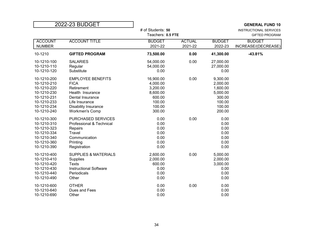| 2022-23 BUDGET                                                                                                       |                                                                                                                                                                  |                                                                                       |                          |                                                                                      | <b>GENERAL FUND 10</b>                          |
|----------------------------------------------------------------------------------------------------------------------|------------------------------------------------------------------------------------------------------------------------------------------------------------------|---------------------------------------------------------------------------------------|--------------------------|--------------------------------------------------------------------------------------|-------------------------------------------------|
|                                                                                                                      |                                                                                                                                                                  | # of Students: 50<br>Teachers: 0.5 FTE                                                |                          |                                                                                      | INSTRUCTIONAL SERVICES<br><b>GIFTED PROGRAM</b> |
| <b>ACCOUNT</b><br><b>NUMBER</b>                                                                                      | <b>ACCOUNT TITLE</b>                                                                                                                                             | <b>BUDGET</b><br>2021-22                                                              | <b>ACTUAL</b><br>2021-22 | <b>BUDGET</b><br>2022-23                                                             | <b>BUDGET</b><br>INCREASE/(DECREASE)            |
| 10-1210                                                                                                              | <b>GIFTED PROGRAM</b>                                                                                                                                            | 73,500.00                                                                             | 0.00                     | 41,300.00                                                                            | $-43.81%$                                       |
| 10-1210-100<br>10-1210-110<br>10-1210-120                                                                            | <b>SALARIES</b><br>Regular<br>Substitute                                                                                                                         | 54,000.00<br>54,000.00<br>0.00                                                        | 0.00                     | 27,000.00<br>27,000.00<br>0.00                                                       |                                                 |
| 10-1210-200<br>10-1210-210<br>10-1210-220<br>10-1210-230<br>10-1210-231<br>10-1210-233<br>10-1210-234<br>10-1210-240 | <b>EMPLOYEE BENEFITS</b><br><b>FICA</b><br>Retirement<br>Health Insurance<br>Dental Insurance<br>Life Insurance<br>Disability Insurance<br><b>Workmen's Comp</b> | 16,900.00<br>4,000.00<br>3,200.00<br>8,600.00<br>600.00<br>100.00<br>100.00<br>300.00 | 0.00                     | 9,300.00<br>2,000.00<br>1,600.00<br>5,000.00<br>300.00<br>100.00<br>100.00<br>200.00 |                                                 |
| 10-1210-300<br>10-1210-310<br>10-1210-323<br>10-1210-334<br>10-1210-340<br>10-1210-360<br>10-1210-390                | PURCHASED SERVICES<br>Professional & Technical<br>Repairs<br>Travel<br>Communication<br>Printing<br>Registration                                                 | 0.00<br>0.00<br>0.00<br>0.00<br>0.00<br>0.00<br>0.00                                  | 0.00                     | 0.00<br>0.00<br>0.00<br>0.00<br>0.00<br>0.00<br>0.00                                 |                                                 |
| 10-1210-400<br>10-1210-410<br>10-1210-420<br>10-1210-430<br>10-1210-440<br>10-1210-490                               | <b>SUPPLIES &amp; MATERIALS</b><br>Supplies<br><b>Texts</b><br><b>Instructional Software</b><br>Periodicals<br>Other                                             | 2,600.00<br>2,000.00<br>600.00<br>0.00<br>0.00<br>0.00                                | 0.00                     | 5,000.00<br>2,000.00<br>3,000.00<br>0.00<br>0.00<br>0.00                             |                                                 |
| 10-1210-600<br>10-1210-640<br>10-1210-690                                                                            | <b>OTHER</b><br>Dues and Fees<br>Other                                                                                                                           | 0.00<br>0.00<br>0.00                                                                  | 0.00                     | 0.00<br>0.00<br>0.00                                                                 |                                                 |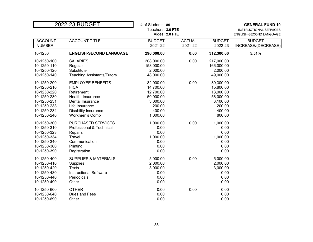| Teachers: 3.0 FTE<br>INSTRUCTIONAL SERVICES<br>Aides: 2.0 FTE                                              |                         |
|------------------------------------------------------------------------------------------------------------|-------------------------|
|                                                                                                            | ENGLISH-SECOND LANGUAGE |
| <b>ACCOUNT TITLE</b><br><b>ACTUAL</b><br><b>ACCOUNT</b><br><b>BUDGET</b><br><b>BUDGET</b><br><b>BUDGET</b> |                         |
| <b>NUMBER</b><br>2021-22<br>2021-22<br>2022-23<br>INCREASE/(DECREASE)                                      |                         |
| 10-1250<br>0.00<br>5.51%<br><b>ENGLISH-SECOND LANGUAGE</b><br>296,000.00<br>312,300.00                     |                         |
| 0.00<br>10-1250-100<br><b>SALARIES</b><br>208,000.00<br>217,000.00                                         |                         |
| 10-1250-110<br>158,000.00<br>166,000.00<br>Regular                                                         |                         |
| 10-1250-120<br>2,000.00<br>2,000.00<br>Substitute                                                          |                         |
| 49,000.00<br>10-1250-140<br>48,000.00<br><b>Teaching Assistants/Tutors</b>                                 |                         |
| <b>EMPLOYEE BENEFITS</b><br>0.00<br>89,300.00<br>10-1250-200<br>82,000.00                                  |                         |
| <b>FICA</b><br>14,700.00<br>10-1250-210<br>15,800.00                                                       |                         |
| 13,000.00<br>10-1250-220<br>Retirement<br>12,700.00                                                        |                         |
| 50,000.00<br>56,000.00<br>10-1250-230<br>Health Insurance                                                  |                         |
| 10-1250-231<br>3,000.00<br>3,100.00<br>Dental Insurance                                                    |                         |
| 200.00<br>200.00<br>10-1250-233<br>Life Insurance                                                          |                         |
| 10-1250-234<br>400.00<br>400.00<br><b>Disability Insurance</b>                                             |                         |
| 1,000.00<br>800.00<br>10-1250-240<br><b>Workmen's Comp</b>                                                 |                         |
| 0.00<br>10-1250-300<br>PURCHASED SERVICES<br>1,000.00<br>1,000.00                                          |                         |
| 10-1250-310<br>Professional & Technical<br>0.00<br>0.00                                                    |                         |
| 0.00<br>0.00<br>10-1250-323<br>Repairs                                                                     |                         |
| 1,000.00<br>1,000.00<br>10-1250-334<br>Travel                                                              |                         |
| Communication<br>0.00<br>0.00<br>10-1250-340                                                               |                         |
| 0.00<br>0.00<br>10-1250-360<br>Printing                                                                    |                         |
| 0.00<br>0.00<br>10-1250-390<br>Registration                                                                |                         |
| 0.00<br>10-1250-400<br><b>SUPPLIES &amp; MATERIALS</b><br>5,000.00<br>5,000.00                             |                         |
| 10-1250-410<br>2,000.00<br>2,000.00<br><b>Supplies</b>                                                     |                         |
| <b>Texts</b><br>10-1250-420<br>3,000.00<br>3,000.00                                                        |                         |
| <b>Instructional Software</b><br>0.00<br>0.00<br>10-1250-430                                               |                         |
| 0.00<br>0.00<br>10-1250-440<br>Periodicals                                                                 |                         |
| 10-1250-490<br>Other<br>0.00<br>0.00                                                                       |                         |
| 0.00<br>10-1250-600<br><b>OTHER</b><br>0.00<br>0.00                                                        |                         |
| 10-1250-640<br>0.00<br>0.00<br>Dues and Fees                                                               |                         |
| 0.00<br>0.00<br>10-1250-690<br>Other                                                                       |                         |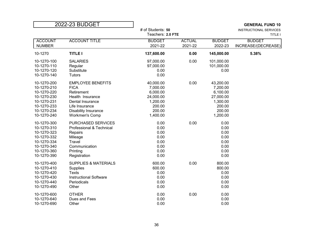| 2022-23 BUDGET                                                                                                                                                                                                                                                                           | # of Students: 50                                                                          | <b>GENERAL FUND 10</b><br>INSTRUCTIONAL SERVICES |                                                                                            |                                      |  |  |
|------------------------------------------------------------------------------------------------------------------------------------------------------------------------------------------------------------------------------------------------------------------------------------------|--------------------------------------------------------------------------------------------|--------------------------------------------------|--------------------------------------------------------------------------------------------|--------------------------------------|--|--|
|                                                                                                                                                                                                                                                                                          | Teachers: 2.0 FTE                                                                          |                                                  |                                                                                            | TITLE I                              |  |  |
| <b>ACCOUNT TITLE</b><br><b>ACCOUNT</b><br><b>NUMBER</b>                                                                                                                                                                                                                                  | <b>BUDGET</b><br>2021-22                                                                   | <b>ACTUAL</b><br>2021-22                         | <b>BUDGET</b><br>2022-23                                                                   | <b>BUDGET</b><br>INCREASE/(DECREASE) |  |  |
| 10-1270<br><b>TITLE I</b>                                                                                                                                                                                                                                                                | 137,600.00                                                                                 | 0.00                                             | 145,000.00                                                                                 | 5.38%                                |  |  |
| 10-1270-100<br><b>SALARIES</b><br>10-1270-110<br>Regular<br>10-1270-120<br>Substitute<br>10-1270-140<br><b>Tutors</b>                                                                                                                                                                    | 97,000.00<br>97,000.00<br>0.00<br>0.00                                                     | 0.00                                             | 101,000.00<br>101,000.00<br>0.00                                                           |                                      |  |  |
| 10-1270-200<br><b>EMPLOYEE BENEFITS</b><br>10-1270-210<br><b>FICA</b><br>Retirement<br>10-1270-220<br>10-1270-230<br>Health Insurance<br>10-1270-231<br>Dental Insurance<br>10-1270-233<br>Life Insurance<br>10-1270-234<br>Disability Insurance<br>10-1270-240<br><b>Workmen's Comp</b> | 40,000.00<br>7,000.00<br>6,000.00<br>24,000.00<br>1,200.00<br>200.00<br>200.00<br>1,400.00 | 0.00                                             | 43,200.00<br>7,200.00<br>6,100.00<br>27,000.00<br>1,300.00<br>200.00<br>200.00<br>1,200.00 |                                      |  |  |
| PURCHASED SERVICES<br>10-1270-300<br>10-1270-310<br>Professional & Technical<br>10-1270-323<br>Repairs<br>10-1270-332<br>Mileage<br>Travel<br>10-1270-334<br>Communication<br>10-1270-340<br>10-1270-360<br>Printing<br>10-1270-390<br>Registration                                      | 0.00<br>0.00<br>0.00<br>0.00<br>0.00<br>0.00<br>0.00<br>0.00                               | 0.00                                             | 0.00<br>0.00<br>0.00<br>0.00<br>0.00<br>0.00<br>0.00<br>0.00                               |                                      |  |  |
| 10-1270-400<br><b>SUPPLIES &amp; MATERIALS</b><br>10-1270-410<br>Supplies<br>10-1270-420<br><b>Texts</b><br><b>Instructional Software</b><br>10-1270-430<br>10-1270-440<br>Periodicals<br>10-1270-490<br>Other                                                                           | 600.00<br>600.00<br>0.00<br>0.00<br>0.00<br>0.00                                           | 0.00                                             | 800.00<br>800.00<br>0.00<br>0.00<br>0.00<br>0.00                                           |                                      |  |  |
| 10-1270-600<br><b>OTHER</b><br>10-1270-640<br>Dues and Fees<br>10-1270-690<br>Other                                                                                                                                                                                                      | 0.00<br>0.00<br>0.00                                                                       | 0.00                                             | 0.00<br>0.00<br>0.00                                                                       |                                      |  |  |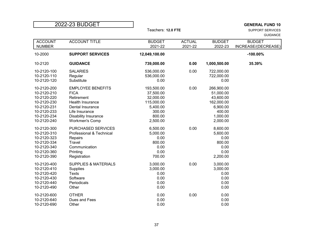| 2022-23 BUDGET                                                                                                       |                                                                                                                                                                                |                                                                                                |                          |                                                                                                  | <b>GENERAL FUND 10</b>               |
|----------------------------------------------------------------------------------------------------------------------|--------------------------------------------------------------------------------------------------------------------------------------------------------------------------------|------------------------------------------------------------------------------------------------|--------------------------|--------------------------------------------------------------------------------------------------|--------------------------------------|
|                                                                                                                      |                                                                                                                                                                                | Teachers: 12.0 FTE                                                                             |                          |                                                                                                  | SUPPORT SERVICES<br><b>GUIDANCE</b>  |
| <b>ACCOUNT</b><br><b>NUMBER</b>                                                                                      | <b>ACCOUNT TITLE</b>                                                                                                                                                           | <b>BUDGET</b><br>2021-22                                                                       | <b>ACTUAL</b><br>2021-22 | <b>BUDGET</b><br>2022-23                                                                         | <b>BUDGET</b><br>INCREASE/(DECREASE) |
| 10-2000                                                                                                              | <b>SUPPORT SERVICES</b>                                                                                                                                                        | 12,049,100.00                                                                                  |                          |                                                                                                  | $-100.00\%$                          |
| 10-2120                                                                                                              | <b>GUIDANCE</b>                                                                                                                                                                | 739,000.00                                                                                     | 0.00                     | 1,000,500.00                                                                                     | 35.39%                               |
| 10-2120-100<br>10-2120-110<br>10-2120-120                                                                            | <b>SALARIES</b><br>Regular<br>Substitute                                                                                                                                       | 536,000.00<br>536,000.00<br>0.00                                                               | 0.00                     | 722,000.00<br>722,000.00<br>0.00                                                                 |                                      |
| 10-2120-200<br>10-2120-210<br>10-2120-220<br>10-2120-230<br>10-2120-231<br>10-2120-233<br>10-2120-234<br>10-2120-240 | <b>EMPLOYEE BENEFITS</b><br><b>FICA</b><br>Retirement<br><b>Health Insurance</b><br>Dental Insurance<br>Life Insurance<br><b>Disability Insurance</b><br><b>Workmen's Comp</b> | 193,500.00<br>37,500.00<br>32,000.00<br>115,000.00<br>5,400.00<br>300.00<br>800.00<br>2,500.00 | 0.00                     | 266,900.00<br>51,000.00<br>43,600.00<br>162,000.00<br>6,900.00<br>400.00<br>1,000.00<br>2,000.00 |                                      |
| 10-2120-300<br>10-2120-310<br>10-2120-323<br>10-2120-334<br>10-2120-340<br>10-2120-360<br>10-2120-390                | PURCHASED SERVICES<br>Professional & Technical<br>Repairs<br>Travel<br>Communication<br>Printing<br>Registration                                                               | 6,500.00<br>5,000.00<br>0.00<br>800.00<br>0.00<br>0.00<br>700.00                               | 0.00                     | 8,600.00<br>5,600.00<br>0.00<br>800.00<br>0.00<br>0.00<br>2,200.00                               |                                      |
| 10-2120-400<br>10-2120-410<br>10-2120-420<br>10-2120-430<br>10-2120-440<br>10-2120-490                               | <b>SUPPLIES &amp; MATERIALS</b><br>Supplies<br><b>Texts</b><br>Software<br>Periodicals<br>Other                                                                                | 3,000.00<br>3,000.00<br>0.00<br>0.00<br>0.00<br>0.00                                           | 0.00                     | 3,000.00<br>3,000.00<br>0.00<br>0.00<br>0.00<br>0.00                                             |                                      |
| 10-2120-600<br>10-2120-640<br>10-2120-690                                                                            | <b>OTHER</b><br>Dues and Fees<br>Other                                                                                                                                         | 0.00<br>0.00<br>0.00                                                                           | 0.00                     | 0.00<br>0.00<br>0.00                                                                             |                                      |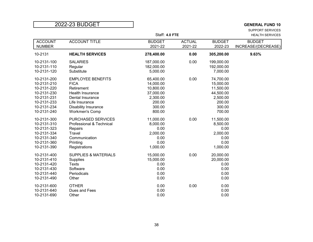SUPPORT SERVICES Staff: 4.0 FTE **HEALTH SERVICES** 

| <b>ACCOUNT</b><br><b>NUMBER</b> | <b>ACCOUNT TITLE</b>            | <b>BUDGET</b><br>2021-22 | <b>ACTUAL</b><br>2021-22 | <b>BUDGET</b><br>2022-23 | <b>BUDGET</b><br>INCREASE/(DECREASE) |
|---------------------------------|---------------------------------|--------------------------|--------------------------|--------------------------|--------------------------------------|
| 10-2131                         | <b>HEALTH SERVICES</b>          | 278,400.00               | 0.00                     | 305,200.00               | 9.63%                                |
| 10-2131-100                     | <b>SALARIES</b>                 | 187,000.00               | 0.00                     | 199,000.00               |                                      |
| 10-2131-110                     | Regular                         | 182,000.00               |                          | 192,000.00               |                                      |
| 10-2131-120                     | Substitute                      | 5,000.00                 |                          | 7,000.00                 |                                      |
| 10-2131-200                     | <b>EMPLOYEE BENEFITS</b>        | 65,400.00                | 0.00                     | 74,700.00                |                                      |
| 10-2131-210                     | <b>FICA</b>                     | 14,000.00                |                          | 15,000.00                |                                      |
| 10-2131-220                     | Retirement                      | 10,800.00                |                          | 11,500.00                |                                      |
| 10-2131-230                     | <b>Health Insurance</b>         | 37,000.00                |                          | 44,500.00                |                                      |
| 10-2131-231                     | Dental Insurance                | 2,300.00                 |                          | 2,500.00                 |                                      |
| 10-2131-233                     | Life Insurance                  | 200.00                   |                          | 200.00                   |                                      |
| 10-2131-234                     | Disability Insurance            | 300.00                   |                          | 300.00                   |                                      |
| 10-2131-240                     | <b>Workmen's Comp</b>           | 800.00                   |                          | 700.00                   |                                      |
| 10-2131-300                     | <b>PURCHASED SERVICES</b>       | 11,000.00                | 0.00                     | 11,500.00                |                                      |
| 10-2131-310                     | Professional & Technical        | 8,000.00                 |                          | 8,500.00                 |                                      |
| 10-2131-323                     | Repairs                         | 0.00                     |                          | 0.00                     |                                      |
| 10-2131-334                     | Travel                          | 2,000.00                 |                          | 2,000.00                 |                                      |
| 10-2131-340                     | Communication                   | 0.00                     |                          | 0.00                     |                                      |
| 10-2131-360                     | Printing                        | 0.00                     |                          | 0.00                     |                                      |
| 10-2131-390                     | Registrations                   | 1,000.00                 |                          | 1,000.00                 |                                      |
| 10-2131-400                     | <b>SUPPLIES &amp; MATERIALS</b> | 15,000.00                | 0.00                     | 20,000.00                |                                      |
| 10-2131-410                     | <b>Supplies</b>                 | 15,000.00                |                          | 20,000.00                |                                      |
| 10-2131-420                     | <b>Texts</b>                    | 0.00                     |                          | 0.00                     |                                      |
| 10-2131-430                     | Software                        | 0.00                     |                          | 0.00                     |                                      |
| 10-2131-440                     | Periodicals                     | 0.00                     |                          | 0.00                     |                                      |
| 10-2131-490                     | Other                           | 0.00                     |                          | 0.00                     |                                      |
| 10-2131-600                     | <b>OTHER</b>                    | 0.00                     | 0.00                     | 0.00                     |                                      |
| 10-2131-640                     | Dues and Fees                   | 0.00                     |                          | 0.00                     |                                      |
| 10-2131-690                     | Other                           | 0.00                     |                          | 0.00                     |                                      |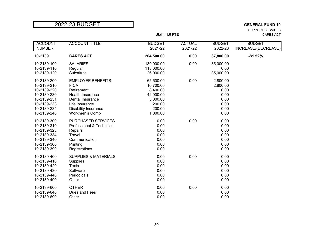SUPPORT SERVICES Staff: **1.0 FTE** CARES ACT

| <b>ACCOUNT</b><br><b>NUMBER</b> | <b>ACCOUNT TITLE</b>               | <b>BUDGET</b><br>2021-22 | <b>ACTUAL</b><br>2021-22 | <b>BUDGET</b><br>2022-23 | <b>BUDGET</b><br>INCREASE/(DECREASE) |
|---------------------------------|------------------------------------|--------------------------|--------------------------|--------------------------|--------------------------------------|
| 10-2139                         | <b>CARES ACT</b>                   | 204,500.00               | 0.00                     | 37,800.00                | $-81.52%$                            |
| 10-2139-100                     | <b>SALARIES</b>                    | 139,000.00               | 0.00                     | 35,000.00                |                                      |
| 10-2139-110<br>10-2139-120      | Regular<br>Substitute              | 113,000.00<br>26,000.00  |                          | 0.00<br>35,000.00        |                                      |
| 10-2139-200                     | <b>EMPLOYEE BENEFITS</b>           | 65,500.00                | 0.00                     | 2,800.00                 |                                      |
| 10-2139-210                     | <b>FICA</b>                        | 10,700.00                |                          | 2,800.00                 |                                      |
| 10-2139-220                     | Retirement                         | 8,400.00                 |                          | 0.00                     |                                      |
| 10-2139-230                     | Health Insurance                   | 42,000.00                |                          | 0.00                     |                                      |
| 10-2139-231<br>10-2139-233      | Dental Insurance<br>Life Insurance | 3,000.00<br>200.00       |                          | 0.00<br>0.00             |                                      |
| 10-2139-234                     | <b>Disability Insurance</b>        | 200.00                   |                          | 0.00                     |                                      |
| 10-2139-240                     | <b>Workmen's Comp</b>              | 1,000.00                 |                          | 0.00                     |                                      |
|                                 |                                    |                          |                          |                          |                                      |
| 10-2139-300                     | <b>PURCHASED SERVICES</b>          | 0.00                     | 0.00                     | 0.00                     |                                      |
| 10-2139-310                     | Professional & Technical           | 0.00                     |                          | 0.00                     |                                      |
| 10-2139-323                     | Repairs                            | 0.00                     |                          | 0.00                     |                                      |
| 10-2139-334                     | Travel                             | 0.00                     |                          | 0.00                     |                                      |
| 10-2139-340                     | Communication                      | 0.00                     |                          | 0.00                     |                                      |
| 10-2139-360                     | Printing                           | 0.00<br>0.00             |                          | 0.00<br>0.00             |                                      |
| 10-2139-390                     | Registrations                      |                          |                          |                          |                                      |
| 10-2139-400                     | <b>SUPPLIES &amp; MATERIALS</b>    | 0.00                     | 0.00                     | 0.00                     |                                      |
| 10-2139-410                     | <b>Supplies</b>                    | 0.00                     |                          | 0.00                     |                                      |
| 10-2139-420                     | <b>Texts</b>                       | 0.00                     |                          | 0.00                     |                                      |
| 10-2139-430                     | Software                           | 0.00                     |                          | 0.00                     |                                      |
| 10-2139-440                     | Periodicals                        | 0.00                     |                          | 0.00                     |                                      |
| 10-2139-490                     | Other                              | 0.00                     |                          | 0.00                     |                                      |
| 10-2139-600                     | <b>OTHER</b>                       | 0.00                     | 0.00                     | 0.00                     |                                      |
| 10-2139-640                     | Dues and Fees                      | 0.00                     |                          | 0.00                     |                                      |
| 10-2139-690                     | Other                              | 0.00                     |                          | 0.00                     |                                      |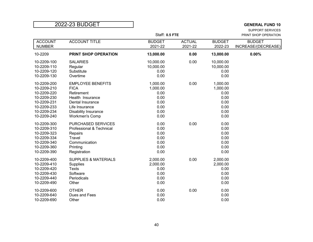SUPPORT SERVICES Staff: **0.5 FTE** PRINT SHOP OPERATION

| <b>ACCOUNT</b><br><b>NUMBER</b>                                                                                      | <b>ACCOUNT TITLE</b>                                                                                                                                             | <b>BUDGET</b><br>2021-22                                             | <b>ACTUAL</b><br>2021-22 | <b>BUDGET</b><br>2022-23                                             | <b>BUDGET</b><br>INCREASE/(DECREASE) |
|----------------------------------------------------------------------------------------------------------------------|------------------------------------------------------------------------------------------------------------------------------------------------------------------|----------------------------------------------------------------------|--------------------------|----------------------------------------------------------------------|--------------------------------------|
| 10-2209                                                                                                              | PRINT SHOP OPERATION                                                                                                                                             | 13,000.00                                                            | 0.00                     | 13,000.00                                                            | 0.00%                                |
| 10-2209-100<br>10-2209-110<br>10-2209-120<br>10-2209-130                                                             | <b>SALARIES</b><br>Regular<br>Substitute<br>Overtime                                                                                                             | 10,000.00<br>10,000.00<br>0.00<br>0.00                               | 0.00                     | 10,000.00<br>10,000.00<br>0.00<br>0.00                               |                                      |
| 10-2209-200<br>10-2209-210<br>10-2209-220<br>10-2209-230<br>10-2209-231<br>10-2209-233<br>10-2209-234<br>10-2209-240 | <b>EMPLOYEE BENEFITS</b><br><b>FICA</b><br>Retirement<br>Health Insurance<br>Dental Insurance<br>Life Insurance<br>Disability Insurance<br><b>Workmen's Comp</b> | 1,000.00<br>1,000.00<br>0.00<br>0.00<br>0.00<br>0.00<br>0.00<br>0.00 | 0.00                     | 1,000.00<br>1,000.00<br>0.00<br>0.00<br>0.00<br>0.00<br>0.00<br>0.00 |                                      |
| 10-2209-300<br>10-2209-310<br>10-2209-323<br>10-2209-334<br>10-2209-340<br>10-2209-360<br>10-2209-390                | <b>PURCHASED SERVICES</b><br>Professional & Technical<br>Repairs<br>Travel<br>Communication<br>Printing<br>Registration                                          | 0.00<br>0.00<br>0.00<br>0.00<br>0.00<br>0.00<br>0.00                 | 0.00                     | 0.00<br>0.00<br>0.00<br>0.00<br>0.00<br>0.00<br>0.00                 |                                      |
| 10-2209-400<br>10-2209-410<br>10-2209-420<br>10-2209-430<br>10-2209-440<br>10-2209-490                               | <b>SUPPLIES &amp; MATERIALS</b><br>Supplies<br><b>Texts</b><br>Software<br>Periodicals<br>Other                                                                  | 2,000.00<br>2,000.00<br>0.00<br>0.00<br>0.00<br>0.00                 | 0.00                     | 2,000.00<br>2,000.00<br>0.00<br>0.00<br>0.00<br>0.00                 |                                      |
| 10-2209-600<br>10-2209-640<br>10-2209-690                                                                            | <b>OTHER</b><br>Dues and Fees<br>Other                                                                                                                           | 0.00<br>0.00<br>0.00                                                 | 0.00                     | 0.00<br>0.00<br>0.00                                                 |                                      |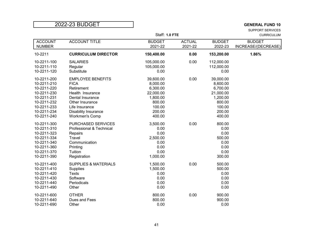SUPPORT SERVICES Staff: 1.0 FTE CURRICULUM

| <b>ACCOUNT</b><br><b>NUMBER</b>                                                                                                     | <b>ACCOUNT TITLE</b>                                                                                                                                                                | <b>BUDGET</b><br>2021-22                                                                           | <b>ACTUAL</b><br>2021-22 | <b>BUDGET</b><br>2022-23                                                                           | <b>BUDGET</b><br>INCREASE/(DECREASE) |
|-------------------------------------------------------------------------------------------------------------------------------------|-------------------------------------------------------------------------------------------------------------------------------------------------------------------------------------|----------------------------------------------------------------------------------------------------|--------------------------|----------------------------------------------------------------------------------------------------|--------------------------------------|
| 10-2211                                                                                                                             | <b>CURRICULUM DIRECTOR</b>                                                                                                                                                          | 150,400.00                                                                                         | 0.00                     | 153,200.00                                                                                         | 1.86%                                |
| 10-2211-100<br>10-2211-110<br>10-2211-120                                                                                           | <b>SALARIES</b><br>Regular<br>Substitute                                                                                                                                            | 105,000.00<br>105,000.00<br>0.00                                                                   | 0.00                     | 112,000.00<br>112,000.00<br>0.00                                                                   |                                      |
| 10-2211-200<br>10-2211-210<br>10-2211-220<br>10-2211-230<br>10-2211-231<br>10-2211-232<br>10-2211-233<br>10-2211-234<br>10-2211-240 | <b>EMPLOYEE BENEFITS</b><br><b>FICA</b><br>Retirement<br>Health Insurance<br>Dental Insurance<br>Other Insurance<br>Life Insurance<br>Disability Insurance<br><b>Workmen's Comp</b> | 39,600.00<br>8,000.00<br>6,300.00<br>22,000.00<br>1,800.00<br>800.00<br>100.00<br>200.00<br>400.00 | 0.00                     | 39,000.00<br>8,600.00<br>6,700.00<br>21,000.00<br>1,200.00<br>800.00<br>100.00<br>200.00<br>400.00 |                                      |
| 10-2211-300<br>10-2211-310<br>10-2211-323<br>10-2211-334<br>10-2211-340<br>10-2211-360<br>10-2211-370<br>10-2211-390                | PURCHASED SERVICES<br>Professional & Technical<br>Repairs<br>Travel<br>Communication<br>Printing<br>Tuition<br>Registration                                                         | 3,500.00<br>0.00<br>0.00<br>2,500.00<br>0.00<br>0.00<br>0.00<br>1,000.00                           | 0.00                     | 800.00<br>0.00<br>0.00<br>500.00<br>0.00<br>0.00<br>0.00<br>300.00                                 |                                      |
| 10-2211-400<br>10-2211-410<br>10-2211-420<br>10-2211-430<br>10-2211-440<br>10-2211-490                                              | <b>SUPPLIES &amp; MATERIALS</b><br>Supplies<br><b>Texts</b><br>Software<br>Periodicals<br>Other                                                                                     | 1,500.00<br>1,500.00<br>0.00<br>0.00<br>0.00<br>0.00                                               | 0.00                     | 500.00<br>500.00<br>0.00<br>0.00<br>0.00<br>0.00                                                   |                                      |
| 10-2211-600<br>10-2211-640<br>10-2211-690                                                                                           | <b>OTHER</b><br>Dues and Fees<br>Other                                                                                                                                              | 800.00<br>800.00<br>0.00                                                                           | 0.00                     | 900.00<br>900.00<br>0.00                                                                           |                                      |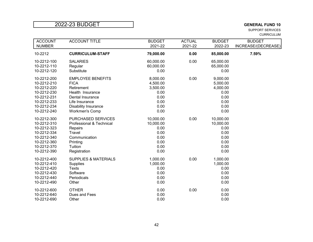SUPPORT SERVICES CURRICULUM

| <b>ACCOUNT</b><br><b>NUMBER</b> | <b>ACCOUNT TITLE</b>            | <b>BUDGET</b><br>2021-22 | <b>ACTUAL</b><br>2021-22 | <b>BUDGET</b><br>2022-23 | <b>BUDGET</b><br>INCREASE/(DECREASE) |
|---------------------------------|---------------------------------|--------------------------|--------------------------|--------------------------|--------------------------------------|
| 10-2212                         | <b>CURRICULUM-STAFF</b>         | 79,000.00                | 0.00                     | 85,000.00                | 7.59%                                |
| 10-2212-100                     | <b>SALARIES</b>                 | 60,000.00                | 0.00                     | 65,000.00                |                                      |
| 10-2212-110<br>10-2212-120      | Regular<br>Substitute           | 60,000.00<br>0.00        |                          | 65,000.00<br>0.00        |                                      |
| 10-2212-200                     | <b>EMPLOYEE BENEFITS</b>        | 8,000.00                 | 0.00                     | 9,000.00                 |                                      |
| 10-2212-210                     | <b>FICA</b>                     | 4,500.00                 |                          | 5,000.00                 |                                      |
| 10-2212-220                     | Retirement                      | 3,500.00                 |                          | 4,000.00                 |                                      |
| 10-2212-230                     | Health Insurance                | 0.00                     |                          | 0.00                     |                                      |
| 10-2212-231                     | Dental Insurance                | 0.00                     |                          | 0.00                     |                                      |
| 10-2212-233                     | Life Insurance                  | 0.00                     |                          | 0.00                     |                                      |
| 10-2212-234                     | <b>Disability Insurance</b>     | 0.00                     |                          | 0.00                     |                                      |
| 10-2212-240                     | <b>Workmen's Comp</b>           | 0.00                     |                          | 0.00                     |                                      |
| 10-2212-300                     | PURCHASED SERVICES              | 10,000.00                | 0.00                     | 10,000.00                |                                      |
| 10-2212-310                     | Professional & Technical        | 10,000.00                |                          | 10,000.00                |                                      |
| 10-2212-323                     | Repairs                         | 0.00                     |                          | 0.00                     |                                      |
| 10-2212-334                     | Travel                          | 0.00                     |                          | 0.00                     |                                      |
| 10-2212-340                     | Communication                   | 0.00                     |                          | 0.00                     |                                      |
| 10-2212-360                     | Printing                        | 0.00                     |                          | 0.00                     |                                      |
| 10-2212-370                     | Tuition                         | 0.00                     |                          | 0.00                     |                                      |
| 10-2212-390                     | Registration                    | 0.00                     |                          | 0.00                     |                                      |
| 10-2212-400                     | <b>SUPPLIES &amp; MATERIALS</b> | 1,000.00                 | 0.00                     | 1,000.00                 |                                      |
| 10-2212-410                     | <b>Supplies</b>                 | 1,000.00                 |                          | 1,000.00                 |                                      |
| 10-2212-420                     | <b>Texts</b>                    | 0.00                     |                          | 0.00                     |                                      |
| 10-2212-430                     | Software                        | 0.00                     |                          | 0.00                     |                                      |
| 10-2212-440                     | Periodicals                     | 0.00                     |                          | 0.00                     |                                      |
| 10-2212-490                     | Other                           | 0.00                     |                          | 0.00                     |                                      |
| 10-2212-600                     | <b>OTHER</b>                    | 0.00                     | 0.00                     | 0.00                     |                                      |
| 10-2212-640                     | Dues and Fees                   | 0.00                     |                          | 0.00                     |                                      |
| 10-2212-690                     | Other                           | 0.00                     |                          | 0.00                     |                                      |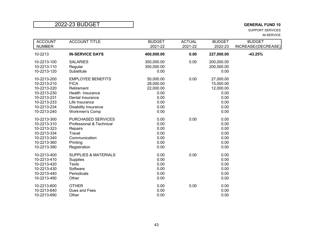SUPPORT SERVICES IN-SERVICE

| <b>ACCOUNT</b> | <b>ACCOUNT TITLE</b>            | <b>BUDGET</b> | <b>ACTUAL</b> | <b>BUDGET</b> | <b>BUDGET</b>       |
|----------------|---------------------------------|---------------|---------------|---------------|---------------------|
| <b>NUMBER</b>  |                                 | 2021-22       | 2021-22       | 2022-23       | INCREASE/(DECREASE) |
| 10-2213        | <b>IN-SERVICE DAYS</b>          | 400,000.00    | 0.00          | 227,000.00    | $-43.25%$           |
| 10-2213-100    | <b>SALARIES</b>                 | 350,000.00    | 0.00          | 200,000.00    |                     |
| 10-2213-110    | Regular                         | 350,000.00    |               | 200,000.00    |                     |
| 10-2213-120    | Substitute                      | 0.00          |               | 0.00          |                     |
| 10-2213-200    | <b>EMPLOYEE BENEFITS</b>        | 50,000.00     | 0.00          | 27,000.00     |                     |
| 10-2213-210    | <b>FICA</b>                     | 28,000.00     |               | 15,000.00     |                     |
| 10-2213-220    | Retirement                      | 22,000.00     |               | 12,000.00     |                     |
| 10-2213-230    | Health Insurance                | 0.00          |               | 0.00          |                     |
| 10-2213-231    | Dental Insurance                | 0.00          |               | 0.00          |                     |
| 10-2213-233    | Life Insurance                  | 0.00          |               | 0.00          |                     |
| 10-2213-234    | <b>Disability Insurance</b>     | 0.00          |               | 0.00          |                     |
| 10-2213-240    | <b>Workmen's Comp</b>           | 0.00          |               | 0.00          |                     |
| 10-2213-300    | PURCHASED SERVICES              | 0.00          | 0.00          | 0.00          |                     |
| 10-2213-310    | Professional & Technical        | 0.00          |               | 0.00          |                     |
| 10-2213-323    | Repairs                         | 0.00          |               | 0.00          |                     |
| 10-2213-334    | Travel                          | 0.00          |               | 0.00          |                     |
| 10-2213-340    | Communication                   | 0.00          |               | 0.00          |                     |
| 10-2213-360    | Printing                        | 0.00          |               | 0.00          |                     |
| 10-2213-390    | Registration                    | 0.00          |               | 0.00          |                     |
| 10-2213-400    | <b>SUPPLIES &amp; MATERIALS</b> | 0.00          | 0.00          | 0.00          |                     |
| 10-2213-410    | <b>Supplies</b>                 | 0.00          |               | 0.00          |                     |
| 10-2213-420    | <b>Texts</b>                    | 0.00          |               | 0.00          |                     |
| 10-2213-430    | Software                        | 0.00          |               | 0.00          |                     |
| 10-2213-440    | Periodicals                     | 0.00          |               | 0.00          |                     |
| 10-2213-490    | Other                           | 0.00          |               | 0.00          |                     |
| 10-2213-600    | <b>OTHER</b>                    | 0.00          | 0.00          | 0.00          |                     |
| 10-2213-640    | Dues and Fees                   | 0.00          |               | 0.00          |                     |
| 10-2213-690    | Other                           | 0.00          |               | 0.00          |                     |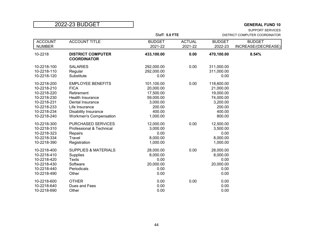SUPPORT SERVICES

|                                 |                                                | Staff: 5.0 FTE           |                          | DISTRICT COMPUTER COORDINATOR |                     |
|---------------------------------|------------------------------------------------|--------------------------|--------------------------|-------------------------------|---------------------|
| <b>ACCOUNT</b><br><b>NUMBER</b> | <b>ACCOUNT TITLE</b>                           | <b>BUDGET</b><br>2021-22 | <b>ACTUAL</b><br>2021-22 | <b>BUDGET</b><br>2022-23      | <b>BUDGET</b>       |
|                                 |                                                |                          |                          |                               | INCREASE/(DECREASE) |
| 10-2218                         | <b>DISTRICT COMPUTER</b><br><b>COORDINATOR</b> | 433,100.00               | 0.00                     | 470,100.00                    | 8.54%               |
| 10-2218-100                     | <b>SALARIES</b>                                | 292,000.00               | 0.00                     | 311,000.00                    |                     |
| 10-2218-110                     | Regular                                        | 292,000.00               |                          | 311,000.00                    |                     |
| 10-2218-120                     | Substitute                                     | 0.00                     |                          | 0.00                          |                     |
| 10-2218-200                     | <b>EMPLOYEE BENEFITS</b>                       | 101,100.00               | 0.00                     | 118,600.00                    |                     |
| 10-2218-210                     | <b>FICA</b>                                    | 20,000.00                |                          | 21,000.00                     |                     |
| 10-2218-220                     | Retirement                                     | 17,500.00                |                          | 19,000.00                     |                     |
| 10-2218-230                     | <b>Health Insurance</b>                        | 59,000.00                |                          | 74,000.00                     |                     |
| 10-2218-231                     | Dental Insurance                               | 3,000.00                 |                          | 3,200.00                      |                     |
| 10-2218-233                     | Life Insurance                                 | 200.00                   |                          | 200.00                        |                     |
| 10-2218-234                     | Disability Insurance                           | 400.00                   |                          | 400.00                        |                     |
| 10-2218-240                     | <b>Workmen's Compensation</b>                  | 1,000.00                 |                          | 800.00                        |                     |
| 10-2218-300                     | PURCHASED SERVICES                             | 12,000.00                | 0.00                     | 12,500.00                     |                     |
| 10-2218-310                     | Professional & Technical                       | 3,000.00                 |                          | 3,500.00                      |                     |
| 10-2218-323                     | Repairs                                        | 0.00                     |                          | 0.00                          |                     |
| 10-2218-334                     | Travel                                         | 8,000.00                 |                          | 8,000.00                      |                     |
| 10-2218-390                     | Registration                                   | 1,000.00                 |                          | 1,000.00                      |                     |
| 10-2218-400                     | <b>SUPPLIES &amp; MATERIALS</b>                | 28,000.00                | 0.00                     | 28,000.00                     |                     |
| 10-2218-410                     | <b>Supplies</b>                                | 8,000.00                 |                          | 8,000.00                      |                     |
| 10-2218-420                     | <b>Texts</b>                                   | 0.00                     |                          | 0.00                          |                     |
| 10-2218-430                     | Software                                       | 20,000.00                |                          | 20,000.00                     |                     |
| 10-2218-440                     | Periodicals                                    | 0.00                     |                          | 0.00                          |                     |
| 10-2218-490                     | Other                                          | 0.00                     |                          | 0.00                          |                     |
| 10-2218-600                     | <b>OTHER</b>                                   | 0.00                     | 0.00                     | 0.00                          |                     |
| 10-2218-640                     | Dues and Fees                                  | 0.00                     |                          | 0.00                          |                     |
| 10-2218-690                     | Other                                          | 0.00                     |                          | 0.00                          |                     |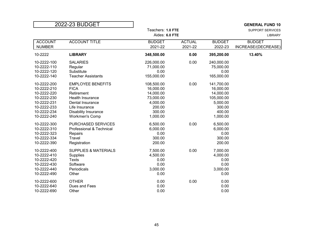|                | 2022-23 BUDGET                  |                   |               |               | <b>GENERAL FUND 10</b>  |
|----------------|---------------------------------|-------------------|---------------|---------------|-------------------------|
|                |                                 | Teachers: 1.0 FTE |               |               | <b>SUPPORT SERVICES</b> |
|                |                                 | Aides: 6.0 FTE    |               |               | LIBRARY                 |
| <b>ACCOUNT</b> | <b>ACCOUNT TITLE</b>            | <b>BUDGET</b>     | <b>ACTUAL</b> | <b>BUDGET</b> | <b>BUDGET</b>           |
| <b>NUMBER</b>  |                                 | 2021-22           | 2021-22       | 2022-23       | INCREASE/(DECREASE)     |
| 10-2222        | <b>LIBRARY</b>                  | 348,500.00        | 0.00          | 395,200.00    | 13.40%                  |
| 10-2222-100    | <b>SALARIES</b>                 | 226,000.00        | 0.00          | 240,000.00    |                         |
| 10-2222-110    | Regular                         | 71,000.00         |               | 75,000.00     |                         |
| 10-2222-120    | Substitute                      | 0.00              |               | 0.00          |                         |
| 10-2222-140    | <b>Teacher Assistants</b>       | 155,000.00        |               | 165,000.00    |                         |
| 10-2222-200    | <b>EMPLOYEE BENEFITS</b>        | 108,500.00        | 0.00          | 141,700.00    |                         |
| 10-2222-210    | <b>FICA</b>                     | 16,000.00         |               | 16,000.00     |                         |
| 10-2222-220    | Retirement                      | 14,000.00         |               | 14,000.00     |                         |
| 10-2222-230    | <b>Health Insurance</b>         | 73,000.00         |               | 105,000.00    |                         |
| 10-2222-231    | Dental Insurance                | 4,000.00          |               | 5,000.00      |                         |
| 10-2222-233    | Life Insurance                  | 200.00            |               | 300.00        |                         |
| 10-2222-234    | <b>Disability Insurance</b>     | 300.00            |               | 400.00        |                         |
| 10-2222-240    | <b>Workmen's Comp</b>           | 1,000.00          |               | 1,000.00      |                         |
| 10-2222-300    | PURCHASED SERVICES              | 6,500.00          | 0.00          | 6,500.00      |                         |
| 10-2222-310    | Professional & Technical        | 6,000.00          |               | 6,000.00      |                         |
| 10-2222-323    | Repairs                         | 0.00              |               | 0.00          |                         |
| 10-2222-334    | Travel                          | 300.00            |               | 300.00        |                         |
| 10-2222-390    | Registration                    | 200.00            |               | 200.00        |                         |
| 10-2222-400    | <b>SUPPLIES &amp; MATERIALS</b> | 7,500.00          | 0.00          | 7,000.00      |                         |
| 10-2222-410    | Supplies                        | 4,500.00          |               | 4,000.00      |                         |
| 10-2222-420    | <b>Texts</b>                    | 0.00              |               | 0.00          |                         |
| 10-2222-430    | Software                        | 0.00              |               | 0.00          |                         |
| 10-2222-440    | Periodicals                     | 3,000.00          |               | 3,000.00      |                         |
| 10-2222-490    | Other                           | 0.00              |               | 0.00          |                         |
| 10-2222-600    | <b>OTHER</b>                    | 0.00              | 0.00          | 0.00          |                         |
| 10-2222-640    | Dues and Fees                   | 0.00              |               | 0.00          |                         |
| 10-2222-690    | Other                           | 0.00              |               | 0.00          |                         |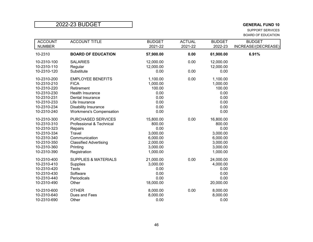SUPPORT SERVICES BOARD OF EDUCATION

| <b>ACCOUNT</b><br><b>NUMBER</b> | <b>ACCOUNT TITLE</b>            | <b>BUDGET</b><br>2021-22 | <b>ACTUAL</b><br>2021-22 | <b>BUDGET</b><br>2022-23 | <b>BUDGET</b><br>INCREASE/(DECREASE) |
|---------------------------------|---------------------------------|--------------------------|--------------------------|--------------------------|--------------------------------------|
| 10-2310                         | <b>BOARD OF EDUCATION</b>       | 57,900.00                | 0.00                     | 61,900.00                | 6.91%                                |
| 10-2310-100                     | <b>SALARIES</b>                 | 12,000.00                | 0.00                     | 12,000.00                |                                      |
| 10-2310-110                     | Regular                         | 12,000.00                |                          | 12,000.00                |                                      |
| 10-2310-120                     | Substitute                      | 0.00                     | 0.00                     | 0.00                     |                                      |
| 10-2310-200                     | <b>EMPLOYEE BENEFITS</b>        | 1,100.00                 | 0.00                     | 1,100.00                 |                                      |
| 10-2310-210                     | <b>FICA</b>                     | 1,000.00                 |                          | 1,000.00                 |                                      |
| 10-2310-220                     | Retirement                      | 100.00                   |                          | 100.00                   |                                      |
| 10-2310-230                     | <b>Health Insurance</b>         | 0.00                     |                          | 0.00                     |                                      |
| 10-2310-231                     | Dental Insurance                | 0.00                     |                          | 0.00                     |                                      |
| 10-2310-233                     | Life Insurance                  | 0.00                     |                          | 0.00                     |                                      |
| 10-2310-234                     | <b>Disability Insurance</b>     | 0.00                     |                          | 0.00                     |                                      |
| 10-2310-240                     | <b>Workmens's Compensation</b>  | 0.00                     |                          | 0.00                     |                                      |
| 10-2310-300                     | PURCHASED SERVICES              | 15,800.00                | 0.00                     | 16,800.00                |                                      |
| 10-2310-310                     | Professional & Technical        | 800.00                   |                          | 800.00                   |                                      |
| 10-2310-323                     | Repairs                         | 0.00                     |                          | 0.00                     |                                      |
| 10-2310-334                     | Travel                          | 3,000.00                 |                          | 3,000.00                 |                                      |
| 10-2310-340                     | Communication                   | 6,000.00                 |                          | 6,000.00                 |                                      |
| 10-2310-350                     | <b>Classified Advertising</b>   | 2,000.00                 |                          | 3,000.00                 |                                      |
| 10-2310-360                     | Printing                        | 3,000.00                 |                          | 3,000.00                 |                                      |
| 10-2310-390                     | Registration                    | 1,000.00                 |                          | 1,000.00                 |                                      |
| 10-2310-400                     | <b>SUPPLIES &amp; MATERIALS</b> | 21,000.00                | 0.00                     | 24,000.00                |                                      |
| 10-2310-410                     | <b>Supplies</b>                 | 3,000.00                 |                          | 4,000.00                 |                                      |
| 10-2310-420                     | <b>Texts</b>                    | 0.00                     |                          | 0.00                     |                                      |
| 10-2310-430                     | Software                        | 0.00                     |                          | 0.00                     |                                      |
| 10-2310-440                     | Periodicals                     | 0.00                     |                          | 0.00                     |                                      |
| 10-2310-490                     | Other                           | 18,000.00                |                          | 20,000.00                |                                      |
| 10-2310-600                     | <b>OTHER</b>                    | 8,000.00                 | 0.00                     | 8,000.00                 |                                      |
| 10-2310-640                     | Dues and Fees                   | 8,000.00                 |                          | 8,000.00                 |                                      |
| 10-2310-690                     | Other                           | 0.00                     |                          | 0.00                     |                                      |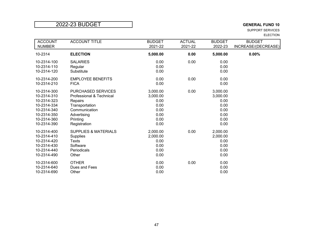SUPPORT SERVICES ELECTION

| <b>ACCOUNT</b> | <b>ACCOUNT TITLE</b>            | <b>BUDGET</b> | <b>ACTUAL</b> | <b>BUDGET</b> | <b>BUDGET</b>       |
|----------------|---------------------------------|---------------|---------------|---------------|---------------------|
| <b>NUMBER</b>  |                                 | 2021-22       | 2021-22       | 2022-23       | INCREASE/(DECREASE) |
| 10-2314        | <b>ELECTION</b>                 | 5,000.00      | 0.00          | 5,000.00      | 0.00%               |
| 10-2314-100    | <b>SALARIES</b>                 | 0.00          | 0.00          | 0.00          |                     |
| 10-2314-110    | Regular                         | 0.00          |               | 0.00          |                     |
| 10-2314-120    | Substitute                      | 0.00          |               | 0.00          |                     |
| 10-2314-200    | <b>EMPLOYEE BENEFITS</b>        | 0.00          | 0.00          | 0.00          |                     |
| 10-2314-210    | <b>FICA</b>                     | 0.00          |               | 0.00          |                     |
| 10-2314-300    | <b>PURCHASED SERVICES</b>       | 3,000.00      | 0.00          | 3,000.00      |                     |
| 10-2314-310    | Professional & Technical        | 3,000.00      |               | 3,000.00      |                     |
| 10-2314-323    | Repairs                         | 0.00          |               | 0.00          |                     |
| 10-2314-334    | Transportation                  | 0.00          |               | 0.00          |                     |
| 10-2314-340    | Communication                   | 0.00          |               | 0.00          |                     |
| 10-2314-350    | Advertising                     | 0.00          |               | 0.00          |                     |
| 10-2314-360    | Printing                        | 0.00          |               | 0.00          |                     |
| 10-2314-390    | Registration                    | 0.00          |               | 0.00          |                     |
| 10-2314-400    | <b>SUPPLIES &amp; MATERIALS</b> | 2,000.00      | 0.00          | 2,000.00      |                     |
| 10-2314-410    | <b>Supplies</b>                 | 2,000.00      |               | 2,000.00      |                     |
| 10-2314-420    | Texts                           | 0.00          |               | 0.00          |                     |
| 10-2314-430    | Software                        | 0.00          |               | 0.00          |                     |
| 10-2314-440    | Periodicals                     | 0.00          |               | 0.00          |                     |
| 10-2314-490    | Other                           | 0.00          |               | 0.00          |                     |
| 10-2314-600    | <b>OTHER</b>                    | 0.00          | 0.00          | 0.00          |                     |
| 10-2314-640    | Dues and Fees                   | 0.00          |               | 0.00          |                     |
| 10-2314-690    | Other                           | 0.00          |               | 0.00          |                     |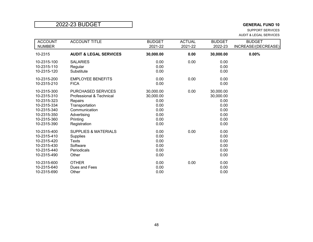SUPPORT SERVICES AUDIT & LEGAL SERVICES

| <b>ACCOUNT</b> | <b>ACCOUNT TITLE</b>              | <b>BUDGET</b> | <b>ACTUAL</b> | <b>BUDGET</b> | <b>BUDGET</b>       |
|----------------|-----------------------------------|---------------|---------------|---------------|---------------------|
| <b>NUMBER</b>  |                                   | 2021-22       | 2021-22       | 2022-23       | INCREASE/(DECREASE) |
| 10-2315        | <b>AUDIT &amp; LEGAL SERVICES</b> | 30,000.00     | 0.00          | 30,000.00     | 0.00%               |
| 10-2315-100    | <b>SALARIES</b>                   | 0.00          | 0.00          | 0.00          |                     |
| 10-2315-110    | Regular                           | 0.00          |               | 0.00          |                     |
| 10-2315-120    | Substitute                        | 0.00          |               | 0.00          |                     |
| 10-2315-200    | <b>EMPLOYEE BENEFITS</b>          | 0.00          | 0.00          | 0.00          |                     |
| 10-2315-210    | <b>FICA</b>                       | 0.00          |               | 0.00          |                     |
| 10-2315-300    | <b>PURCHASED SERVICES</b>         | 30,000.00     | 0.00          | 30,000.00     |                     |
| 10-2315-310    | Professional & Technical          | 30,000.00     |               | 30,000.00     |                     |
| 10-2315-323    | Repairs                           | 0.00          |               | 0.00          |                     |
| 10-2315-334    | Transportation                    | 0.00          |               | 0.00          |                     |
| 10-2315-340    | Communication                     | 0.00          |               | 0.00          |                     |
| 10-2315-350    | Advertising                       | 0.00          |               | 0.00          |                     |
| 10-2315-360    | Printing                          | 0.00          |               | 0.00          |                     |
| 10-2315-390    | Registration                      | 0.00          |               | 0.00          |                     |
| 10-2315-400    | <b>SUPPLIES &amp; MATERIALS</b>   | 0.00          | 0.00          | 0.00          |                     |
| 10-2315-410    | <b>Supplies</b>                   | 0.00          |               | 0.00          |                     |
| 10-2315-420    | Texts                             | 0.00          |               | 0.00          |                     |
| 10-2315-430    | Software                          | 0.00          |               | 0.00          |                     |
| 10-2315-440    | Periodicals                       | 0.00          |               | 0.00          |                     |
| 10-2315-490    | Other                             | 0.00          |               | 0.00          |                     |
| 10-2315-600    | <b>OTHER</b>                      | 0.00          | 0.00          | 0.00          |                     |
| 10-2315-640    | Dues and Fees                     | 0.00          |               | 0.00          |                     |
| 10-2315-690    | Other                             | 0.00          |               | 0.00          |                     |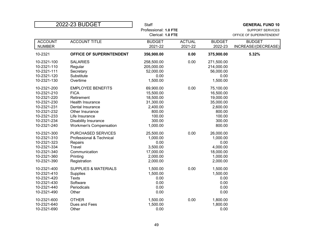|                | 2022-23 BUDGET                  | <b>Staff</b>          |               |                         | <b>GENERAL FUND 10</b>   |  |
|----------------|---------------------------------|-----------------------|---------------|-------------------------|--------------------------|--|
|                |                                 | Professional: 1.0 FTE |               | <b>SUPPORT SERVICES</b> |                          |  |
|                |                                 | Clerical: 1.0 FTE     |               |                         | OFFICE OF SUPERINTENDENT |  |
| <b>ACCOUNT</b> | <b>ACCOUNT TITLE</b>            | <b>BUDGET</b>         | <b>ACTUAL</b> | <b>BUDGET</b>           | <b>BUDGET</b>            |  |
| <b>NUMBER</b>  |                                 | 2021-22               | 2021-22       | 2022-23                 | INCREASE/(DECREASE)      |  |
| 10-2321        | OFFICE OF SUPERINTENDENT        | 356,900.00            | 0.00          | 375,900.00              | 5.32%                    |  |
| 10-2321-100    | <b>SALARIES</b>                 | 258,500.00            | 0.00          | 271,500.00              |                          |  |
| 10-2321-110    | Regular                         | 205,000.00            |               | 214,000.00              |                          |  |
| 10-2321-111    | Secretary                       | 52,000.00             |               | 56,000.00               |                          |  |
| 10-2321-120    | Substitute                      | 0.00                  |               | 0.00                    |                          |  |
| 10-2321-130    | Overtime                        | 1,500.00              |               | 1,500.00                |                          |  |
| 10-2321-200    | <b>EMPLOYEE BENEFITS</b>        | 69,900.00             | 0.00          | 75,100.00               |                          |  |
| 10-2321-210    | <b>FICA</b>                     | 15,500.00             |               | 16,500.00               |                          |  |
| 10-2321-220    | Retirement                      | 18,500.00             |               | 19,000.00               |                          |  |
| 10-2321-230    | Health Insurance                | 31,300.00             |               | 35,000.00               |                          |  |
| 10-2321-231    | Dental Insurance                | 2,400.00              |               | 2,600.00                |                          |  |
| 10-2321-232    | Other Insurance                 | 800.00                |               | 800.00                  |                          |  |
| 10-2321-233    | Life Insurance                  | 100.00                |               | 100.00                  |                          |  |
| 10-2321-234    | <b>Disability Insurance</b>     | 300.00                |               | 300.00                  |                          |  |
| 10-2321-240    | <b>Workmen's Compensation</b>   | 1,000.00              |               | 800.00                  |                          |  |
| 10-2321-300    | <b>PURCHASED SERVICES</b>       | 25,500.00             | 0.00          | 26,000.00               |                          |  |
| 10-2321-310    | Professional & Technical        | 1,000.00              |               | 1,000.00                |                          |  |
| 10-2321-323    | Repairs                         | 0.00                  |               | 0.00                    |                          |  |
| 10-2321-334    | Travel                          | 3,500.00              |               | 4,000.00                |                          |  |
| 10-2321-340    | Communication                   | 17,000.00             |               | 18,000.00               |                          |  |
| 10-2321-360    | Printing                        | 2,000.00              |               | 1,000.00                |                          |  |
| 10-2321-390    | Registration                    | 2,000.00              |               | 2,000.00                |                          |  |
| 10-2321-400    | <b>SUPPLIES &amp; MATERIALS</b> | 1,500.00              | 0.00          | 1,500.00                |                          |  |
| 10-2321-410    | <b>Supplies</b>                 | 1,500.00              |               | 1,500.00                |                          |  |
| 10-2321-420    | <b>Texts</b>                    | 0.00                  |               | 0.00                    |                          |  |
| 10-2321-430    | Software                        | 0.00                  |               | 0.00                    |                          |  |
| 10-2321-440    | Periodicals                     | 0.00                  |               | 0.00                    |                          |  |
| 10-2321-490    | Other                           | 0.00                  |               | 0.00                    |                          |  |
| 10-2321-600    | <b>OTHER</b>                    | 1,500.00              | 0.00          | 1,800.00                |                          |  |
| 10-2321-640    | Dues and Fees                   | 1,500.00              |               | 1,800.00                |                          |  |
| 10-2321-690    | Other                           | 0.00                  |               | 0.00                    |                          |  |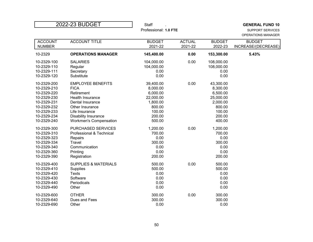| 2022-23 BUDGET                  |                                 | <b>Staff</b>             |                          |                          | <b>GENERAL FUND 10</b>                        |
|---------------------------------|---------------------------------|--------------------------|--------------------------|--------------------------|-----------------------------------------------|
|                                 |                                 | Professional: 1.0 FTE    |                          |                          | <b>SUPPORT SERVICES</b><br>OPERATIONS MANAGER |
|                                 |                                 |                          |                          |                          |                                               |
| <b>ACCOUNT</b><br><b>NUMBER</b> | <b>ACCOUNT TITLE</b>            | <b>BUDGET</b><br>2021-22 | <b>ACTUAL</b><br>2021-22 | <b>BUDGET</b><br>2022-23 | <b>BUDGET</b><br>INCREASE/(DECREASE)          |
|                                 |                                 |                          |                          |                          |                                               |
| 10-2329                         | <b>OPERATIONS MANAGER</b>       | 145,400.00               | 0.00                     | 153,300.00               | 5.43%                                         |
| 10-2329-100                     | <b>SALARIES</b>                 | 104,000.00               | 0.00                     | 108,000.00               |                                               |
| 10-2329-110                     | Regular                         | 104,000.00               |                          | 108,000.00               |                                               |
| 10-2329-111                     | Secretary                       | 0.00                     |                          | 0.00                     |                                               |
| 10-2329-120                     | Substitute                      | 0.00                     |                          | 0.00                     |                                               |
| 10-2329-200                     | <b>EMPLOYEE BENEFITS</b>        | 39,400.00                | 0.00                     | 43,300.00                |                                               |
| 10-2329-210                     | <b>FICA</b>                     | 8,000.00                 |                          | 8,300.00                 |                                               |
| 10-2329-220                     | Retirement                      | 6,000.00                 |                          | 6,500.00                 |                                               |
| 10-2329-230                     | Health Insurance                | 22,000.00                |                          | 25,000.00                |                                               |
| 10-2329-231                     | Dental Insurance                | 1,800.00                 |                          | 2,000.00                 |                                               |
| 10-2329-232                     | Other Insurance                 | 800.00                   |                          | 800.00                   |                                               |
| 10-2329-233                     | Life Insurance                  | 100.00                   |                          | 100.00                   |                                               |
| 10-2329-234                     | Disability Insurance            | 200.00                   |                          | 200.00                   |                                               |
| 10-2329-240                     | <b>Workmen's Compensation</b>   | 500.00                   |                          | 400.00                   |                                               |
| 10-2329-300                     | <b>PURCHASED SERVICES</b>       | 1,200.00                 | 0.00                     | 1,200.00                 |                                               |
| 10-2329-310                     | Professional & Technical        | 700.00                   |                          | 700.00                   |                                               |
| 10-2329-323                     | Repairs                         | 0.00                     |                          | 0.00                     |                                               |
| 10-2329-334                     | Travel                          | 300.00                   |                          | 300.00                   |                                               |
| 10-2329-340                     | Communication                   | 0.00                     |                          | 0.00                     |                                               |
| 10-2329-360                     | Printing                        | 0.00                     |                          | 0.00                     |                                               |
| 10-2329-390                     | Registration                    | 200.00                   |                          | 200.00                   |                                               |
| 10-2329-400                     | <b>SUPPLIES &amp; MATERIALS</b> | 500.00                   | 0.00                     | 500.00                   |                                               |
| 10-2329-410                     | Supplies                        | 500.00                   |                          | 500.00                   |                                               |
| 10-2329-420                     | <b>Texts</b>                    | 0.00                     |                          | 0.00                     |                                               |
| 10-2329-430                     | Software                        | 0.00                     |                          | 0.00                     |                                               |
| 10-2329-440                     | Periodicals                     | 0.00                     |                          | 0.00                     |                                               |
| 10-2329-490                     | Other                           | 0.00                     |                          | 0.00                     |                                               |
| 10-2329-600                     | <b>OTHER</b>                    | 300.00                   | 0.00                     | 300.00                   |                                               |
| 10-2329-640                     | Dues and Fees                   | 300.00                   |                          | 300.00                   |                                               |
| 10-2329-690                     | Other                           | 0.00                     |                          | 0.00                     |                                               |
|                                 |                                 |                          |                          |                          |                                               |

**T**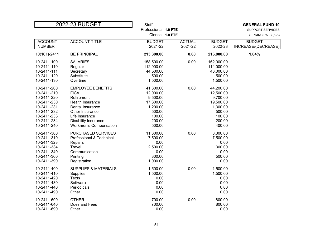| 2022-23 BUDGET |                                 | <b>Staff</b>          |                   |               | <b>GENERAL FUND 10</b>  |
|----------------|---------------------------------|-----------------------|-------------------|---------------|-------------------------|
|                |                                 | Professional: 1.0 FTE |                   |               | <b>SUPPORT SERVICES</b> |
|                |                                 |                       | Clerical: 1.0 FTE |               | BE PRINCIPALS (K-5)     |
| <b>ACCOUNT</b> | <b>ACCOUNT TITLE</b>            | <b>BUDGET</b>         | <b>ACTUAL</b>     | <b>BUDGET</b> | <b>BUDGET</b>           |
| <b>NUMBER</b>  |                                 | 2021-22               | 2021-22           | 2022-23       | INCREASE/(DECREASE)     |
| 10(101)-2411   | <b>BE PRINCIPAL</b>             | 213,300.00            | 0.00              | 216,800.00    | 1.64%                   |
| 10-2411-100    | <b>SALARIES</b>                 | 158,500.00            | 0.00              | 162,000.00    |                         |
| 10-2411-110    | Regular                         | 112,000.00            |                   | 114,000.00    |                         |
| 10-2411-111    | Secretary                       | 44,500.00             |                   | 46,000.00     |                         |
| 10-2411-120    | Substitute                      | 500.00                |                   | 500.00        |                         |
| 10-2411-130    | Overtime                        | 1,500.00              |                   | 1,500.00      |                         |
| 10-2411-200    | <b>EMPLOYEE BENEFITS</b>        | 41,300.00             | 0.00              | 44,200.00     |                         |
| 10-2411-210    | <b>FICA</b>                     | 12,000.00             |                   | 12,500.00     |                         |
| 10-2411-220    | Retirement                      | 9,500.00              |                   | 9,700.00      |                         |
| 10-2411-230    | Health Insurance                | 17,300.00             |                   | 19,500.00     |                         |
| 10-2411-231    | Dental Insurance                | 1,200.00              |                   | 1,300.00      |                         |
| 10-2411-232    | Other Insurance                 | 500.00                |                   | 500.00        |                         |
| 10-2411-233    | Life Insurance                  | 100.00                |                   | 100.00        |                         |
| 10-2411-234    | <b>Disability Insurance</b>     | 200.00                |                   | 200.00        |                         |
| 10-2411-240    | <b>Workmen's Compensation</b>   | 500.00                |                   | 400.00        |                         |
| 10-2411-300    | PURCHASED SERVICES              | 11,300.00             | 0.00              | 8,300.00      |                         |
| 10-2411-310    | Professional & Technical        | 7,500.00              |                   | 7,500.00      |                         |
| 10-2411-323    | Repairs                         | 0.00                  |                   | 0.00          |                         |
| 10-2411-334    | Travel                          | 2,500.00              |                   | 300.00        |                         |
| 10-2411-340    | Communication                   | 0.00                  |                   | 0.00          |                         |
| 10-2411-360    | Printing                        | 300.00                |                   | 500.00        |                         |
| 10-2411-390    | Registration                    | 1,000.00              |                   | 0.00          |                         |
| 10-2411-400    | <b>SUPPLIES &amp; MATERIALS</b> | 1,500.00              | 0.00              | 1,500.00      |                         |
| 10-2411-410    | Supplies                        | 1,500.00              |                   | 1,500.00      |                         |
| 10-2411-420    | <b>Texts</b>                    | 0.00                  |                   | 0.00          |                         |
| 10-2411-430    | Software                        | 0.00                  |                   | 0.00          |                         |
| 10-2411-440    | Periodicals                     | 0.00                  |                   | 0.00          |                         |
| 10-2411-490    | Other                           | 0.00                  |                   | 0.00          |                         |
| 10-2411-600    | <b>OTHER</b>                    | 700.00                | 0.00              | 800.00        |                         |
| 10-2411-640    | Dues and Fees                   | 700.00                |                   | 800.00        |                         |
| 10-2411-690    | Other                           | 0.00                  |                   | 0.00          |                         |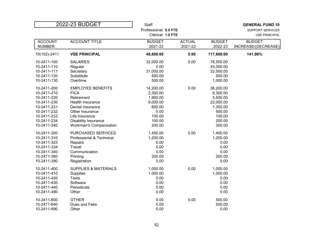| 2022-23 BUDGET |                                 | <b>Staff</b>      |                       |                      | <b>GENERAL FUND 10</b> |  |
|----------------|---------------------------------|-------------------|-----------------------|----------------------|------------------------|--|
|                |                                 |                   | Professional: 0.5 FTE |                      |                        |  |
|                |                                 | Clerical: 1.0 FTE |                       | <b>VSE PRINCIPAL</b> |                        |  |
| <b>ACCOUNT</b> | <b>ACCOUNT TITLE</b>            | <b>BUDGET</b>     | <b>ACTUAL</b>         | <b>BUDGET</b>        | <b>BUDGET</b>          |  |
| <b>NUMBER</b>  |                                 | 2021-22           | 2021-22               | 2022-23              | INCREASE/(DECREASE)    |  |
| 10(102)-2411   | <b>VSE PRINCIPAL</b>            | 48,600.00         | 0.00                  | 117,600.00           | 141.98%                |  |
| 10-2411-100    | <b>SALARIES</b>                 | 32,000.00         | 0.00                  | 78,500.00            |                        |  |
| 10-2411-110    | Regular                         | 0.00              |                       | 45,000.00            |                        |  |
| 10-2411-111    | Secretary                       | 31,000.00         |                       | 32,000.00            |                        |  |
| 10-2411-120    | Substitute                      | 500.00            |                       | 500.00               |                        |  |
| 10-2411-130    | Overtime                        | 500.00            |                       | 1,000.00             |                        |  |
| 10-2411-200    | <b>EMPLOYEE BENEFITS</b>        | 14,200.00         | 0.00                  | 36,200.00            |                        |  |
| 10-2411-210    | <b>FICA</b>                     | 2,300.00          |                       | 6,300.00             |                        |  |
| 10-2411-220    | Retirement                      | 1,900.00          |                       | 5,500.00             |                        |  |
| 10-2411-230    | Health Insurance                | 9,000.00          |                       | 22,000.00            |                        |  |
| 10-2411-231    | Dental Insurance                | 600.00            |                       | 1,300.00             |                        |  |
| 10-2411-232    | Other Insurance                 | 0.00              |                       | 500.00               |                        |  |
| 10-2411-233    | Life Insurance                  | 100.00            |                       | 100.00               |                        |  |
| 10-2411-234    | <b>Disability Insurance</b>     | 100.00            |                       | 200.00               |                        |  |
| 10-2411-240    | <b>Workmen's Compensation</b>   | 200.00            |                       | 300.00               |                        |  |
| 10-2411-300    | PURCHASED SERVICES              | 1,400.00          | 0.00                  | 1,400.00             |                        |  |
| 10-2411-310    | Professional & Technical        | 1,200.00          |                       | 1,200.00             |                        |  |
| 10-2411-323    | Repairs                         | 0.00              |                       | 0.00                 |                        |  |
| 10-2411-334    | Travel                          | 0.00              |                       | 0.00                 |                        |  |
| 10-2411-340    | Communication                   | 0.00              |                       | 0.00                 |                        |  |
| 10-2411-360    | Printing                        | 200.00            |                       | 200.00               |                        |  |
| 10-2411-390    | Registration                    | 0.00              |                       | 0.00                 |                        |  |
| 10-2411-400    | <b>SUPPLIES &amp; MATERIALS</b> | 1,000.00          | 0.00                  | 1,000.00             |                        |  |
| 10-2411-410    | Supplies                        | 1,000.00          |                       | 1,000.00             |                        |  |
| 10-2411-420    | <b>Texts</b>                    | 0.00              |                       | 0.00                 |                        |  |
| 10-2411-430    | Software                        | 0.00              |                       | 0.00                 |                        |  |
| 10-2411-440    | Periodicals                     | 0.00              |                       | 0.00                 |                        |  |
| 10-2411-490    | Other                           | 0.00              |                       | 0.00                 |                        |  |
| 10-2411-600    | <b>OTHER</b>                    | 0.00              | 0.00                  | 500.00               |                        |  |
| 10-2411-640    | Dues and Fees                   | 0.00              |                       | 500.00               |                        |  |
| 10-2411-690    | Other                           | 0.00              |                       | 0.00                 |                        |  |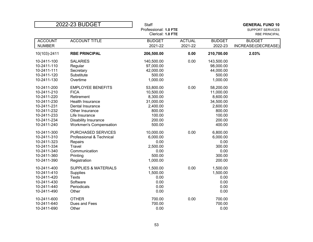| 2022-23 BUDGET |                                 | <b>Staff</b>                               |               |               | <b>GENERAL FUND 10</b>                   |
|----------------|---------------------------------|--------------------------------------------|---------------|---------------|------------------------------------------|
|                |                                 | Professional: 1.0 FTE<br>Clerical: 1.0 FTE |               |               | SUPPORT SERVICES<br><b>RBE PRINCIPAL</b> |
| <b>ACCOUNT</b> | <b>ACCOUNT TITLE</b>            | <b>BUDGET</b>                              | <b>ACTUAL</b> | <b>BUDGET</b> | <b>BUDGET</b>                            |
| <b>NUMBER</b>  |                                 | 2021-22                                    | 2021-22       | 2022-23       | INCREASE/(DECREASE)                      |
| 10(103)-2411   | <b>RBE PRINCIPAL</b>            | 206,500.00                                 | 0.00          | 210,700.00    | 2.03%                                    |
| 10-2411-100    | <b>SALARIES</b>                 | 140,500.00                                 | 0.00          | 143,500.00    |                                          |
| 10-2411-110    | Regular                         | 97,000.00                                  |               | 98,000.00     |                                          |
| 10-2411-111    | Secretary                       | 42,000.00                                  |               | 44,000.00     |                                          |
| 10-2411-120    | Substitute                      | 500.00                                     |               | 500.00        |                                          |
| 10-2411-130    | Overtime                        | 1,000.00                                   |               | 1,000.00      |                                          |
| 10-2411-200    | <b>EMPLOYEE BENEFITS</b>        | 53,800.00                                  | 0.00          | 58,200.00     |                                          |
| 10-2411-210    | <b>FICA</b>                     | 10,500.00                                  |               | 11,000.00     |                                          |
| 10-2411-220    | Retirement                      | 8,300.00                                   |               | 8,600.00      |                                          |
| 10-2411-230    | Health Insurance                | 31,000.00                                  |               | 34,500.00     |                                          |
| 10-2411-231    | Dental Insurance                | 2,400.00                                   |               | 2,600.00      |                                          |
| 10-2411-232    | Other Insurance                 | 800.00                                     |               | 800.00        |                                          |
| 10-2411-233    | Life Insurance                  | 100.00                                     |               | 100.00        |                                          |
| 10-2411-234    | Disability Insurance            | 200.00                                     |               | 200.00        |                                          |
| 10-2411-240    | <b>Workmen's Compensation</b>   | 500.00                                     |               | 400.00        |                                          |
| 10-2411-300    | PURCHASED SERVICES              | 10,000.00                                  | 0.00          | 6,800.00      |                                          |
| 10-2411-310    | Professional & Technical        | 6,000.00                                   |               | 6,000.00      |                                          |
| 10-2411-323    | Repairs                         | 0.00                                       |               | 0.00          |                                          |
| 10-2411-334    | Travel                          | 2,500.00                                   |               | 300.00        |                                          |
| 10-2411-340    | Communication                   | 0.00                                       |               | 0.00          |                                          |
| 10-2411-360    | Printing                        | 500.00                                     |               | 300.00        |                                          |
| 10-2411-390    | Registration                    | 1,000.00                                   |               | 200.00        |                                          |
| 10-2411-400    | <b>SUPPLIES &amp; MATERIALS</b> | 1,500.00                                   | 0.00          | 1,500.00      |                                          |
| 10-2411-410    | Supplies                        | 1,500.00                                   |               | 1,500.00      |                                          |
| 10-2411-420    | <b>Texts</b>                    | 0.00                                       |               | 0.00          |                                          |
| 10-2411-430    | Software                        | 0.00                                       |               | 0.00          |                                          |
| 10-2411-440    | Periodicals                     | 0.00                                       |               | 0.00          |                                          |
| 10-2411-490    | Other                           | 0.00                                       |               | 0.00          |                                          |
| 10-2411-600    | <b>OTHER</b>                    | 700.00                                     | 0.00          | 700.00        |                                          |
| 10-2411-640    | Dues and Fees                   | 700.00                                     |               | 700.00        |                                          |
| 10-2411-690    | Other                           | 0.00                                       |               | 0.00          |                                          |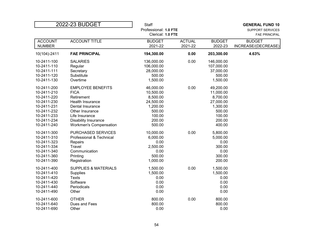| 2022-23 BUDGET                                 |  | <b>Staff</b>                                     |               |                      | <b>GENERAL FUND 10</b> |  |
|------------------------------------------------|--|--------------------------------------------------|---------------|----------------------|------------------------|--|
|                                                |  | Professional: 1.0 FTE<br><b>SUPPORT SERVICES</b> |               |                      |                        |  |
|                                                |  | Clerical: 1.0 FTE                                |               | <b>FAE PRINCIPAL</b> |                        |  |
| <b>ACCOUNT TITLE</b><br><b>ACCOUNT</b>         |  | <b>BUDGET</b>                                    | <b>ACTUAL</b> | <b>BUDGET</b>        | <b>BUDGET</b>          |  |
| <b>NUMBER</b>                                  |  | 2021-22                                          | 2021-22       | 2022-23              | INCREASE/(DECREASE)    |  |
| 10(104)-2411<br><b>FAE PRINCIPAL</b>           |  | 194,300.00                                       | 0.00          | 203,300.00           | 4.63%                  |  |
| 10-2411-100<br><b>SALARIES</b>                 |  | 136,000.00                                       | 0.00          | 146,000.00           |                        |  |
| 10-2411-110<br>Regular                         |  | 106,000.00                                       |               | 107,000.00           |                        |  |
| 10-2411-111<br>Secretary                       |  | 28,000.00                                        |               | 37,000.00            |                        |  |
| 10-2411-120<br>Substitute                      |  | 500.00                                           |               | 500.00               |                        |  |
| 10-2411-130<br>Overtime                        |  | 1,500.00                                         |               | 1,500.00             |                        |  |
| 10-2411-200<br><b>EMPLOYEE BENEFITS</b>        |  | 46,000.00                                        | 0.00          | 49,200.00            |                        |  |
| <b>FICA</b><br>10-2411-210                     |  | 10,500.00                                        |               | 11,000.00            |                        |  |
| 10-2411-220<br>Retirement                      |  | 8,500.00                                         |               | 8,700.00             |                        |  |
| 10-2411-230<br>Health Insurance                |  | 24,500.00                                        |               | 27,000.00            |                        |  |
| 10-2411-231<br>Dental Insurance                |  | 1,200.00                                         |               | 1,300.00             |                        |  |
| 10-2411-232<br>Other Insurance                 |  | 500.00                                           |               | 500.00               |                        |  |
| 10-2411-233<br>Life Insurance                  |  | 100.00                                           |               | 100.00               |                        |  |
| 10-2411-234<br><b>Disability Insurance</b>     |  | 200.00                                           |               | 200.00               |                        |  |
| 10-2411-240<br><b>Workmen's Compensation</b>   |  | 500.00                                           |               | 400.00               |                        |  |
| 10-2411-300<br>PURCHASED SERVICES              |  | 10,000.00                                        | 0.00          | 5,800.00             |                        |  |
| 10-2411-310<br>Professional & Technical        |  | 6,000.00                                         |               | 5,000.00             |                        |  |
| 10-2411-323<br>Repairs                         |  | 0.00                                             |               | 0.00                 |                        |  |
| Travel<br>10-2411-334                          |  | 2,500.00                                         |               | 300.00               |                        |  |
| 10-2411-340<br>Communication                   |  | 0.00                                             |               | 0.00                 |                        |  |
| 10-2411-360<br>Printing                        |  | 500.00                                           |               | 300.00               |                        |  |
| 10-2411-390<br>Registration                    |  | 1,000.00                                         |               | 200.00               |                        |  |
| 10-2411-400<br><b>SUPPLIES &amp; MATERIALS</b> |  | 1,500.00                                         | 0.00          | 1,500.00             |                        |  |
| 10-2411-410<br><b>Supplies</b>                 |  | 1,500.00                                         |               | 1,500.00             |                        |  |
| 10-2411-420<br><b>Texts</b>                    |  | 0.00                                             |               | 0.00                 |                        |  |
| Software<br>10-2411-430                        |  | 0.00                                             |               | 0.00                 |                        |  |
| 10-2411-440<br>Periodicals                     |  | 0.00                                             |               | 0.00                 |                        |  |
| 10-2411-490<br>Other                           |  | 0.00                                             |               | 0.00                 |                        |  |
| 10-2411-600<br><b>OTHER</b>                    |  | 800.00                                           | 0.00          | 800.00               |                        |  |
| 10-2411-640<br>Dues and Fees                   |  | 800.00                                           |               | 800.00               |                        |  |
| 10-2411-690<br>Other                           |  | 0.00                                             |               | 0.00                 |                        |  |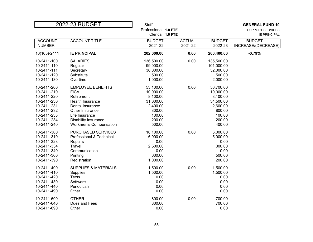| 2022-23 BUDGET                  |                                 | <b>Staff</b><br>Professional: 1.0 FTE |                          |                          | <b>GENERAL FUND 10</b><br>SUPPORT SERVICES |  |
|---------------------------------|---------------------------------|---------------------------------------|--------------------------|--------------------------|--------------------------------------------|--|
|                                 |                                 |                                       | Clerical: 1.0 FTE        |                          |                                            |  |
| <b>ACCOUNT</b><br><b>NUMBER</b> | <b>ACCOUNT TITLE</b>            | <b>BUDGET</b><br>2021-22              | <b>ACTUAL</b><br>2021-22 | <b>BUDGET</b><br>2022-23 | <b>BUDGET</b><br>INCREASE/(DECREASE)       |  |
| 10(105)-2411                    | <b>IE PRINCIPAL</b>             | 202,000.00                            | 0.00                     | 200,400.00               | $-0.79%$                                   |  |
| 10-2411-100                     | <b>SALARIES</b>                 | 136,500.00                            | 0.00                     | 135,500.00               |                                            |  |
| 10-2411-110                     | Regular                         | 99,000.00                             |                          | 101,000.00               |                                            |  |
| 10-2411-111                     | Secretary                       | 36,000.00                             |                          | 32,000.00                |                                            |  |
| 10-2411-120                     | Substitute                      | 500.00                                |                          | 500.00                   |                                            |  |
| 10-2411-130                     | Overtime                        | 1,000.00                              |                          | 2,000.00                 |                                            |  |
| 10-2411-200                     | <b>EMPLOYEE BENEFITS</b>        | 53,100.00                             | 0.00                     | 56,700.00                |                                            |  |
| 10-2411-210                     | <b>FICA</b>                     | 10,000.00                             |                          | 10,000.00                |                                            |  |
| 10-2411-220                     | Retirement                      | 8,100.00                              |                          | 8,100.00                 |                                            |  |
| 10-2411-230                     | Health Insurance                | 31,000.00                             |                          | 34,500.00                |                                            |  |
| 10-2411-231                     | Dental Insurance                | 2,400.00                              |                          | 2,600.00                 |                                            |  |
| 10-2411-232                     | Other Insurance                 | 800.00                                |                          | 800.00                   |                                            |  |
| 10-2411-233                     | Life Insurance                  | 100.00                                |                          | 100.00                   |                                            |  |
| 10-2411-234                     | <b>Disability Insurance</b>     | 200.00                                |                          | 200.00                   |                                            |  |
| 10-2411-240                     | <b>Workmen's Compensation</b>   | 500.00                                |                          | 400.00                   |                                            |  |
| 10-2411-300                     | PURCHASED SERVICES              | 10,100.00                             | 0.00                     | 6,000.00                 |                                            |  |
| 10-2411-310                     | Professional & Technical        | 6,000.00                              |                          | 5,000.00                 |                                            |  |
| 10-2411-323                     | Repairs                         | 0.00                                  |                          | 0.00                     |                                            |  |
| 10-2411-334                     | Travel                          | 2,500.00                              |                          | 300.00                   |                                            |  |
| 10-2411-340                     | Communication                   | 0.00                                  |                          | 0.00                     |                                            |  |
| 10-2411-360                     | Printing                        | 600.00                                |                          | 500.00                   |                                            |  |
| 10-2411-390                     | Registration                    | 1,000.00                              |                          | 200.00                   |                                            |  |
| 10-2411-400                     | <b>SUPPLIES &amp; MATERIALS</b> | 1,500.00                              | 0.00                     | 1,500.00                 |                                            |  |
| 10-2411-410                     | Supplies                        | 1,500.00                              |                          | 1,500.00                 |                                            |  |
| 10-2411-420                     | <b>Texts</b>                    | 0.00                                  |                          | 0.00                     |                                            |  |
| 10-2411-430                     | Software                        | 0.00                                  |                          | 0.00                     |                                            |  |
| 10-2411-440                     | Periodicals                     | 0.00                                  |                          | 0.00                     |                                            |  |
| 10-2411-490                     | Other                           | 0.00                                  |                          | 0.00                     |                                            |  |
| 10-2411-600                     | <b>OTHER</b>                    | 800.00                                | 0.00                     | 700.00                   |                                            |  |
| 10-2411-640                     | Dues and Fees                   | 800.00                                |                          | 700.00                   |                                            |  |
| 10-2411-690                     | Other                           | 0.00                                  |                          | 0.00                     |                                            |  |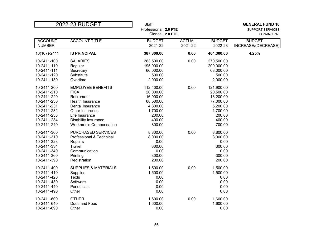| 2022-23 BUDGET |                                 | <b>Staff</b>          |               |               | <b>GENERAL FUND 10</b>  |
|----------------|---------------------------------|-----------------------|---------------|---------------|-------------------------|
|                |                                 | Professional: 2.0 FTE |               |               | <b>SUPPORT SERVICES</b> |
|                |                                 | Clerical: 2.0 FTE     |               |               | <b>IS PRINCIPAL</b>     |
| <b>ACCOUNT</b> | <b>ACCOUNT TITLE</b>            | <b>BUDGET</b>         | <b>ACTUAL</b> | <b>BUDGET</b> | <b>BUDGET</b>           |
| <b>NUMBER</b>  |                                 | 2021-22               | 2021-22       | 2022-23       | INCREASE/(DECREASE)     |
| 10(107)-2411   | <b>IS PRINCIPAL</b>             | 387,800.00            | 0.00          | 404,300.00    | 4.25%                   |
| 10-2411-100    | <b>SALARIES</b>                 | 263,500.00            | 0.00          | 270,500.00    |                         |
| 10-2411-110    | Regular                         | 195,000.00            |               | 200,000.00    |                         |
| 10-2411-111    | Secretary                       | 66,000.00             |               | 68,000.00     |                         |
| 10-2411-120    | Substitute                      | 500.00                |               | 500.00        |                         |
| 10-2411-130    | Overtime                        | 2,000.00              |               | 2,000.00      |                         |
| 10-2411-200    | <b>EMPLOYEE BENEFITS</b>        | 112,400.00            | 0.00          | 121,900.00    |                         |
| 10-2411-210    | <b>FICA</b>                     | 20,000.00             |               | 20,500.00     |                         |
| 10-2411-220    | Retirement                      | 16,000.00             |               | 16,200.00     |                         |
| 10-2411-230    | Health Insurance                | 68,500.00             |               | 77,000.00     |                         |
| 10-2411-231    | Dental Insurance                | 4,800.00              |               | 5,200.00      |                         |
| 10-2411-232    | Other Insurance                 | 1,700.00              |               | 1,700.00      |                         |
| 10-2411-233    | Life Insurance                  | 200.00                |               | 200.00        |                         |
| 10-2411-234    | Disability Insurance            | 400.00                |               | 400.00        |                         |
| 10-2411-240    | <b>Workmen's Compensation</b>   | 800.00                |               | 700.00        |                         |
| 10-2411-300    | <b>PURCHASED SERVICES</b>       | 8,800.00              | 0.00          | 8,800.00      |                         |
| 10-2411-310    | Professional & Technical        | 8,000.00              |               | 8,000.00      |                         |
| 10-2411-323    | Repairs                         | 0.00                  |               | 0.00          |                         |
| 10-2411-334    | Travel                          | 300.00                |               | 300.00        |                         |
| 10-2411-340    | Communication                   | 0.00                  |               | 0.00          |                         |
| 10-2411-360    | Printing                        | 300.00                |               | 300.00        |                         |
| 10-2411-390    | Registration                    | 200.00                |               | 200.00        |                         |
| 10-2411-400    | <b>SUPPLIES &amp; MATERIALS</b> | 1,500.00              | 0.00          | 1,500.00      |                         |
| 10-2411-410    | Supplies                        | 1,500.00              |               | 1,500.00      |                         |
| 10-2411-420    | <b>Texts</b>                    | 0.00                  |               | 0.00          |                         |
| 10-2411-430    | Software                        | 0.00                  |               | 0.00          |                         |
| 10-2411-440    | Periodicals                     | 0.00                  |               | 0.00          |                         |
| 10-2411-490    | Other                           | 0.00                  |               | 0.00          |                         |
| 10-2411-600    | <b>OTHER</b>                    | 1,600.00              | 0.00          | 1,600.00      |                         |
| 10-2411-640    | Dues and Fees                   | 1,600.00              |               | 1,600.00      |                         |
| 10-2411-690    | Other                           | 0.00                  |               | 0.00          |                         |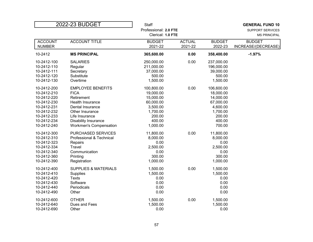| Professional: 2.0 FTE<br>SUPPORT SERVICES<br>Clerical: 1.0 FTE<br><b>MS PRINCIPAL</b><br><b>ACCOUNT TITLE</b><br><b>ACTUAL</b><br><b>ACCOUNT</b><br><b>BUDGET</b><br><b>BUDGET</b><br><b>BUDGET</b><br>2021-22<br><b>NUMBER</b><br>2021-22<br>2022-23<br>INCREASE/(DECREASE)<br><b>MS PRINCIPAL</b><br>365,600.00<br>0.00<br>358,400.00<br>$-1.97%$<br>10-2412<br>0.00<br>10-2412-100<br><b>SALARIES</b><br>250,000.00<br>237,000.00<br>196,000.00<br>10-2412-110<br>211,000.00<br>Regular<br>39,000.00<br>10-2412-111<br>Secretary<br>37,000.00<br>500.00<br>500.00<br>10-2412-120<br>Substitute<br>1,500.00<br>1,500.00<br>10-2412-130<br>Overtime<br>0.00<br>10-2412-200<br><b>EMPLOYEE BENEFITS</b><br>100,800.00<br>106,600.00<br>10-2412-210<br><b>FICA</b><br>19,000.00<br>18,000.00<br>14,000.00<br>10-2412-220<br>Retirement<br>15,000.00<br>60,000.00<br>67,000.00<br>10-2412-230<br>Health Insurance<br>10-2412-231<br>3,500.00<br>4,600.00<br>Dental Insurance<br>10-2412-232<br>Other Insurance<br>1,700.00<br>1,700.00<br>200.00<br>10-2412-233<br>Life Insurance<br>200.00<br>400.00<br>400.00<br>10-2412-234<br>Disability Insurance<br>1,000.00<br>700.00<br>10-2412-240<br><b>Workmen's Compensation</b><br>0.00<br>10-2412-300<br>PURCHASED SERVICES<br>11,800.00<br>11,800.00<br>8,000.00<br>10-2412-310<br>Professional & Technical<br>8,000.00<br>0.00<br>0.00<br>10-2412-323<br>Repairs<br>10-2412-334<br>Travel<br>2,500.00<br>2,500.00<br>0.00<br>10-2412-340<br>Communication<br>0.00<br>300.00<br>300.00<br>10-2412-360<br>Printing<br>1,000.00<br>1,000.00<br>10-2412-390<br>Registration<br>1,500.00<br>0.00<br>1,500.00<br>10-2412-400<br><b>SUPPLIES &amp; MATERIALS</b><br>1,500.00<br>1,500.00<br>10-2412-410<br>Supplies<br><b>Texts</b><br>0.00<br>0.00<br>10-2412-420<br>0.00<br>Software<br>0.00<br>10-2412-430<br>0.00<br>0.00<br>10-2412-440<br>Periodicals<br>0.00<br>10-2412-490<br>0.00<br>Other<br>0.00<br>10-2412-600<br>1,500.00<br>1,500.00<br><b>OTHER</b><br>1,500.00<br>1,500.00<br>10-2412-640<br>Dues and Fees<br>10-2412-690<br>Other | 2022-23 BUDGET |  | <b>Staff</b> |      | <b>GENERAL FUND 10</b> |
|-------------------------------------------------------------------------------------------------------------------------------------------------------------------------------------------------------------------------------------------------------------------------------------------------------------------------------------------------------------------------------------------------------------------------------------------------------------------------------------------------------------------------------------------------------------------------------------------------------------------------------------------------------------------------------------------------------------------------------------------------------------------------------------------------------------------------------------------------------------------------------------------------------------------------------------------------------------------------------------------------------------------------------------------------------------------------------------------------------------------------------------------------------------------------------------------------------------------------------------------------------------------------------------------------------------------------------------------------------------------------------------------------------------------------------------------------------------------------------------------------------------------------------------------------------------------------------------------------------------------------------------------------------------------------------------------------------------------------------------------------------------------------------------------------------------------------------------------------------------------------------------------------------------------------------------------------------------------------------------------------------------------------------------------------------------------------------------------|----------------|--|--------------|------|------------------------|
|                                                                                                                                                                                                                                                                                                                                                                                                                                                                                                                                                                                                                                                                                                                                                                                                                                                                                                                                                                                                                                                                                                                                                                                                                                                                                                                                                                                                                                                                                                                                                                                                                                                                                                                                                                                                                                                                                                                                                                                                                                                                                           |                |  |              |      |                        |
|                                                                                                                                                                                                                                                                                                                                                                                                                                                                                                                                                                                                                                                                                                                                                                                                                                                                                                                                                                                                                                                                                                                                                                                                                                                                                                                                                                                                                                                                                                                                                                                                                                                                                                                                                                                                                                                                                                                                                                                                                                                                                           |                |  |              |      |                        |
|                                                                                                                                                                                                                                                                                                                                                                                                                                                                                                                                                                                                                                                                                                                                                                                                                                                                                                                                                                                                                                                                                                                                                                                                                                                                                                                                                                                                                                                                                                                                                                                                                                                                                                                                                                                                                                                                                                                                                                                                                                                                                           |                |  |              |      |                        |
|                                                                                                                                                                                                                                                                                                                                                                                                                                                                                                                                                                                                                                                                                                                                                                                                                                                                                                                                                                                                                                                                                                                                                                                                                                                                                                                                                                                                                                                                                                                                                                                                                                                                                                                                                                                                                                                                                                                                                                                                                                                                                           |                |  |              |      |                        |
|                                                                                                                                                                                                                                                                                                                                                                                                                                                                                                                                                                                                                                                                                                                                                                                                                                                                                                                                                                                                                                                                                                                                                                                                                                                                                                                                                                                                                                                                                                                                                                                                                                                                                                                                                                                                                                                                                                                                                                                                                                                                                           |                |  |              |      |                        |
|                                                                                                                                                                                                                                                                                                                                                                                                                                                                                                                                                                                                                                                                                                                                                                                                                                                                                                                                                                                                                                                                                                                                                                                                                                                                                                                                                                                                                                                                                                                                                                                                                                                                                                                                                                                                                                                                                                                                                                                                                                                                                           |                |  |              |      |                        |
|                                                                                                                                                                                                                                                                                                                                                                                                                                                                                                                                                                                                                                                                                                                                                                                                                                                                                                                                                                                                                                                                                                                                                                                                                                                                                                                                                                                                                                                                                                                                                                                                                                                                                                                                                                                                                                                                                                                                                                                                                                                                                           |                |  |              |      |                        |
|                                                                                                                                                                                                                                                                                                                                                                                                                                                                                                                                                                                                                                                                                                                                                                                                                                                                                                                                                                                                                                                                                                                                                                                                                                                                                                                                                                                                                                                                                                                                                                                                                                                                                                                                                                                                                                                                                                                                                                                                                                                                                           |                |  |              |      |                        |
|                                                                                                                                                                                                                                                                                                                                                                                                                                                                                                                                                                                                                                                                                                                                                                                                                                                                                                                                                                                                                                                                                                                                                                                                                                                                                                                                                                                                                                                                                                                                                                                                                                                                                                                                                                                                                                                                                                                                                                                                                                                                                           |                |  |              |      |                        |
|                                                                                                                                                                                                                                                                                                                                                                                                                                                                                                                                                                                                                                                                                                                                                                                                                                                                                                                                                                                                                                                                                                                                                                                                                                                                                                                                                                                                                                                                                                                                                                                                                                                                                                                                                                                                                                                                                                                                                                                                                                                                                           |                |  |              |      |                        |
|                                                                                                                                                                                                                                                                                                                                                                                                                                                                                                                                                                                                                                                                                                                                                                                                                                                                                                                                                                                                                                                                                                                                                                                                                                                                                                                                                                                                                                                                                                                                                                                                                                                                                                                                                                                                                                                                                                                                                                                                                                                                                           |                |  |              |      |                        |
|                                                                                                                                                                                                                                                                                                                                                                                                                                                                                                                                                                                                                                                                                                                                                                                                                                                                                                                                                                                                                                                                                                                                                                                                                                                                                                                                                                                                                                                                                                                                                                                                                                                                                                                                                                                                                                                                                                                                                                                                                                                                                           |                |  |              |      |                        |
|                                                                                                                                                                                                                                                                                                                                                                                                                                                                                                                                                                                                                                                                                                                                                                                                                                                                                                                                                                                                                                                                                                                                                                                                                                                                                                                                                                                                                                                                                                                                                                                                                                                                                                                                                                                                                                                                                                                                                                                                                                                                                           |                |  |              |      |                        |
|                                                                                                                                                                                                                                                                                                                                                                                                                                                                                                                                                                                                                                                                                                                                                                                                                                                                                                                                                                                                                                                                                                                                                                                                                                                                                                                                                                                                                                                                                                                                                                                                                                                                                                                                                                                                                                                                                                                                                                                                                                                                                           |                |  |              |      |                        |
|                                                                                                                                                                                                                                                                                                                                                                                                                                                                                                                                                                                                                                                                                                                                                                                                                                                                                                                                                                                                                                                                                                                                                                                                                                                                                                                                                                                                                                                                                                                                                                                                                                                                                                                                                                                                                                                                                                                                                                                                                                                                                           |                |  |              |      |                        |
|                                                                                                                                                                                                                                                                                                                                                                                                                                                                                                                                                                                                                                                                                                                                                                                                                                                                                                                                                                                                                                                                                                                                                                                                                                                                                                                                                                                                                                                                                                                                                                                                                                                                                                                                                                                                                                                                                                                                                                                                                                                                                           |                |  |              |      |                        |
|                                                                                                                                                                                                                                                                                                                                                                                                                                                                                                                                                                                                                                                                                                                                                                                                                                                                                                                                                                                                                                                                                                                                                                                                                                                                                                                                                                                                                                                                                                                                                                                                                                                                                                                                                                                                                                                                                                                                                                                                                                                                                           |                |  |              |      |                        |
|                                                                                                                                                                                                                                                                                                                                                                                                                                                                                                                                                                                                                                                                                                                                                                                                                                                                                                                                                                                                                                                                                                                                                                                                                                                                                                                                                                                                                                                                                                                                                                                                                                                                                                                                                                                                                                                                                                                                                                                                                                                                                           |                |  |              |      |                        |
|                                                                                                                                                                                                                                                                                                                                                                                                                                                                                                                                                                                                                                                                                                                                                                                                                                                                                                                                                                                                                                                                                                                                                                                                                                                                                                                                                                                                                                                                                                                                                                                                                                                                                                                                                                                                                                                                                                                                                                                                                                                                                           |                |  |              |      |                        |
|                                                                                                                                                                                                                                                                                                                                                                                                                                                                                                                                                                                                                                                                                                                                                                                                                                                                                                                                                                                                                                                                                                                                                                                                                                                                                                                                                                                                                                                                                                                                                                                                                                                                                                                                                                                                                                                                                                                                                                                                                                                                                           |                |  |              |      |                        |
|                                                                                                                                                                                                                                                                                                                                                                                                                                                                                                                                                                                                                                                                                                                                                                                                                                                                                                                                                                                                                                                                                                                                                                                                                                                                                                                                                                                                                                                                                                                                                                                                                                                                                                                                                                                                                                                                                                                                                                                                                                                                                           |                |  |              |      |                        |
|                                                                                                                                                                                                                                                                                                                                                                                                                                                                                                                                                                                                                                                                                                                                                                                                                                                                                                                                                                                                                                                                                                                                                                                                                                                                                                                                                                                                                                                                                                                                                                                                                                                                                                                                                                                                                                                                                                                                                                                                                                                                                           |                |  |              |      |                        |
|                                                                                                                                                                                                                                                                                                                                                                                                                                                                                                                                                                                                                                                                                                                                                                                                                                                                                                                                                                                                                                                                                                                                                                                                                                                                                                                                                                                                                                                                                                                                                                                                                                                                                                                                                                                                                                                                                                                                                                                                                                                                                           |                |  |              |      |                        |
|                                                                                                                                                                                                                                                                                                                                                                                                                                                                                                                                                                                                                                                                                                                                                                                                                                                                                                                                                                                                                                                                                                                                                                                                                                                                                                                                                                                                                                                                                                                                                                                                                                                                                                                                                                                                                                                                                                                                                                                                                                                                                           |                |  |              |      |                        |
|                                                                                                                                                                                                                                                                                                                                                                                                                                                                                                                                                                                                                                                                                                                                                                                                                                                                                                                                                                                                                                                                                                                                                                                                                                                                                                                                                                                                                                                                                                                                                                                                                                                                                                                                                                                                                                                                                                                                                                                                                                                                                           |                |  |              |      |                        |
|                                                                                                                                                                                                                                                                                                                                                                                                                                                                                                                                                                                                                                                                                                                                                                                                                                                                                                                                                                                                                                                                                                                                                                                                                                                                                                                                                                                                                                                                                                                                                                                                                                                                                                                                                                                                                                                                                                                                                                                                                                                                                           |                |  |              |      |                        |
|                                                                                                                                                                                                                                                                                                                                                                                                                                                                                                                                                                                                                                                                                                                                                                                                                                                                                                                                                                                                                                                                                                                                                                                                                                                                                                                                                                                                                                                                                                                                                                                                                                                                                                                                                                                                                                                                                                                                                                                                                                                                                           |                |  |              |      |                        |
|                                                                                                                                                                                                                                                                                                                                                                                                                                                                                                                                                                                                                                                                                                                                                                                                                                                                                                                                                                                                                                                                                                                                                                                                                                                                                                                                                                                                                                                                                                                                                                                                                                                                                                                                                                                                                                                                                                                                                                                                                                                                                           |                |  |              |      |                        |
|                                                                                                                                                                                                                                                                                                                                                                                                                                                                                                                                                                                                                                                                                                                                                                                                                                                                                                                                                                                                                                                                                                                                                                                                                                                                                                                                                                                                                                                                                                                                                                                                                                                                                                                                                                                                                                                                                                                                                                                                                                                                                           |                |  |              |      |                        |
|                                                                                                                                                                                                                                                                                                                                                                                                                                                                                                                                                                                                                                                                                                                                                                                                                                                                                                                                                                                                                                                                                                                                                                                                                                                                                                                                                                                                                                                                                                                                                                                                                                                                                                                                                                                                                                                                                                                                                                                                                                                                                           |                |  |              |      |                        |
|                                                                                                                                                                                                                                                                                                                                                                                                                                                                                                                                                                                                                                                                                                                                                                                                                                                                                                                                                                                                                                                                                                                                                                                                                                                                                                                                                                                                                                                                                                                                                                                                                                                                                                                                                                                                                                                                                                                                                                                                                                                                                           |                |  |              |      |                        |
|                                                                                                                                                                                                                                                                                                                                                                                                                                                                                                                                                                                                                                                                                                                                                                                                                                                                                                                                                                                                                                                                                                                                                                                                                                                                                                                                                                                                                                                                                                                                                                                                                                                                                                                                                                                                                                                                                                                                                                                                                                                                                           |                |  |              |      |                        |
|                                                                                                                                                                                                                                                                                                                                                                                                                                                                                                                                                                                                                                                                                                                                                                                                                                                                                                                                                                                                                                                                                                                                                                                                                                                                                                                                                                                                                                                                                                                                                                                                                                                                                                                                                                                                                                                                                                                                                                                                                                                                                           |                |  |              |      |                        |
|                                                                                                                                                                                                                                                                                                                                                                                                                                                                                                                                                                                                                                                                                                                                                                                                                                                                                                                                                                                                                                                                                                                                                                                                                                                                                                                                                                                                                                                                                                                                                                                                                                                                                                                                                                                                                                                                                                                                                                                                                                                                                           |                |  |              |      |                        |
|                                                                                                                                                                                                                                                                                                                                                                                                                                                                                                                                                                                                                                                                                                                                                                                                                                                                                                                                                                                                                                                                                                                                                                                                                                                                                                                                                                                                                                                                                                                                                                                                                                                                                                                                                                                                                                                                                                                                                                                                                                                                                           |                |  | 0.00         | 0.00 |                        |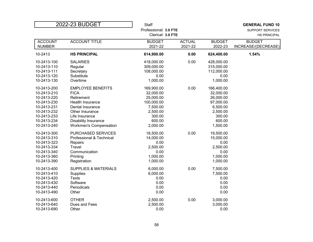| Professional: 3.0 FTE<br>SUPPORT SERVICES<br>Clerical: 3.0 FTE<br><b>HS PRINCIPAL</b>                      |
|------------------------------------------------------------------------------------------------------------|
|                                                                                                            |
|                                                                                                            |
| <b>ACCOUNT TITLE</b><br><b>ACTUAL</b><br><b>ACCOUNT</b><br><b>BUDGET</b><br><b>BUDGET</b><br><b>BUDGET</b> |
| <b>NUMBER</b><br>2021-22<br>2021-22<br>2022-23<br>INCREASE/(DECREASE)                                      |
| 10-2413<br><b>HS PRINCIPAL</b><br>614,900.00<br>0.00<br>624,400.00<br>1.54%                                |
| 0.00<br>10-2413-100<br><b>SALARIES</b><br>418,000.00<br>428,000.00                                         |
| 309,000.00<br>10-2413-110<br>315,000.00<br>Regular                                                         |
| 108,000.00<br>112,000.00<br>10-2413-111<br>Secretary                                                       |
| 10-2413-120<br>Substitute<br>0.00<br>0.00                                                                  |
| Overtime<br>1,000.00<br>1,000.00<br>10-2413-130                                                            |
| <b>EMPLOYEE BENEFITS</b><br>0.00<br>10-2413-200<br>169,900.00<br>166,400.00                                |
| 10-2413-210<br><b>FICA</b><br>32,000.00<br>32,000.00                                                       |
| 10-2413-220<br>25,000.00<br>26,000.00<br>Retirement                                                        |
| 10-2413-230<br>Health Insurance<br>100,000.00<br>97,000.00                                                 |
| 10-2413-231<br>Dental Insurance<br>7,500.00<br>6,500.00                                                    |
| 10-2413-232<br>Other Insurance<br>2,500.00<br>2,500.00                                                     |
| 300.00<br>10-2413-233<br>Life Insurance<br>300.00                                                          |
| 600.00<br>600.00<br>10-2413-234<br>Disability Insurance                                                    |
| 2,000.00<br>1,500.00<br>10-2413-240<br><b>Workmen's Compensation</b>                                       |
| 0.00<br>10-2413-300<br>PURCHASED SERVICES<br>18,500.00<br>19,500.00                                        |
| 10-2413-310<br>Professional & Technical<br>14,000.00<br>15,000.00                                          |
| 10-2413-323<br>0.00<br>0.00<br>Repairs                                                                     |
| Travel<br>2,500.00<br>2,500.00<br>10-2413-334                                                              |
| Communication<br>10-2413-340<br>0.00<br>0.00                                                               |
| 1,000.00<br>1,000.00<br>10-2413-360<br>Printing                                                            |
| 1,000.00<br>10-2413-390<br>Registration<br>1,000.00                                                        |
|                                                                                                            |
| 6,000.00<br>0.00<br>10-2413-400<br><b>SUPPLIES &amp; MATERIALS</b><br>7,500.00                             |
| 6,000.00<br>7,500.00<br>10-2413-410<br><b>Supplies</b>                                                     |
| 10-2413-420<br><b>Texts</b><br>0.00<br>0.00                                                                |
| Software<br>0.00<br>0.00<br>10-2413-430                                                                    |
| 0.00<br>0.00<br>10-2413-440<br>Periodicals                                                                 |
| 0.00<br>0.00<br>10-2413-490<br>Other                                                                       |
| 0.00<br>2,500.00<br>3,000.00<br>10-2413-600<br><b>OTHER</b>                                                |
| 2,500.00<br>3,000.00<br>10-2413-640<br>Dues and Fees                                                       |
| 0.00<br>10-2413-690<br>Other<br>0.00                                                                       |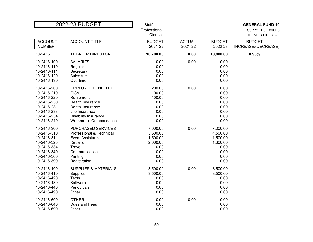| 2022-23 BUDGET |                                 | <b>Staff</b>  |               |               | <b>GENERAL FUND 10</b>  |
|----------------|---------------------------------|---------------|---------------|---------------|-------------------------|
|                |                                 | Professional: |               |               | <b>SUPPORT SERVICES</b> |
|                |                                 | Clerical:     |               |               | THEATER DIRECTOR        |
| <b>ACCOUNT</b> | <b>ACCOUNT TITLE</b>            | <b>BUDGET</b> | <b>ACTUAL</b> | <b>BUDGET</b> | <b>BUDGET</b>           |
| <b>NUMBER</b>  |                                 | 2021-22       | 2021-22       | 2022-23       | INCREASE/(DECREASE)     |
| 10-2416        | <b>THEATER DIRECTOR</b>         | 10,700.00     | 0.00          | 10,800.00     | 0.93%                   |
| 10-2416-100    | <b>SALARIES</b>                 | 0.00          | 0.00          | 0.00          |                         |
| 10-2416-110    | Regular                         | 0.00          |               | 0.00          |                         |
| 10-2416-111    | Secretary                       | 0.00          |               | 0.00          |                         |
| 10-2416-120    | Substitute                      | 0.00          |               | 0.00          |                         |
| 10-2416-130    | Overtime                        | 0.00          |               | 0.00          |                         |
| 10-2416-200    | <b>EMPLOYEE BENEFITS</b>        | 200.00        | 0.00          | 0.00          |                         |
| 10-2416-210    | <b>FICA</b>                     | 100.00        |               | 0.00          |                         |
| 10-2416-220    | Retirement                      | 100.00        |               | 0.00          |                         |
| 10-2416-230    | <b>Health Insurance</b>         | 0.00          |               | 0.00          |                         |
| 10-2416-231    | Dental Insurance                | 0.00          |               | 0.00          |                         |
| 10-2416-233    | Life Insurance                  | 0.00          |               | 0.00          |                         |
| 10-2416-234    | Disability Insurance            | 0.00          |               | 0.00          |                         |
| 10-2416-240    | <b>Workmen's Compensation</b>   | 0.00          |               | 0.00          |                         |
| 10-2416-300    | PURCHASED SERVICES              | 7,000.00      | 0.00          | 7,300.00      |                         |
| 10-2416-310    | Professional & Technical        | 3,500.00      |               | 4,500.00      |                         |
| 10-2416-311    | <b>Event Assistants</b>         | 1,500.00      |               | 1,500.00      |                         |
| 10-2416-323    | Repairs                         | 2,000.00      |               | 1,300.00      |                         |
| 10-2416-334    | Travel                          | 0.00          |               | 0.00          |                         |
| 10-2416-340    | Communication                   | 0.00          |               | 0.00          |                         |
| 10-2416-360    | Printing                        | 0.00          |               | 0.00          |                         |
| 10-2416-390    | Registration                    | 0.00          |               | 0.00          |                         |
| 10-2416-400    | <b>SUPPLIES &amp; MATERIALS</b> | 3,500.00      | 0.00          | 3,500.00      |                         |
| 10-2416-410    | Supplies                        | 3,500.00      |               | 3,500.00      |                         |
| 10-2416-420    | <b>Texts</b>                    | 0.00          |               | 0.00          |                         |
| 10-2416-430    | Software                        | 0.00          |               | 0.00          |                         |
| 10-2416-440    | Periodicals                     | 0.00          |               | 0.00          |                         |
| 10-2416-490    | Other                           | 0.00          |               | 0.00          |                         |
| 10-2416-600    | <b>OTHER</b>                    | 0.00          | 0.00          | 0.00          |                         |
| 10-2416-640    | Dues and Fees                   | 0.00          |               | 0.00          |                         |
| 10-2416-690    | Other                           | 0.00          |               | 0.00          |                         |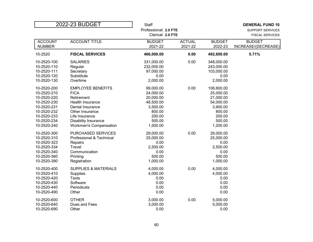| 2022-23 BUDGET<br><b>Staff</b>                             |               |               | <b>GENERAL FUND 10</b> |
|------------------------------------------------------------|---------------|---------------|------------------------|
| Professional: 2.0 FTE                                      |               |               | SUPPORT SERVICES       |
| Clerical: 2.0 FTE                                          |               |               | <b>FISCAL SERVICES</b> |
| <b>ACCOUNT TITLE</b><br><b>ACCOUNT</b><br><b>BUDGET</b>    | <b>ACTUAL</b> | <b>BUDGET</b> | <b>BUDGET</b>          |
| <b>NUMBER</b><br>2021-22                                   | 2021-22       | 2022-23       | INCREASE/(DECREASE)    |
| 10-2520<br><b>FISCAL SERVICES</b><br>466,000.00            | 0.00          | 492,600.00    | 5.71%                  |
| 10-2520-100<br><b>SALARIES</b><br>331,000.00               | 0.00          | 348,000.00    |                        |
| 10-2520-110<br>232,000.00<br>Regular                       |               | 243,000.00    |                        |
| 10-2520-111<br>97,000.00<br>Secretary                      |               | 103,000.00    |                        |
| 10-2520-120<br>Substitute<br>0.00                          |               | 0.00          |                        |
| 10-2520-130<br>Overtime<br>2,000.00                        |               | 2,000.00      |                        |
| <b>EMPLOYEE BENEFITS</b><br>99,000.00<br>10-2520-200       | 0.00          | 106,600.00    |                        |
| 10-2520-210<br><b>FICA</b><br>24,000.00                    |               | 25,000.00     |                        |
| 10-2520-220<br>20,000.00<br>Retirement                     |               | 21,000.00     |                        |
| 10-2520-230<br>Health Insurance<br>48,500.00               |               | 54,000.00     |                        |
| 10-2520-231<br>Dental Insurance<br>3,500.00                |               | 3,900.00      |                        |
| 10-2520-232<br>Other Insurance<br>800.00                   |               | 800.00        |                        |
| 200.00<br>10-2520-233<br>Life Insurance                    |               | 200.00        |                        |
| 10-2520-234<br>500.00<br>Disability Insurance              |               | 500.00        |                        |
| 10-2520-240<br>1,500.00<br><b>Workmen's Compensation</b>   |               | 1,200.00      |                        |
| 10-2520-300<br><b>PURCHASED SERVICES</b><br>29,000.00      | 0.00          | 29,000.00     |                        |
| 10-2520-310<br>Professional & Technical<br>25,000.00       |               | 25,000.00     |                        |
| 10-2520-323<br>0.00<br>Repairs                             |               | 0.00          |                        |
| 10-2520-334<br>Travel<br>2,500.00                          |               | 2,500.00      |                        |
| Communication<br>10-2520-340<br>0.00                       |               | 0.00          |                        |
| 500.00<br>10-2520-360<br>Printing                          |               | 500.00        |                        |
|                                                            |               | 1,000.00      |                        |
| 10-2520-390<br>Registration<br>1,000.00                    |               |               |                        |
| 10-2520-400<br><b>SUPPLIES &amp; MATERIALS</b><br>4,000.00 | 0.00          | 4,000.00      |                        |
| 10-2520-410<br>4,000.00<br><b>Supplies</b>                 |               | 4,000.00      |                        |
| 10-2520-420<br><b>Texts</b><br>0.00                        |               | 0.00          |                        |
| 10-2520-430<br>Software<br>0.00                            |               | 0.00          |                        |
| 0.00<br>10-2520-440<br>Periodicals                         |               | 0.00          |                        |
| 0.00<br>10-2520-490<br>Other                               |               | 0.00          |                        |
| 10-2520-600<br>3,000.00<br><b>OTHER</b>                    | 0.00          | 5,000.00      |                        |
| 3,000.00<br>10-2520-640<br>Dues and Fees                   |               | 5,000.00      |                        |
| 0.00<br>10-2520-690<br>Other                               |               | 0.00          |                        |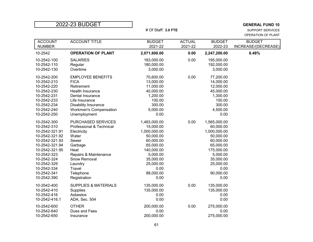$\sup$ PORT SERVICES OPERATION OF PLANT

| <b>ACCOUNT</b> | <b>ACCOUNT TITLE</b>            | <b>BUDGET</b> | <b>ACTUAL</b> | <b>BUDGET</b> | <b>BUDGET</b>       |
|----------------|---------------------------------|---------------|---------------|---------------|---------------------|
| <b>NUMBER</b>  |                                 | 2021-22       | 2021-22       | 2022-23       | INCREASE/(DECREASE) |
| 10-2542        | <b>OPERATION OF PLANT</b>       | 2,071,600.00  | 0.00          | 2,247,200.00  | 8.48%               |
| 10-2542-100    | <b>SALARIES</b>                 | 183,000.00    | 0.00          | 195,000.00    |                     |
| 10-2542-110    | Regular                         | 180,000.00    |               | 192,000.00    |                     |
| 10-2542-130    | Overtime                        | 3,000.00      |               | 3,000.00      |                     |
| 10-2542-200    | <b>EMPLOYEE BENEFITS</b>        | 70,600.00     | 0.00          | 77,200.00     |                     |
| 10-2542-210    | <b>FICA</b>                     | 13,000.00     |               | 14,000.00     |                     |
| 10-2542-220    | Retirement                      | 11,000.00     |               | 12,000.00     |                     |
| 10-2542-230    | Health Insurance                | 40,000.00     |               | 45,000.00     |                     |
| 10-2542-231    | Dental Insurance                | 1,200.00      |               | 1,300.00      |                     |
| 10-2542-233    | Life Insurance                  | 100.00        |               | 100.00        |                     |
| 10-2542-234    | Disability Insurance            | 300.00        |               | 300.00        |                     |
| 10-2542-240    | <b>Workmen's Compensation</b>   | 5,000.00      |               | 4,500.00      |                     |
| 10-2542-250    | Unemployment                    | 0.00          |               | 0.00          |                     |
| 10-2542-300    | <b>PURCHASED SERVICES</b>       | 1,483,000.00  | 0.00          | 1,565,000.00  |                     |
| 10-2542-310    | Professional & Technical        | 15,000.00     |               | 60,000.00     |                     |
| 10-2542-321.91 | Electricity                     | 1,000,000.00  |               | 1,000,000.00  |                     |
| 10-2542-321.92 | Water                           | 50,000.00     |               | 50,000.00     |                     |
| 10-2542-321.93 | Sewer                           | 60,000.00     |               | 60,000.00     |                     |
| 10-2542-321.94 | Garbage                         | 65,000.00     |               | 65,000.00     |                     |
| 10-2542-321.95 | Heat                            | 140,000.00    |               | 175,000.00    |                     |
| 10-2542-323    | Repairs & Maintenance           | 5,000.00      |               | 5,000.00      |                     |
| 10-2542-324    | Snow Removal                    | 35,000.00     |               | 35,000.00     |                     |
| 10-2542-329    | Laundry                         | 25,000.00     |               | 25,000.00     |                     |
| 10-2542-334    | Travel                          | 0.00          |               | 0.00          |                     |
| 10-2542-341    | Telephone                       | 88,000.00     |               | 90,000.00     |                     |
| 10-2542-390    | Registration                    | 0.00          |               | 0.00          |                     |
| 10-2542-400    | <b>SUPPLIES &amp; MATERIALS</b> | 135,000.00    | 0.00          | 135,000.00    |                     |
| 10-2542-410    | <b>Supplies</b>                 | 135,000.00    |               | 135,000.00    |                     |
| 10-2542-416    | Asbestos                        | 0.00          |               | 0.00          |                     |
| 10-2542-416.1  | ADA, Sec. 504                   | 0.00          |               | 0.00          |                     |
| 10-2542-600    | <b>OTHER</b>                    | 200,000.00    | 0.00          | 275,000.00    |                     |
| 10-2542-640    | Dues and Fees                   | 0.00          |               | 0.00          |                     |
| 10-2542-650    | Insurance                       | 200,000.00    |               | 275,000.00    |                     |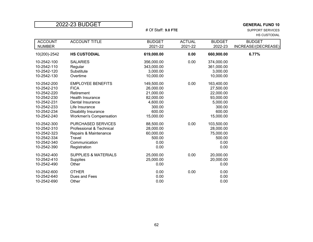$\sup$ PORT SERVICES HS CUSTODIAL

| <b>ACCOUNT</b><br><b>NUMBER</b>                                                                                      | <b>ACCOUNT TITLE</b>                                                                                                                                                            | <b>BUDGET</b><br>2021-22                                                                       | <b>ACTUAL</b><br>2021-22 | <b>BUDGET</b><br>2022-23                                                                       | <b>BUDGET</b><br>INCREASE/(DECREASE) |
|----------------------------------------------------------------------------------------------------------------------|---------------------------------------------------------------------------------------------------------------------------------------------------------------------------------|------------------------------------------------------------------------------------------------|--------------------------|------------------------------------------------------------------------------------------------|--------------------------------------|
| 10(200)-2542                                                                                                         | <b>HS CUSTODIAL</b>                                                                                                                                                             | 619,000.00                                                                                     | 0.00                     | 660,900.00                                                                                     | 6.77%                                |
| 10-2542-100<br>10-2542-110<br>10-2542-120<br>10-2542-130                                                             | <b>SALARIES</b><br>Regular<br>Substitute<br>Overtime                                                                                                                            | 356,000.00<br>343,000.00<br>3,000.00<br>10,000.00                                              | 0.00                     | 374,000.00<br>361,000.00<br>3,000.00<br>10,000.00                                              |                                      |
| 10-2542-200<br>10-2542-210<br>10-2542-220<br>10-2542-230<br>10-2542-231<br>10-2542-233<br>10-2542-234<br>10-2542-240 | <b>EMPLOYEE BENEFITS</b><br><b>FICA</b><br>Retirement<br>Health Insurance<br>Dental Insurance<br>Life Insurance<br><b>Disability Insurance</b><br><b>Workmen's Compensation</b> | 149,500.00<br>26,000.00<br>21,000.00<br>82,000.00<br>4,600.00<br>300.00<br>600.00<br>15,000.00 | 0.00                     | 163,400.00<br>27,500.00<br>22,000.00<br>93,000.00<br>5,000.00<br>300.00<br>600.00<br>15,000.00 |                                      |
| 10-2542-300<br>10-2542-310<br>10-2542-323<br>10-2542-334<br>10-2542-340<br>10-2542-390                               | PURCHASED SERVICES<br>Professional & Technical<br>Repairs & Maintenance<br>Travel<br>Communication<br>Registration                                                              | 88,500.00<br>28,000.00<br>60,000.00<br>500.00<br>0.00<br>0.00                                  | 0.00                     | 103,500.00<br>28,000.00<br>75,000.00<br>500.00<br>0.00<br>0.00                                 |                                      |
| 10-2542-400<br>10-2542-410<br>10-2542-490                                                                            | <b>SUPPLIES &amp; MATERIALS</b><br><b>Supplies</b><br>Other                                                                                                                     | 25,000.00<br>25,000.00<br>0.00                                                                 | 0.00                     | 20,000.00<br>20,000.00<br>0.00                                                                 |                                      |
| 10-2542-600<br>10-2542-640<br>10-2542-690                                                                            | <b>OTHER</b><br>Dues and Fees<br>Other                                                                                                                                          | 0.00<br>0.00<br>0.00                                                                           | 0.00                     | 0.00<br>0.00<br>0.00                                                                           |                                      |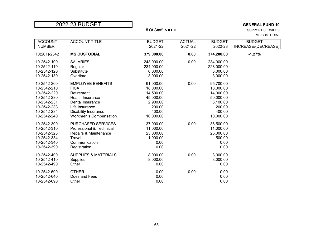$\sup$ PORT SERVICES MS CUSTODIAL

| <b>ACCOUNT</b><br><b>NUMBER</b> | <b>ACCOUNT TITLE</b>            | <b>BUDGET</b><br>2021-22 | <b>ACTUAL</b><br>2021-22 | <b>BUDGET</b><br>2022-23 | <b>BUDGET</b><br>INCREASE/(DECREASE) |
|---------------------------------|---------------------------------|--------------------------|--------------------------|--------------------------|--------------------------------------|
|                                 |                                 |                          |                          |                          |                                      |
| 10(201)-2542                    | <b>MS CUSTODIAL</b>             | 379,000.00               | 0.00                     | 374,200.00               | $-1.27%$                             |
| 10-2542-100                     | <b>SALARIES</b>                 | 243,000.00               | 0.00                     | 234,000.00               |                                      |
| 10-2542-110                     | Regular                         | 234,000.00               |                          | 228,000.00               |                                      |
| 10-2542-120                     | Substitute                      | 6,000.00                 |                          | 3,000.00                 |                                      |
| 10-2542-130                     | Overtime                        | 3,000.00                 |                          | 3,000.00                 |                                      |
| 10-2542-200                     | <b>EMPLOYEE BENEFITS</b>        | 91,000.00                | 0.00                     | 95,700.00                |                                      |
| 10-2542-210                     | <b>FICA</b>                     | 18,000.00                |                          | 18,000.00                |                                      |
| 10-2542-220                     | Retirement                      | 14,500.00                |                          | 14,000.00                |                                      |
| 10-2542-230                     | <b>Health Insurance</b>         | 45,000.00                |                          | 50,000.00                |                                      |
| 10-2542-231                     | Dental Insurance                | 2,900.00                 |                          | 3,100.00                 |                                      |
| 10-2542-233                     | Life Insurance                  | 200.00                   |                          | 200.00                   |                                      |
| 10-2542-234                     | <b>Disability Insurance</b>     | 400.00                   |                          | 400.00                   |                                      |
| 10-2542-240                     | <b>Workmen's Compensation</b>   | 10,000.00                |                          | 10,000.00                |                                      |
| 10-2542-300                     | PURCHASED SERVICES              | 37,000.00                | 0.00                     | 36,500.00                |                                      |
| 10-2542-310                     | Professional & Technical        | 11,000.00                |                          | 11,000.00                |                                      |
| 10-2542-323                     | Repairs & Maintenance           | 25,000.00                |                          | 25,000.00                |                                      |
| 10-2542-334                     | Travel                          | 1,000.00                 |                          | 500.00                   |                                      |
| 10-2542-340                     | Communication                   | 0.00                     |                          | 0.00                     |                                      |
| 10-2542-390                     | Registration                    | 0.00                     |                          | 0.00                     |                                      |
| 10-2542-400                     | <b>SUPPLIES &amp; MATERIALS</b> | 8,000.00                 | 0.00                     | 8,000.00                 |                                      |
| 10-2542-410                     | <b>Supplies</b>                 | 8,000.00                 |                          | 8,000.00                 |                                      |
| 10-2542-490                     | Other                           | 0.00                     |                          | 0.00                     |                                      |
| 10-2542-600                     | <b>OTHER</b>                    | 0.00                     | 0.00                     | 0.00                     |                                      |
| 10-2542-640                     | Dues and Fees                   | 0.00                     |                          | 0.00                     |                                      |
| 10-2542-690                     | Other                           | 0.00                     |                          | 0.00                     |                                      |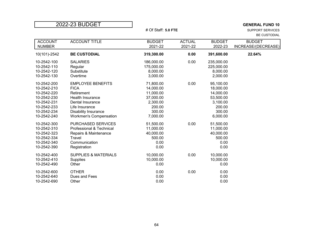$\sup$ PORT SERVICES BE CUSTODIAL

| <b>ACCOUNT</b> | <b>ACCOUNT TITLE</b>            | <b>BUDGET</b> | <b>ACTUAL</b> | <b>BUDGET</b> | <b>BUDGET</b>       |
|----------------|---------------------------------|---------------|---------------|---------------|---------------------|
| <b>NUMBER</b>  |                                 | 2021-22       | 2021-22       | 2022-23       | INCREASE/(DECREASE) |
| 10(101)-2542   | <b>BE CUSTODIAL</b>             | 319,300.00    | 0.00          | 391,600.00    | 22.64%              |
| 10-2542-100    | <b>SALARIES</b>                 | 186,000.00    | 0.00          | 235,000.00    |                     |
| 10-2542-110    | Regular                         | 175,000.00    |               | 225,000.00    |                     |
| 10-2542-120    | Substitute                      | 8,000.00      |               | 8,000.00      |                     |
| 10-2542-130    | Overtime                        | 3,000.00      |               | 2,000.00      |                     |
| 10-2542-200    | <b>EMPLOYEE BENEFITS</b>        | 71,800.00     | 0.00          | 95,100.00     |                     |
| 10-2542-210    | <b>FICA</b>                     | 14,000.00     |               | 18,000.00     |                     |
| 10-2542-220    | Retirement                      | 11,000.00     |               | 14,000.00     |                     |
| 10-2542-230    | Health Insurance                | 37,000.00     |               | 53,500.00     |                     |
| 10-2542-231    | Dental Insurance                | 2,300.00      |               | 3,100.00      |                     |
| 10-2542-233    | Life Insurance                  | 200.00        |               | 200.00        |                     |
| 10-2542-234    | <b>Disability Insurance</b>     | 300.00        |               | 300.00        |                     |
| 10-2542-240    | <b>Workmen's Compensation</b>   | 7,000.00      |               | 6,000.00      |                     |
| 10-2542-300    | PURCHASED SERVICES              | 51,500.00     | 0.00          | 51,500.00     |                     |
| 10-2542-310    | Professional & Technical        | 11,000.00     |               | 11,000.00     |                     |
| 10-2542-323    | Repairs & Maintenance           | 40,000.00     |               | 40,000.00     |                     |
| 10-2542-334    | Travel                          | 500.00        |               | 500.00        |                     |
| 10-2542-340    | Communication                   | 0.00          |               | 0.00          |                     |
| 10-2542-390    | Registration                    | 0.00          |               | 0.00          |                     |
| 10-2542-400    | <b>SUPPLIES &amp; MATERIALS</b> | 10,000.00     | 0.00          | 10,000.00     |                     |
| 10-2542-410    | <b>Supplies</b>                 | 10,000.00     |               | 10,000.00     |                     |
| 10-2542-490    | Other                           | 0.00          |               | 0.00          |                     |
| 10-2542-600    | <b>OTHER</b>                    | 0.00          | 0.00          | 0.00          |                     |
| 10-2542-640    | Dues and Fees                   | 0.00          |               | 0.00          |                     |
| 10-2542-690    | Other                           | 0.00          |               | 0.00          |                     |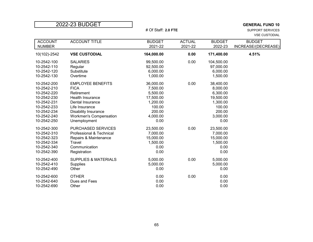$\sup$ PORT SERVICES VSE CUSTODIAL

| <b>ACCOUNT</b><br><b>NUMBER</b>                                                                                                     | <b>ACCOUNT TITLE</b>                                                                                                                                                                                   | <b>BUDGET</b><br>2021-22                                                                           | <b>ACTUAL</b><br>2021-22 | <b>BUDGET</b><br>2022-23                                                                           | <b>BUDGET</b><br>INCREASE/(DECREASE) |
|-------------------------------------------------------------------------------------------------------------------------------------|--------------------------------------------------------------------------------------------------------------------------------------------------------------------------------------------------------|----------------------------------------------------------------------------------------------------|--------------------------|----------------------------------------------------------------------------------------------------|--------------------------------------|
| 10(102)-2542                                                                                                                        | <b>VSE CUSTODIAL</b>                                                                                                                                                                                   | 164,000.00                                                                                         | 0.00                     | 171,400.00                                                                                         | 4.51%                                |
| 10-2542-100<br>10-2542-110<br>10-2542-120<br>10-2542-130                                                                            | <b>SALARIES</b><br>Regular<br>Substitute<br>Overtime                                                                                                                                                   | 99,500.00<br>92,500.00<br>6,000.00<br>1,000.00                                                     | 0.00                     | 104,500.00<br>97,000.00<br>6,000.00<br>1,500.00                                                    |                                      |
| 10-2542-200<br>10-2542-210<br>10-2542-220<br>10-2542-230<br>10-2542-231<br>10-2542-233<br>10-2542-234<br>10-2542-240<br>10-2542-250 | <b>EMPLOYEE BENEFITS</b><br><b>FICA</b><br>Retirement<br><b>Health Insurance</b><br>Dental Insurance<br>Life Insurance<br><b>Disability Insurance</b><br><b>Workmen's Compensation</b><br>Unemployment | 36,000.00<br>7,500.00<br>5,500.00<br>17,500.00<br>1,200.00<br>100.00<br>200.00<br>4,000.00<br>0.00 | 0.00                     | 38,400.00<br>8,000.00<br>6,300.00<br>19,500.00<br>1,300.00<br>100.00<br>200.00<br>3,000.00<br>0.00 |                                      |
| 10-2542-300<br>10-2542-310<br>10-2542-323<br>10-2542-334<br>10-2542-340<br>10-2542-390                                              | <b>PURCHASED SERVICES</b><br>Professional & Technical<br>Repairs & Maintenance<br>Travel<br>Communication<br>Registration                                                                              | 23,500.00<br>7,000.00<br>15,000.00<br>1,500.00<br>0.00<br>0.00                                     | 0.00                     | 23,500.00<br>7,000.00<br>15,000.00<br>1,500.00<br>0.00<br>0.00                                     |                                      |
| 10-2542-400<br>10-2542-410<br>10-2542-490                                                                                           | <b>SUPPLIES &amp; MATERIALS</b><br><b>Supplies</b><br>Other                                                                                                                                            | 5,000.00<br>5,000.00<br>0.00                                                                       | 0.00                     | 5,000.00<br>5,000.00<br>0.00                                                                       |                                      |
| 10-2542-600<br>10-2542-640<br>10-2542-690                                                                                           | <b>OTHER</b><br>Dues and Fees<br>Other                                                                                                                                                                 | 0.00<br>0.00<br>0.00                                                                               | 0.00                     | 0.00<br>0.00<br>0.00                                                                               |                                      |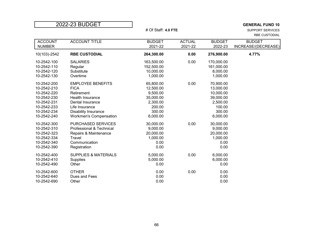$\sup$ PORT SERVICES RBE CUSTODIAL

| <b>ACCOUNT</b> | <b>ACCOUNT TITLE</b>            | <b>BUDGET</b> | <b>ACTUAL</b> | <b>BUDGET</b> | <b>BUDGET</b>       |
|----------------|---------------------------------|---------------|---------------|---------------|---------------------|
| <b>NUMBER</b>  |                                 | 2021-22       | 2021-22       | 2022-23       | INCREASE/(DECREASE) |
| 10(103)-2542   | <b>RBE CUSTODIAL</b>            | 264,300.00    | 0.00          | 276,900.00    | 4.77%               |
| 10-2542-100    | <b>SALARIES</b>                 | 163,500.00    | 0.00          | 170,000.00    |                     |
| 10-2542-110    | Regular                         | 152,500.00    |               | 161,000.00    |                     |
| 10-2542-120    | Substitute                      | 10,000.00     |               | 8,000.00      |                     |
| 10-2542-130    | Overtime                        | 1,000.00      |               | 1,000.00      |                     |
| 10-2542-200    | <b>EMPLOYEE BENEFITS</b>        | 65,800.00     | 0.00          | 70,900.00     |                     |
| 10-2542-210    | <b>FICA</b>                     | 12,500.00     |               | 13,000.00     |                     |
| 10-2542-220    | Retirement                      | 9,500.00      |               | 10,000.00     |                     |
| 10-2542-230    | Health Insurance                | 35,000.00     |               | 39,000.00     |                     |
| 10-2542-231    | Dental Insurance                | 2,300.00      |               | 2,500.00      |                     |
| 10-2542-233    | Life Insurance                  | 200.00        |               | 100.00        |                     |
| 10-2542-234    | <b>Disability Insurance</b>     | 300.00        |               | 300.00        |                     |
| 10-2542-240    | <b>Workmen's Compensation</b>   | 6,000.00      |               | 6,000.00      |                     |
| 10-2542-300    | PURCHASED SERVICES              | 30,000.00     | 0.00          | 30,000.00     |                     |
| 10-2542-310    | Professional & Technical        | 9,000.00      |               | 9,000.00      |                     |
| 10-2542-323    | Repairs & Maintenance           | 20,000.00     |               | 20,000.00     |                     |
| 10-2542-334    | Travel                          | 1,000.00      |               | 1,000.00      |                     |
| 10-2542-340    | Communication                   | 0.00          |               | 0.00          |                     |
| 10-2542-390    | Registration                    | 0.00          |               | 0.00          |                     |
| 10-2542-400    | <b>SUPPLIES &amp; MATERIALS</b> | 5,000.00      | 0.00          | 6,000.00      |                     |
| 10-2542-410    | <b>Supplies</b>                 | 5,000.00      |               | 6,000.00      |                     |
| 10-2542-490    | Other                           | 0.00          |               | 0.00          |                     |
| 10-2542-600    | <b>OTHER</b>                    | 0.00          | 0.00          | 0.00          |                     |
| 10-2542-640    | Dues and Fees                   | 0.00          |               | 0.00          |                     |
| 10-2542-690    | Other                           | 0.00          |               | 0.00          |                     |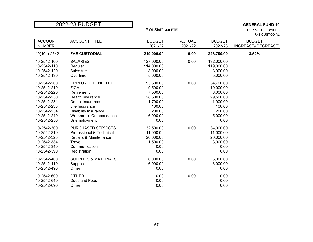|  |  | 2022-23 BUDGET |  |
|--|--|----------------|--|
|  |  |                |  |

## <sup>2</sup> **CENERAL FUND 10**<br>2022-23 BUPPORT SERVICES SUPPORT SERVICES

 $\sup$ PORT SERVICES FAE CUSTODIAL

| <b>ACCOUNT</b><br><b>NUMBER</b>                                                                                                     | <b>ACCOUNT TITLE</b>                                                                                                                                                                            | <b>BUDGET</b><br>2021-22                                                                           | <b>ACTUAL</b><br>2021-22 | <b>BUDGET</b><br>2022-23                                                                            | <b>BUDGET</b><br>INCREASE/(DECREASE) |
|-------------------------------------------------------------------------------------------------------------------------------------|-------------------------------------------------------------------------------------------------------------------------------------------------------------------------------------------------|----------------------------------------------------------------------------------------------------|--------------------------|-----------------------------------------------------------------------------------------------------|--------------------------------------|
| 10(104)-2542                                                                                                                        | <b>FAE CUSTODIAL</b>                                                                                                                                                                            | 219,000.00                                                                                         | 0.00                     | 226,700.00                                                                                          | 3.52%                                |
| 10-2542-100<br>10-2542-110<br>10-2542-120<br>10-2542-130                                                                            | <b>SALARIES</b><br>Regular<br>Substitute<br>Overtime                                                                                                                                            | 127,000.00<br>114,000.00<br>8,000.00<br>5,000.00                                                   | 0.00                     | 132,000.00<br>119,000.00<br>8,000.00<br>5,000.00                                                    |                                      |
| 10-2542-200<br>10-2542-210<br>10-2542-220<br>10-2542-230<br>10-2542-231<br>10-2542-233<br>10-2542-234<br>10-2542-240<br>10-2542-250 | <b>EMPLOYEE BENEFITS</b><br><b>FICA</b><br>Retirement<br>Health Insurance<br>Dental Insurance<br>Life Insurance<br><b>Disability Insurance</b><br><b>Workmen's Compensation</b><br>Unemployment | 53,500.00<br>9,500.00<br>7,500.00<br>28,500.00<br>1,700.00<br>100.00<br>200.00<br>6,000.00<br>0.00 | 0.00                     | 54,700.00<br>10,000.00<br>8,000.00<br>29,500.00<br>1,900.00<br>100.00<br>200.00<br>5,000.00<br>0.00 |                                      |
| 10-2542-300<br>10-2542-310<br>10-2542-323<br>10-2542-334<br>10-2542-340<br>10-2542-390                                              | PURCHASED SERVICES<br>Professional & Technical<br>Repairs & Maintenance<br>Travel<br>Communication<br>Registration                                                                              | 32,500.00<br>11,000.00<br>20,000.00<br>1,500.00<br>0.00<br>0.00                                    | 0.00                     | 34,000.00<br>11,000.00<br>20,000.00<br>3,000.00<br>0.00<br>0.00                                     |                                      |
| 10-2542-400<br>10-2542-410<br>10-2542-490                                                                                           | <b>SUPPLIES &amp; MATERIALS</b><br><b>Supplies</b><br>Other                                                                                                                                     | 6,000.00<br>6,000.00<br>0.00                                                                       | 0.00                     | 6,000.00<br>6,000.00<br>0.00                                                                        |                                      |
| 10-2542-600<br>10-2542-640<br>10-2542-690                                                                                           | <b>OTHER</b><br>Dues and Fees<br>Other                                                                                                                                                          | 0.00<br>0.00<br>0.00                                                                               | 0.00                     | 0.00<br>0.00<br>0.00                                                                                |                                      |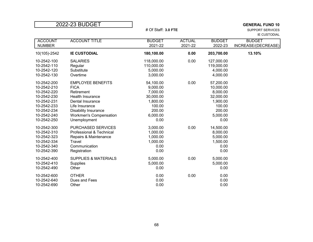$\sup$ PORT SERVICES IE CUSTODIAL

| <b>ACCOUNT</b><br><b>NUMBER</b> | <b>ACCOUNT TITLE</b>            | <b>BUDGET</b><br>2021-22 | <b>ACTUAL</b><br>2021-22 | <b>BUDGET</b><br>2022-23 | <b>BUDGET</b><br>INCREASE/(DECREASE) |
|---------------------------------|---------------------------------|--------------------------|--------------------------|--------------------------|--------------------------------------|
| 10(105)-2542                    | <b>IE CUSTODIAL</b>             | 180,100.00               | 0.00                     | 203,700.00               | 13.10%                               |
| 10-2542-100                     | <b>SALARIES</b>                 | 118,000.00               | 0.00                     | 127,000.00               |                                      |
| 10-2542-110                     | Regular                         | 110,000.00               |                          | 119,000.00               |                                      |
| 10-2542-120                     | Substitute                      | 5,000.00                 |                          | 4,000.00                 |                                      |
| 10-2542-130                     | Overtime                        | 3,000.00                 |                          | 4,000.00                 |                                      |
| 10-2542-200                     | <b>EMPLOYEE BENEFITS</b>        | 54,100.00                | 0.00                     | 57,200.00                |                                      |
| 10-2542-210                     | <b>FICA</b>                     | 9,000.00                 |                          | 10,000.00                |                                      |
| 10-2542-220                     | Retirement                      | 7,000.00                 |                          | 8,000.00                 |                                      |
| 10-2542-230                     | <b>Health Insurance</b>         | 30,000.00                |                          | 32,000.00                |                                      |
| 10-2542-231                     | Dental Insurance                | 1,800.00                 |                          | 1,900.00                 |                                      |
| 10-2542-233                     | Life Insurance                  | 100.00                   |                          | 100.00                   |                                      |
| 10-2542-234                     | Disability Insurance            | 200.00                   |                          | 200.00                   |                                      |
| 10-2542-240                     | <b>Workmen's Compensation</b>   | 6,000.00                 |                          | 5,000.00                 |                                      |
| 10-2542-250                     | Unemployment                    | 0.00                     |                          | 0.00                     |                                      |
| 10-2542-300                     | <b>PURCHASED SERVICES</b>       | 3,000.00                 | 0.00                     | 14,500.00                |                                      |
| 10-2542-310                     | Professional & Technical        | 1,000.00                 |                          | 8,000.00                 |                                      |
| 10-2542-323                     | Repairs & Maintenance           | 1,000.00                 |                          | 5,000.00                 |                                      |
| 10-2542-334                     | Travel                          | 1,000.00                 |                          | 1,500.00                 |                                      |
| 10-2542-340                     | Communication                   | 0.00                     |                          | 0.00                     |                                      |
| 10-2542-390                     | Registration                    | 0.00                     |                          | 0.00                     |                                      |
| 10-2542-400                     | <b>SUPPLIES &amp; MATERIALS</b> | 5,000.00                 | 0.00                     | 5,000.00                 |                                      |
| 10-2542-410                     | <b>Supplies</b>                 | 5,000.00                 |                          | 5,000.00                 |                                      |
| 10-2542-490                     | Other                           | 0.00                     |                          | 0.00                     |                                      |
| 10-2542-600                     | <b>OTHER</b>                    | 0.00                     | 0.00                     | 0.00                     |                                      |
| 10-2542-640                     | Dues and Fees                   | 0.00                     |                          | 0.00                     |                                      |
| 10-2542-690                     | Other                           | 0.00                     |                          | 0.00                     |                                      |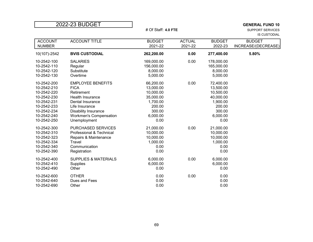| 2022-23 BUDGET |  |  |
|----------------|--|--|

## <sup>2</sup> GENERAL FUND 10<br>2022-23 GENERAL FUND 10<br>2022-23 SUPPORT SERVICES

 $\sup$ PORT SERVICES IS CUSTODIAL

| <b>ACCOUNT</b><br><b>NUMBER</b> | <b>ACCOUNT TITLE</b>            | <b>BUDGET</b><br>2021-22 | <b>ACTUAL</b><br>2021-22 | <b>BUDGET</b><br>2022-23 | <b>BUDGET</b><br>INCREASE/(DECREASE) |
|---------------------------------|---------------------------------|--------------------------|--------------------------|--------------------------|--------------------------------------|
| 10(107)-2542                    | <b>BVIS CUSTODIAL</b>           | 262,200.00               | 0.00                     | 277,400.00               | 5.80%                                |
| 10-2542-100                     | <b>SALARIES</b>                 | 169,000.00               | 0.00                     | 178,000.00               |                                      |
| 10-2542-110                     | Regular                         | 156,000.00               |                          | 165,000.00               |                                      |
| 10-2542-120                     | Substitute                      | 8,000.00                 |                          | 8,000.00                 |                                      |
| 10-2542-130                     | Overtime                        | 5,000.00                 |                          | 5,000.00                 |                                      |
| 10-2542-200                     | <b>EMPLOYEE BENEFITS</b>        | 66,200.00                | 0.00                     | 72,400.00                |                                      |
| 10-2542-210                     | <b>FICA</b>                     | 13,000.00                |                          | 13,500.00                |                                      |
| 10-2542-220                     | Retirement                      | 10,000.00                |                          | 10,500.00                |                                      |
| 10-2542-230                     | <b>Health Insurance</b>         | 35,000.00                |                          | 40,000.00                |                                      |
| 10-2542-231                     | Dental Insurance                | 1,700.00                 |                          | 1,900.00                 |                                      |
| 10-2542-233                     | Life Insurance                  | 200.00                   |                          | 200.00                   |                                      |
| 10-2542-234                     | <b>Disability Insurance</b>     | 300.00                   |                          | 300.00                   |                                      |
| 10-2542-240                     | <b>Workmen's Compensation</b>   | 6,000.00                 |                          | 6,000.00                 |                                      |
| 10-2542-250                     | Unemployment                    | 0.00                     |                          | 0.00                     |                                      |
| 10-2542-300                     | <b>PURCHASED SERVICES</b>       | 21,000.00                | 0.00                     | 21,000.00                |                                      |
| 10-2542-310                     | Professional & Technical        | 10,000.00                |                          | 10,000.00                |                                      |
| 10-2542-323                     | Repairs & Maintenance           | 10,000.00                |                          | 10,000.00                |                                      |
| 10-2542-334                     | Travel                          | 1,000.00                 |                          | 1,000.00                 |                                      |
| 10-2542-340                     | Communication                   | 0.00                     |                          | 0.00                     |                                      |
| 10-2542-390                     | Registration                    | 0.00                     |                          | 0.00                     |                                      |
| 10-2542-400                     | <b>SUPPLIES &amp; MATERIALS</b> | 6,000.00                 | 0.00                     | 6,000.00                 |                                      |
| 10-2542-410                     | Supplies                        | 6,000.00                 |                          | 6,000.00                 |                                      |
| 10-2542-490                     | Other                           | 0.00                     |                          | 0.00                     |                                      |
| 10-2542-600                     | <b>OTHER</b>                    | 0.00                     | 0.00                     | 0.00                     |                                      |
| 10-2542-640                     | Dues and Fees                   | 0.00                     |                          | 0.00                     |                                      |
| 10-2542-690                     | Other                           | 0.00                     |                          | 0.00                     |                                      |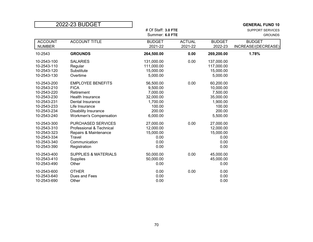| 2022-23 BUDGET                                                                                                       |                                                                                                                                                                          |                                                                                            |                          |                                                                                             | <b>GENERAL FUND 10</b>                    |
|----------------------------------------------------------------------------------------------------------------------|--------------------------------------------------------------------------------------------------------------------------------------------------------------------------|--------------------------------------------------------------------------------------------|--------------------------|---------------------------------------------------------------------------------------------|-------------------------------------------|
|                                                                                                                      |                                                                                                                                                                          | # Of Staff: 3.0 FTE<br>Summer: 6.0 FTE                                                     |                          |                                                                                             | <b>SUPPORT SERVICES</b><br><b>GROUNDS</b> |
| <b>ACCOUNT</b><br><b>NUMBER</b>                                                                                      | <b>ACCOUNT TITLE</b>                                                                                                                                                     | <b>BUDGET</b><br>2021-22                                                                   | <b>ACTUAL</b><br>2021-22 | <b>BUDGET</b><br>2022-23                                                                    | <b>BUDGET</b><br>INCREASE/(DECREASE)      |
| 10-2543                                                                                                              | <b>GROUNDS</b>                                                                                                                                                           | 264,500.00                                                                                 | 0.00                     | 269,200.00                                                                                  | 1.78%                                     |
| 10-2543-100<br>10-2543-110<br>10-2543-120<br>10-2543-130                                                             | <b>SALARIES</b><br>Regular<br>Substitute<br>Overtime                                                                                                                     | 131,000.00<br>111,000.00<br>15,000.00<br>5,000.00                                          | 0.00                     | 137,000.00<br>117,000.00<br>15,000.00<br>5,000.00                                           |                                           |
| 10-2543-200<br>10-2543-210<br>10-2543-220<br>10-2543-230<br>10-2543-231<br>10-2543-233<br>10-2543-234<br>10-2543-240 | <b>EMPLOYEE BENEFITS</b><br><b>FICA</b><br>Retirement<br>Health Insurance<br>Dental Insurance<br>Life Insurance<br>Disability Insurance<br><b>Workmen's Compensation</b> | 56,500.00<br>9,500.00<br>7,000.00<br>32,000.00<br>1,700.00<br>100.00<br>200.00<br>6,000.00 | 0.00                     | 60,200.00<br>10,000.00<br>7,500.00<br>35,000.00<br>1,900.00<br>100.00<br>200.00<br>5,500.00 |                                           |
| 10-2543-300<br>10-2543-310<br>10-2543-323<br>10-2543-334<br>10-2543-340<br>10-2543-390                               | <b>PURCHASED SERVICES</b><br>Professional & Technical<br>Repairs & Maintenance<br>Travel<br>Communication<br>Registration                                                | 27,000.00<br>12,000.00<br>15,000.00<br>0.00<br>0.00<br>0.00                                | 0.00                     | 27,000.00<br>12,000.00<br>15,000.00<br>0.00<br>0.00<br>0.00                                 |                                           |
| 10-2543-400<br>10-2543-410<br>10-2543-490                                                                            | <b>SUPPLIES &amp; MATERIALS</b><br><b>Supplies</b><br>Other                                                                                                              | 50,000.00<br>50,000.00<br>0.00                                                             | 0.00                     | 45,000.00<br>45,000.00<br>0.00                                                              |                                           |
| 10-2543-600<br>10-2543-640<br>10-2543-690                                                                            | <b>OTHER</b><br>Dues and Fees<br>Other                                                                                                                                   | 0.00<br>0.00<br>0.00                                                                       | 0.00                     | 0.00<br>0.00<br>0.00                                                                        |                                           |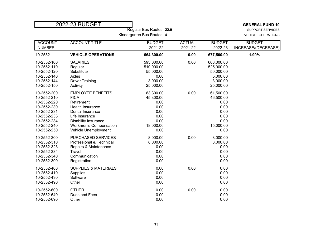|                                                         | 2022-23 BUDGET                  |                          |               |                          | <b>GENERAL FUND 10</b>  |  |
|---------------------------------------------------------|---------------------------------|--------------------------|---------------|--------------------------|-------------------------|--|
|                                                         |                                 | Regular Bus Routes: 22.0 |               |                          | <b>SUPPORT SERVICES</b> |  |
| Kindergarten Bus Routes: 4<br><b>VEHICLE OPERATIONS</b> |                                 |                          |               |                          |                         |  |
| <b>ACCOUNT</b>                                          | <b>ACCOUNT TITLE</b>            | <b>BUDGET</b>            | <b>ACTUAL</b> | <b>BUDGET</b>            | <b>BUDGET</b>           |  |
| <b>NUMBER</b>                                           |                                 | 2021-22                  | 2021-22       | 2022-23                  | INCREASE/(DECREASE)     |  |
| 10-2552                                                 | <b>VEHICLE OPERATIONS</b>       | 664,300.00               | 0.00          | 677,500.00               | 1.99%                   |  |
| 10-2552-100<br>10-2552-110                              | <b>SALARIES</b><br>Regular      | 593,000.00<br>510,000.00 | 0.00          | 608,000.00<br>525,000.00 |                         |  |
| 10-2552-120                                             | Substitute                      | 55,000.00                |               | 50,000.00                |                         |  |
| 10-2552-140                                             | Aides                           | 0.00                     |               | 5,000.00                 |                         |  |
| 10-2552-144                                             | <b>Driver Training</b>          | 3,000.00                 |               | 3,000.00                 |                         |  |
| 10-2552-150                                             | Activity                        | 25,000.00                |               | 25,000.00                |                         |  |
| 10-2552-200                                             | <b>EMPLOYEE BENEFITS</b>        | 63,300.00                | 0.00          | 61,500.00                |                         |  |
| 10-2552-210                                             | <b>FICA</b>                     | 45,300.00                |               | 46,500.00                |                         |  |
| 10-2552-220                                             | Retirement                      | 0.00                     |               | 0.00                     |                         |  |
| 10-2552-230                                             | <b>Health Insurance</b>         | 0.00                     |               | 0.00                     |                         |  |
| 10-2552-231                                             | Dental Insurance                | 0.00                     |               | 0.00                     |                         |  |
| 10-2552-233                                             | Life Insurance                  | 0.00                     |               | 0.00                     |                         |  |
| 10-2552-234                                             | <b>Disability Insurance</b>     | 0.00                     |               | 0.00                     |                         |  |
| 10-2552-240                                             | <b>Workmen's Compensation</b>   | 18,000.00                |               | 15,000.00                |                         |  |
| 10-2552-250                                             | Vehicle Unemployment            | 0.00                     |               | 0.00                     |                         |  |
| 10-2552-300                                             | PURCHASED SERVICES              | 8,000.00                 | 0.00          | 8,000.00                 |                         |  |
| 10-2552-310                                             | Professional & Technical        | 8,000.00                 |               | 8,000.00                 |                         |  |
| 10-2552-323                                             | Repairs & Maintenance           | 0.00                     |               | 0.00                     |                         |  |
| 10-2552-334                                             | Travel                          | 0.00                     |               | 0.00                     |                         |  |
| 10-2552-340                                             | Communication                   | 0.00                     |               | 0.00                     |                         |  |
| 10-2552-390                                             | Registration                    | 0.00                     |               | 0.00                     |                         |  |
| 10-2552-400                                             | <b>SUPPLIES &amp; MATERIALS</b> | 0.00                     | 0.00          | 0.00                     |                         |  |
| 10-2552-410                                             | Supplies                        | 0.00                     |               | 0.00                     |                         |  |
| 10-2552-430                                             | Software                        | 0.00                     |               | 0.00                     |                         |  |
| 10-2552-490                                             | Other                           | 0.00                     |               | 0.00                     |                         |  |
| 10-2552-600                                             | <b>OTHER</b>                    | 0.00                     | 0.00          | 0.00                     |                         |  |
| 10-2552-640                                             | Dues and Fees                   | 0.00                     |               | 0.00                     |                         |  |
| 10-2552-690                                             | Other                           | 0.00                     |               | 0.00                     |                         |  |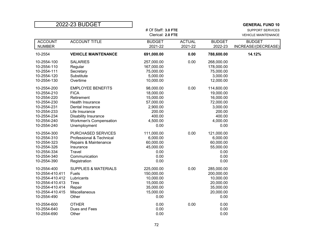| 2022-23 BUDGET  |                                 |                     |               |               | <b>GENERAL FUND 10</b>     |
|-----------------|---------------------------------|---------------------|---------------|---------------|----------------------------|
|                 |                                 | # Of Staff: 3.0 FTE |               |               | <b>SUPPORT SERVICES</b>    |
|                 |                                 | Clerical: 2.0 FTE   |               |               | <b>VEHICLE MAINTENANCE</b> |
| <b>ACCOUNT</b>  | <b>ACCOUNT TITLE</b>            | <b>BUDGET</b>       | <b>ACTUAL</b> | <b>BUDGET</b> | <b>BUDGET</b>              |
| <b>NUMBER</b>   |                                 | 2021-22             | 2021-22       | 2022-23       | INCREASE/(DECREASE)        |
| 10-2554         | <b>VEHICLE MAINTENANCE</b>      | 691,000.00          | 0.00          | 788,600.00    | 14.12%                     |
| 10-2554-100     | <b>SALARIES</b>                 | 257,000.00          | 0.00          | 268,000.00    |                            |
| 10-2554-110     | Regular                         | 167,000.00          |               | 178,000.00    |                            |
| 10-2554-111     | Secretary                       | 75,000.00           |               | 75,000.00     |                            |
| 10-2554-120     | Substitute                      | 5,000.00            |               | 3,000.00      |                            |
| 10-2554-130     | Overtime                        | 10,000.00           |               | 12,000.00     |                            |
| 10-2554-200     | <b>EMPLOYEE BENEFITS</b>        | 98,000.00           | 0.00          | 114,600.00    |                            |
| 10-2554-210     | <b>FICA</b>                     | 18,000.00           |               | 19,000.00     |                            |
| 10-2554-220     | Retirement                      | 15,000.00           |               | 16,000.00     |                            |
| 10-2554-230     | Health Insurance                | 57,000.00           |               | 72,000.00     |                            |
| 10-2554-231     | Dental Insurance                | 2,900.00            |               | 3,000.00      |                            |
| 10-2554-233     | Life Insurance                  | 200.00              |               | 200.00        |                            |
| 10-2554-234     | Disability Insurance            | 400.00              |               | 400.00        |                            |
| 10-2554-240     | <b>Workmen's Compensation</b>   | 4,500.00            |               | 4,000.00      |                            |
| 10-2554-240     | Unemployment                    | 0.00                |               | 0.00          |                            |
| 10-2554-300     | PURCHASED SERVICES              | 111,000.00          | 0.00          | 121,000.00    |                            |
| 10-2554-310     | Professional & Technical        | 6,000.00            |               | 6,000.00      |                            |
| 10-2554-323     | Repairs & Maintenance           | 60,000.00           |               | 60,000.00     |                            |
| 10-2554-326     | Insurance                       | 45,000.00           |               | 55,000.00     |                            |
| 10-2554-334     | Travel                          | 0.00                |               | 0.00          |                            |
| 10-2554-340     | Communication                   | 0.00                |               | 0.00          |                            |
| 10-2554-390     | Registration                    | 0.00                |               | 0.00          |                            |
| 10-2554-400     | <b>SUPPLIES &amp; MATERIALS</b> | 225,000.00          | 0.00          | 285,000.00    |                            |
| 10-2554-410.411 | Fuels                           | 150,000.00          |               | 200,000.00    |                            |
| 10-2554-410.412 | Lubricants                      | 10,000.00           |               | 10,000.00     |                            |
| 10-2554-410.413 | <b>Tires</b>                    | 15,000.00           |               | 20,000.00     |                            |
| 10-2554-410.414 | Repair                          | 35,000.00           |               | 35,000.00     |                            |
| 10-2554-410.415 | Miscellaneous                   | 15,000.00           |               | 20,000.00     |                            |
| 10-2554-490     | Other                           | 0.00                |               | 0.00          |                            |
| 10-2554-600     | <b>OTHER</b>                    | 0.00                | 0.00          | 0.00          |                            |
| 10-2554-640     | Dues and Fees                   | 0.00                |               | 0.00          |                            |
| 10-2554-690     | Other                           | 0.00                |               | 0.00          |                            |
|                 |                                 |                     |               |               |                            |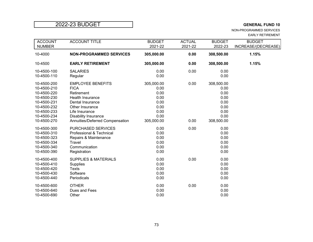NON-PROGRAMMED SERVICES EARLY RETIREMENT

| <b>ACCOUNT</b><br><b>NUMBER</b> | <b>ACCOUNT TITLE</b>            | <b>BUDGET</b><br>2021-22 | <b>ACTUAL</b><br>2021-22 | <b>BUDGET</b><br>2022-23 | <b>BUDGET</b><br>INCREASE/(DECREASE) |
|---------------------------------|---------------------------------|--------------------------|--------------------------|--------------------------|--------------------------------------|
| 10-4000                         | <b>NON-PROGRAMMED SERVICES</b>  | 305,000.00               | 0.00                     | 308,500.00               | 1.15%                                |
| 10-4500                         | <b>EARLY RETIREMENT</b>         | 305,000.00               | 0.00                     | 308,500.00               | 1.15%                                |
| 10-4500-100                     | <b>SALARIES</b>                 | 0.00                     | 0.00                     | 0.00                     |                                      |
| 10-4500-110                     | Regular                         | 0.00                     |                          | 0.00                     |                                      |
| 10-4500-200                     | <b>EMPLOYEE BENEFITS</b>        | 305,000.00               | 0.00                     | 308,500.00               |                                      |
| 10-4500-210                     | <b>FICA</b>                     | 0.00                     |                          | 0.00                     |                                      |
| 10-4500-220                     | Retirement                      | 0.00                     |                          | 0.00                     |                                      |
| 10-4500-230                     | Health Insurance                | 0.00                     |                          | 0.00                     |                                      |
| 10-4500-231                     | Dental Insurance                | 0.00                     |                          | 0.00                     |                                      |
| 10-4500-232                     | Other Insurance                 | 0.00                     |                          | 0.00                     |                                      |
| 10-4500-233                     | Life Insurance                  | 0.00                     |                          | 0.00                     |                                      |
| 10-4500-234                     | <b>Disability Insurance</b>     | 0.00                     |                          | 0.00                     |                                      |
| 10-4500-270                     | Annuities/Deferred Compensation | 305,000.00               | 0.00                     | 308,500.00               |                                      |
| 10-4500-300                     | PURCHASED SERVICES              | 0.00                     | 0.00                     | 0.00                     |                                      |
| 10-4500-310                     | Professional & Technical        | 0.00                     |                          | 0.00                     |                                      |
| 10-4500-323                     | Repairs & Maintenance           | 0.00                     |                          | 0.00                     |                                      |
| 10-4500-334                     | Travel                          | 0.00                     |                          | 0.00                     |                                      |
| 10-4500-340                     | Communication                   | 0.00                     |                          | 0.00                     |                                      |
| 10-4500-390                     | Registration                    | 0.00                     |                          | 0.00                     |                                      |
| 10-4500-400                     | <b>SUPPLIES &amp; MATERIALS</b> | 0.00                     | 0.00                     | 0.00                     |                                      |
| 10-4500-410                     | <b>Supplies</b>                 | 0.00                     |                          | 0.00                     |                                      |
| 10-4500-420                     | <b>Texts</b>                    | 0.00                     |                          | 0.00                     |                                      |
| 10-4500-430                     | Software                        | 0.00                     |                          | 0.00                     |                                      |
| 10-4500-440                     | Periodicals                     | 0.00                     |                          | 0.00                     |                                      |
| 10-4500-600                     | <b>OTHER</b>                    | 0.00                     | 0.00                     | 0.00                     |                                      |
| 10-4500-640                     | Dues and Fees                   | 0.00                     |                          | 0.00                     |                                      |
| 10-4500-690                     | Other                           | 0.00                     |                          | 0.00                     |                                      |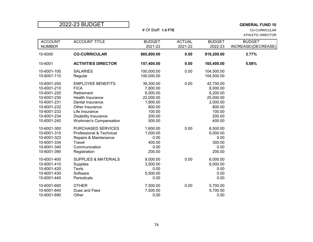|                                                                                                                                     |                                                                                                                                                                                                           |                                                                                                    | # Of Staff: 1.0 FTE      |                                                                                                    |                                      |
|-------------------------------------------------------------------------------------------------------------------------------------|-----------------------------------------------------------------------------------------------------------------------------------------------------------------------------------------------------------|----------------------------------------------------------------------------------------------------|--------------------------|----------------------------------------------------------------------------------------------------|--------------------------------------|
| <b>ACCOUNT</b><br><b>NUMBER</b>                                                                                                     | <b>ACCOUNT TITLE</b>                                                                                                                                                                                      | <b>BUDGET</b><br>2021-22                                                                           | <b>ACTUAL</b><br>2021-22 | <b>BUDGET</b><br>2022-23                                                                           | <b>BUDGET</b><br>INCREASE/(DECREASE) |
| 10-6000                                                                                                                             | <b>CO-CURRICULAR</b>                                                                                                                                                                                      | 885,800.00                                                                                         | 0.00                     | 919,200.00                                                                                         | 3.77%                                |
| 10-6001                                                                                                                             | <b>ACTIVITIES DIRECTOR</b>                                                                                                                                                                                | 157,400.00                                                                                         | 0.00                     | 165,400.00                                                                                         | 5.08%                                |
| 10-6001-100<br>10-6001-110                                                                                                          | <b>SALARIES</b><br>Regular                                                                                                                                                                                | 100,000.00<br>100,000.00                                                                           | 0.00                     | 104,500.00<br>104,500.00                                                                           |                                      |
| 10-6001-200<br>10-6001-210<br>10-6001-220<br>10-6001-230<br>10-6001-231<br>10-6001-232<br>10-6001-233<br>10-6001-234<br>10-6001-240 | <b>EMPLOYEE BENEFITS</b><br><b>FICA</b><br>Retirement<br><b>Health Insurance</b><br>Dental Insurance<br>Other Insurance<br>Life Insurance<br><b>Disability Insurance</b><br><b>Workmen's Compensation</b> | 39,300.00<br>7,800.00<br>6,000.00<br>22,000.00<br>1,900.00<br>800.00<br>100.00<br>200.00<br>500.00 | 0.00                     | 42,700.00<br>8,000.00<br>6,200.00<br>25,000.00<br>2,000.00<br>800.00<br>100.00<br>200.00<br>400.00 |                                      |
| 10-6001-300<br>10-6001-310<br>10-6001-323<br>10-6001-334<br>10-6001-340<br>10-6001-390                                              | <b>PURCHASED SERVICES</b><br>Professional & Technical<br>Repairs & Maintenance<br><b>Travel</b><br>Communication<br>Registration                                                                          | 1,600.00<br>1,000.00<br>0.00<br>400.00<br>0.00<br>200.00                                           | 0.00                     | 6,500.00<br>6,000.00<br>0.00<br>300.00<br>0.00<br>200.00                                           |                                      |
| 10-6001-400<br>10-6001-410<br>10-6001-420<br>10-6001-430<br>10-6001-440                                                             | <b>SUPPLIES &amp; MATERIALS</b><br><b>Supplies</b><br><b>Texts</b><br>Software<br>Periodicals                                                                                                             | 9,000.00<br>3,500.00<br>0.00<br>5,500.00<br>0.00                                                   | 0.00                     | 6,000.00<br>6,000.00<br>0.00<br>0.00<br>0.00                                                       |                                      |
| 10-6001-600<br>10-6001-640<br>10-6001-690                                                                                           | <b>OTHER</b><br>Dues and Fees<br>Other                                                                                                                                                                    | 7,500.00<br>7,500.00<br>0.00                                                                       | 0.00                     | 5,700.00<br>5,700.00<br>0.00                                                                       |                                      |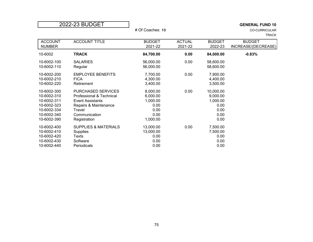|                | 2022-23 BUDGET                  | <b>GENERAL FUND 10</b> |               |               |                      |  |
|----------------|---------------------------------|------------------------|---------------|---------------|----------------------|--|
|                |                                 | # Of Coaches: 13       |               |               | <b>CO-CURRICULAR</b> |  |
|                |                                 |                        |               |               | <b>TRACK</b>         |  |
| <b>ACCOUNT</b> | <b>ACCOUNT TITLE</b>            | <b>BUDGET</b>          | <b>ACTUAL</b> | <b>BUDGET</b> | <b>BUDGET</b>        |  |
| <b>NUMBER</b>  |                                 | 2021-22                | 2021-22       | 2022-23       | INCREASE/(DECREASE)  |  |
| 10-6002        | <b>TRACK</b>                    | 84,700.00              | 0.00          | 84,000.00     | $-0.83%$             |  |
| 10-6002-100    | <b>SALARIES</b>                 | 56,000.00              | 0.00          | 58,600.00     |                      |  |
| 10-6002-110    | Regular                         | 56,000.00              |               | 58,600.00     |                      |  |
| 10-6002-200    | <b>EMPLOYEE BENEFITS</b>        | 7,700.00               | 0.00          | 7,900.00      |                      |  |
| 10-6002-210    | <b>FICA</b>                     | 4,300.00               |               | 4,400.00      |                      |  |
| 10-6002-220    | Retirement                      | 3,400.00               |               | 3,500.00      |                      |  |
| 10-6002-300    | PURCHASED SERVICES              | 8,000.00               | 0.00          | 10,000.00     |                      |  |
| 10-6002-310    | Professional & Technical        | 6,000.00               |               | 9,000.00      |                      |  |
| 10-6002-311    | <b>Event Assistants</b>         | 1,000.00               |               | 1,000.00      |                      |  |
| 10-6002-323    | Repairs & Maintenance           | 0.00                   |               | 0.00          |                      |  |
| 10-6002-334    | Travel                          | 0.00                   |               | 0.00          |                      |  |
| 10-6002-340    | Communication                   | 0.00                   |               | 0.00          |                      |  |
| 10-6002-390    | Registration                    | 1,000.00               |               | 0.00          |                      |  |
| 10-6002-400    | <b>SUPPLIES &amp; MATERIALS</b> | 13,000.00              | 0.00          | 7,500.00      |                      |  |
| 10-6002-410    | <b>Supplies</b>                 | 13,000.00              |               | 7,500.00      |                      |  |
| 10-6002-420    | Texts                           | 0.00                   |               | 0.00          |                      |  |
| 10-6002-430    | Software                        | 0.00                   |               | 0.00          |                      |  |
| 10-6002-440    | Periodicals                     | 0.00                   |               | 0.00          |                      |  |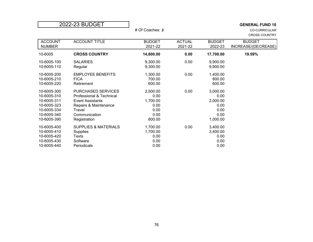|                | 2022-23 BUDGET                  |                 | <b>GENERAL FUND 10</b> |               |                      |
|----------------|---------------------------------|-----------------|------------------------|---------------|----------------------|
|                |                                 | # Of Coaches: 2 |                        |               | <b>CO-CURRICULAR</b> |
|                |                                 |                 |                        |               | <b>CROSS COUNTRY</b> |
| <b>ACCOUNT</b> | <b>ACCOUNT TITLE</b>            | <b>BUDGET</b>   | <b>ACTUAL</b>          | <b>BUDGET</b> | <b>BUDGET</b>        |
| <b>NUMBER</b>  |                                 | 2021-22         | 2021-22                | 2022-23       | INCREASE/(DECREASE)  |
| 10-6005        | <b>CROSS COUNTRY</b>            | 14,800.00       | 0.00                   | 17,700.00     | 19.59%               |
| 10-6005-100    | <b>SALARIES</b>                 | 9,300.00        | 0.00                   | 9,900.00      |                      |
| 10-6005-110    | Regular                         | 9,300.00        |                        | 9,900.00      |                      |
| 10-6005-200    | <b>EMPLOYEE BENEFITS</b>        | 1,300.00        | 0.00                   | 1,400.00      |                      |
| 10-6005-210    | <b>FICA</b>                     | 700.00          |                        | 800.00        |                      |
| 10-6005-220    | Retirement                      | 600.00          |                        | 600.00        |                      |
| 10-6005-300    | PURCHASED SERVICES              | 2,500.00        | 0.00                   | 3,000.00      |                      |
| 10-6005-310    | Professional & Technical        | 0.00            |                        | 0.00          |                      |
| 10-6005-311    | <b>Event Assistants</b>         | 1,700.00        |                        | 2,000.00      |                      |
| 10-6005-323    | Repairs & Maintenance           | 0.00            |                        | 0.00          |                      |
| 10-6005-334    | Travel                          | 0.00            |                        | 0.00          |                      |
| 10-6005-340    | Communication                   | 0.00            |                        | 0.00          |                      |
| 10-6005-390    | Registration                    | 800.00          |                        | 1,000.00      |                      |
| 10-6005-400    | <b>SUPPLIES &amp; MATERIALS</b> | 1,700.00        | 0.00                   | 3,400.00      |                      |
| 10-6005-410    | Supplies                        | 1,700.00        |                        | 3,400.00      |                      |
| 10-6005-420    | Texts                           | 0.00            |                        | 0.00          |                      |
| 10-6005-430    | Software                        | 0.00            |                        | 0.00          |                      |
| 10-6005-440    | Periodicals                     | 0.00            |                        | 0.00          |                      |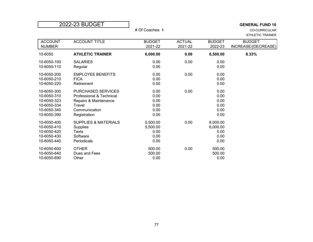|                                                                                        | 2022-23 BUDGET                                                                                                     | # Of Coaches: 1                              |                          |                                              | <b>GENERAL FUND 10</b><br><b>CO-CURRICULAR</b><br><b>ATHLETIC TRAINER</b> |
|----------------------------------------------------------------------------------------|--------------------------------------------------------------------------------------------------------------------|----------------------------------------------|--------------------------|----------------------------------------------|---------------------------------------------------------------------------|
| <b>ACCOUNT</b><br><b>NUMBER</b>                                                        | <b>ACCOUNT TITLE</b>                                                                                               | <b>BUDGET</b><br>2021-22                     | <b>ACTUAL</b><br>2021-22 | <b>BUDGET</b><br>2022-23                     | <b>BUDGET</b><br>INCREASE/(DECREASE)                                      |
| 10-6050                                                                                | <b>ATHLETIC TRAINER</b>                                                                                            | 6,000.00                                     | 0.00                     | 6,500.00                                     | 8.33%                                                                     |
| 10-6050-100<br>10-6050-110                                                             | <b>SALARIES</b><br>Regular                                                                                         | 0.00<br>0.00                                 | 0.00                     | 0.00<br>0.00                                 |                                                                           |
| 10-6050-200<br>10-6050-210<br>10-6050-220                                              | <b>EMPLOYEE BENEFITS</b><br><b>FICA</b><br>Retirement                                                              | 0.00<br>0.00<br>0.00                         | 0.00                     | 0.00<br>0.00<br>0.00                         |                                                                           |
| 10-6050-300<br>10-6050-310<br>10-6050-323<br>10-6050-334<br>10-6050-340<br>10-6050-390 | PURCHASED SERVICES<br>Professional & Technical<br>Repairs & Maintenance<br>Travel<br>Communication<br>Registration | 0.00<br>0.00<br>0.00<br>0.00<br>0.00<br>0.00 | 0.00                     | 0.00<br>0.00<br>0.00<br>0.00<br>0.00<br>0.00 |                                                                           |
| 10-6050-400<br>10-6050-410<br>10-6050-420<br>10-6050-430<br>10-6050-440                | <b>SUPPLIES &amp; MATERIALS</b><br>Supplies<br><b>Texts</b><br>Software<br>Periodicals                             | 5,500.00<br>5,500.00<br>0.00<br>0.00<br>0.00 | 0.00                     | 6,000.00<br>6,000.00<br>0.00<br>0.00<br>0.00 |                                                                           |
| 10-6050-600<br>10-6050-640<br>10-6050-690                                              | <b>OTHER</b><br>Dues and Fees<br>Other                                                                             | 500.00<br>500.00<br>0.00                     | 0.00                     | 500.00<br>500.00<br>0.00                     |                                                                           |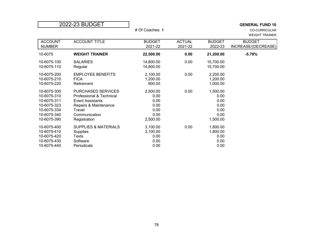| 2022-23 BUDGET |                                 |                 |               |               | <b>GENERAL FUND 10</b> |  |
|----------------|---------------------------------|-----------------|---------------|---------------|------------------------|--|
|                |                                 | # Of Coaches: 1 |               |               | <b>CO-CURRICULAR</b>   |  |
|                |                                 |                 |               |               | <b>WEIGHT TRAINER</b>  |  |
| <b>ACCOUNT</b> | <b>ACCOUNT TITLE</b>            | <b>BUDGET</b>   | <b>ACTUAL</b> | <b>BUDGET</b> | <b>BUDGET</b>          |  |
| <b>NUMBER</b>  |                                 | 2021-22         | 2021-22       | 2022-23       | INCREASE/(DECREASE)    |  |
| 10-6075        | <b>WEIGHT TRAINER</b>           | 22,500.00       | 0.00          | 21,200.00     | $-5.78%$               |  |
| 10-6075-100    | <b>SALARIES</b>                 | 14,800.00       | 0.00          | 15,700.00     |                        |  |
| 10-6075-110    | Regular                         | 14,800.00       |               | 15,700.00     |                        |  |
| 10-6075-200    | <b>EMPLOYEE BENEFITS</b>        | 2,100.00        | 0.00          | 2,200.00      |                        |  |
| 10-6075-210    | <b>FICA</b>                     | 1,200.00        |               | 1,200.00      |                        |  |
| 10-6075-220    | Retirement                      | 900.00          |               | 1,000.00      |                        |  |
| 10-6075-300    | PURCHASED SERVICES              | 2,500.00        | 0.00          | 1,500.00      |                        |  |
| 10-6075-310    | Professional & Technical        | 0.00            |               | 0.00          |                        |  |
| 10-6075-311    | <b>Event Assistants</b>         | 0.00            |               | 0.00          |                        |  |
| 10-6075-323    | Repairs & Maintenance           | 0.00            |               | 0.00          |                        |  |
| 10-6075-334    | Travel                          | 0.00            |               | 0.00          |                        |  |
| 10-6075-340    | Communication                   | 0.00            |               | 0.00          |                        |  |
| 10-6075-390    | Registration                    | 2,500.00        |               | 1,500.00      |                        |  |
| 10-6075-400    | <b>SUPPLIES &amp; MATERIALS</b> | 3,100.00        | 0.00          | 1,800.00      |                        |  |
| 10-6075-410    | Supplies                        | 3,100.00        |               | 1,800.00      |                        |  |
| 10-6075-420    | Texts                           | 0.00            |               | 0.00          |                        |  |
| 10-6075-430    | Software                        | 0.00            |               | 0.00          |                        |  |
| 10-6075-440    | Periodicals                     | 0.00            |               | 0.00          |                        |  |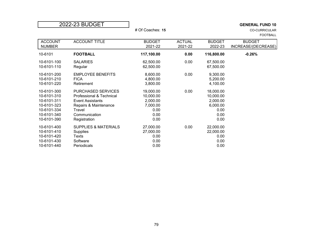| 2022-23 BUDGET |                                 |                  |               | <b>GENERAL FUND 10</b> |                                         |  |
|----------------|---------------------------------|------------------|---------------|------------------------|-----------------------------------------|--|
|                |                                 | # Of Coaches: 15 |               |                        | <b>CO-CURRICULAR</b><br><b>FOOTBALL</b> |  |
| <b>ACCOUNT</b> | <b>ACCOUNT TITLE</b>            | <b>BUDGET</b>    | <b>ACTUAL</b> | <b>BUDGET</b>          | <b>BUDGET</b>                           |  |
| <b>NUMBER</b>  |                                 | 2021-22          | 2021-22       | 2022-23                | INCREASE/(DECREASE)                     |  |
| 10-6101        | <b>FOOTBALL</b>                 | 117,100.00       | 0.00          | 116,800.00             | $-0.26%$                                |  |
| 10-6101-100    | <b>SALARIES</b>                 | 62,500.00        | 0.00          | 67,500.00              |                                         |  |
| 10-6101-110    | Regular                         | 62,500.00        |               | 67,500.00              |                                         |  |
| 10-6101-200    | <b>EMPLOYEE BENEFITS</b>        | 8,600.00         | 0.00          | 9,300.00               |                                         |  |
| 10-6101-210    | <b>FICA</b>                     | 4,800.00         |               | 5,200.00               |                                         |  |
| 10-6101-220    | Retirement                      | 3,800.00         |               | 4,100.00               |                                         |  |
| 10-6101-300    | PURCHASED SERVICES              | 19,000.00        | 0.00          | 18,000.00              |                                         |  |
| 10-6101-310    | Professional & Technical        | 10,000.00        |               | 10,000.00              |                                         |  |
| 10-6101-311    | <b>Event Assistants</b>         | 2,000.00         |               | 2,000.00               |                                         |  |
| 10-6101-323    | Repairs & Maintenance           | 7,000.00         |               | 6,000.00               |                                         |  |
| 10-6101-334    | Travel                          | 0.00             |               | 0.00                   |                                         |  |
| 10-6101-340    | Communication                   | 0.00             |               | 0.00                   |                                         |  |
| 10-6101-390    | Registration                    | 0.00             |               | 0.00                   |                                         |  |
| 10-6101-400    | <b>SUPPLIES &amp; MATERIALS</b> | 27,000.00        | 0.00          | 22,000.00              |                                         |  |
| 10-6101-410    | Supplies                        | 27,000.00        |               | 22,000.00              |                                         |  |
| 10-6101-420    | Texts                           | 0.00             |               | 0.00                   |                                         |  |
| 10-6101-430    | Software                        | 0.00             |               | 0.00                   |                                         |  |
| 10-6101-440    | Periodicals                     | 0.00             |               | 0.00                   |                                         |  |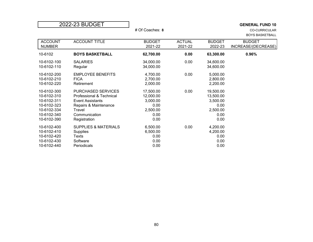| 2022-23 BUDGET |                                 |                 |               |               | <b>GENERAL FUND 10</b> |
|----------------|---------------------------------|-----------------|---------------|---------------|------------------------|
|                |                                 | # Of Coaches: 8 |               |               | <b>CO-CURRICULAR</b>   |
|                |                                 |                 |               |               | <b>BOYS BASKETBALL</b> |
| <b>ACCOUNT</b> | <b>ACCOUNT TITLE</b>            | <b>BUDGET</b>   | <b>ACTUAL</b> | <b>BUDGET</b> | <b>BUDGET</b>          |
| <b>NUMBER</b>  |                                 | 2021-22         | 2021-22       | 2022-23       | INCREASE/(DECREASE)    |
| 10-6102        | <b>BOYS BASKETBALL</b>          | 62,700.00       | 0.00          | 63,300.00     | 0.96%                  |
| 10-6102-100    | <b>SALARIES</b>                 | 34,000.00       | 0.00          | 34,600.00     |                        |
| 10-6102-110    | Regular                         | 34,000.00       |               | 34,600.00     |                        |
| 10-6102-200    | <b>EMPLOYEE BENEFITS</b>        | 4,700.00        | 0.00          | 5,000.00      |                        |
| 10-6102-210    | <b>FICA</b>                     | 2,700.00        |               | 2,800.00      |                        |
| 10-6102-220    | Retirement                      | 2,000.00        |               | 2,200.00      |                        |
| 10-6102-300    | PURCHASED SERVICES              | 17,500.00       | 0.00          | 19,500.00     |                        |
| 10-6102-310    | Professional & Technical        | 12,000.00       |               | 13,500.00     |                        |
| 10-6102-311    | <b>Event Assistants</b>         | 3,000.00        |               | 3,500.00      |                        |
| 10-6102-323    | Repairs & Maintenance           | 0.00            |               | 0.00          |                        |
| 10-6102-334    | Travel                          | 2,500.00        |               | 2,500.00      |                        |
| 10-6102-340    | Communication                   | 0.00            |               | 0.00          |                        |
| 10-6102-390    | Registration                    | 0.00            |               | 0.00          |                        |
| 10-6102-400    | <b>SUPPLIES &amp; MATERIALS</b> | 6,500.00        | 0.00          | 4,200.00      |                        |
| 10-6102-410    | Supplies                        | 6,500.00        |               | 4,200.00      |                        |
| 10-6102-420    | Texts                           | 0.00            |               | 0.00          |                        |
| 10-6102-430    | Software                        | 0.00            |               | 0.00          |                        |
| 10-6102-440    | Periodicals                     | 0.00            |               | 0.00          |                        |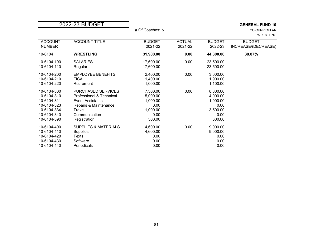|                | 2022-23 BUDGET                  |                 |               |               | <b>GENERAL FUND 10</b> |
|----------------|---------------------------------|-----------------|---------------|---------------|------------------------|
|                |                                 | # Of Coaches: 5 |               |               | <b>CO-CURRICULAR</b>   |
|                |                                 |                 |               |               | <b>WRESTLING</b>       |
| <b>ACCOUNT</b> | <b>ACCOUNT TITLE</b>            | <b>BUDGET</b>   | <b>ACTUAL</b> | <b>BUDGET</b> | <b>BUDGET</b>          |
| <b>NUMBER</b>  |                                 | 2021-22         | 2021-22       | 2022-23       | INCREASE/(DECREASE)    |
| 10-6104        | <b>WRESTLING</b>                | 31,900.00       | 0.00          | 44,300.00     | 38.87%                 |
| 10-6104-100    | <b>SALARIES</b>                 | 17,600.00       | 0.00          | 23,500.00     |                        |
| 10-6104-110    | Regular                         | 17,600.00       |               | 23,500.00     |                        |
| 10-6104-200    | <b>EMPLOYEE BENEFITS</b>        | 2,400.00        | 0.00          | 3,000.00      |                        |
| 10-6104-210    | <b>FICA</b>                     | 1,400.00        |               | 1,900.00      |                        |
| 10-6104-220    | Retirement                      | 1,000.00        |               | 1,100.00      |                        |
| 10-6104-300    | PURCHASED SERVICES              | 7,300.00        | 0.00          | 8,800.00      |                        |
| 10-6104-310    | Professional & Technical        | 5,000.00        |               | 4,000.00      |                        |
| 10-6104-311    | <b>Event Assistants</b>         | 1,000.00        |               | 1,000.00      |                        |
| 10-6104-323    | Repairs & Maintenance           | 0.00            |               | 0.00          |                        |
| 10-6104-334    | Travel                          | 1,000.00        |               | 3,500.00      |                        |
| 10-6104-340    | Communication                   | 0.00            |               | 0.00          |                        |
| 10-6104-390    | Registration                    | 300.00          |               | 300.00        |                        |
| 10-6104-400    | <b>SUPPLIES &amp; MATERIALS</b> | 4,600.00        | 0.00          | 9,000.00      |                        |
| 10-6104-410    | Supplies                        | 4,600.00        |               | 9,000.00      |                        |
| 10-6104-420    | Texts                           | 0.00            |               | 0.00          |                        |
| 10-6104-430    | Software                        | 0.00            |               | 0.00          |                        |
| 10-6104-440    | Periodicals                     | 0.00            |               | 0.00          |                        |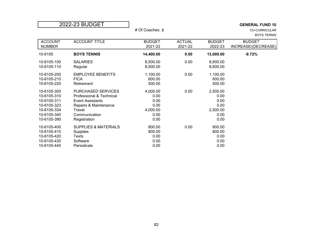| 2022-23 BUDGET |                                 |                 | <b>GENERAL FUND 10</b> |               |                      |
|----------------|---------------------------------|-----------------|------------------------|---------------|----------------------|
|                |                                 | # Of Coaches: 2 |                        |               | <b>CO-CURRICULAR</b> |
|                |                                 |                 |                        |               | <b>BOYS TENNIS</b>   |
| <b>ACCOUNT</b> | <b>ACCOUNT TITLE</b>            | <b>BUDGET</b>   | <b>ACTUAL</b>          | <b>BUDGET</b> | <b>BUDGET</b>        |
| <b>NUMBER</b>  |                                 | 2021-22         | 2021-22                | 2022-23       | INCREASE/(DECREASE)  |
| 10-6105        | <b>BOYS TENNIS</b>              | 14,400.00       | 0.00                   | 13,000.00     | $-9.72%$             |
| 10-6105-100    | <b>SALARIES</b>                 | 8,500.00        | 0.00                   | 8,600.00      |                      |
| 10-6105-110    | Regular                         | 8,500.00        |                        | 8,600.00      |                      |
| 10-6105-200    | <b>EMPLOYEE BENEFITS</b>        | 1,100.00        | 0.00                   | 1,100.00      |                      |
| 10-6105-210    | <b>FICA</b>                     | 600.00          |                        | 600.00        |                      |
| 10-6105-220    | Retirement                      | 500.00          |                        | 500.00        |                      |
| 10-6105-300    | PURCHASED SERVICES              | 4,000.00        | 0.00                   | 2,500.00      |                      |
| 10-6105-310    | Professional & Technical        | 0.00            |                        | 0.00          |                      |
| 10-6105-311    | <b>Event Assistants</b>         | 0.00            |                        | 0.00          |                      |
| 10-6105-323    | Repairs & Maintenance           | 0.00            |                        | 0.00          |                      |
| 10-6105-334    | Travel                          | 4,000.00        |                        | 2,500.00      |                      |
| 10-6105-340    | Communication                   | 0.00            |                        | 0.00          |                      |
| 10-6105-390    | Registration                    | 0.00            |                        | 0.00          |                      |
| 10-6105-400    | <b>SUPPLIES &amp; MATERIALS</b> | 800.00          | 0.00                   | 800.00        |                      |
| 10-6105-410    | Supplies                        | 800.00          |                        | 800.00        |                      |
| 10-6105-420    | Texts                           | 0.00            |                        | 0.00          |                      |
| 10-6105-430    | Software                        | 0.00            |                        | 0.00          |                      |
| 10-6105-440    | Periodicals                     | 0.00            |                        | 0.00          |                      |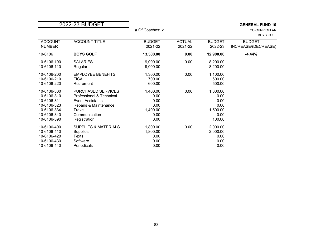| 2022-23 BUDGET |                                 |                 | <b>GENERAL FUND 10</b> |               |                      |
|----------------|---------------------------------|-----------------|------------------------|---------------|----------------------|
|                |                                 | # Of Coaches: 2 |                        |               | <b>CO-CURRICULAR</b> |
|                |                                 |                 |                        |               | <b>BOYS GOLF</b>     |
| <b>ACCOUNT</b> | <b>ACCOUNT TITLE</b>            | <b>BUDGET</b>   | <b>ACTUAL</b>          | <b>BUDGET</b> | <b>BUDGET</b>        |
| <b>NUMBER</b>  |                                 | 2021-22         | 2021-22                | 2022-23       | INCREASE/(DECREASE)  |
| 10-6106        | <b>BOYS GOLF</b>                | 13,500.00       | 0.00                   | 12,900.00     | $-4.44%$             |
| 10-6106-100    | <b>SALARIES</b>                 | 9,000.00        | 0.00                   | 8,200.00      |                      |
| 10-6106-110    | Regular                         | 9,000.00        |                        | 8,200.00      |                      |
| 10-6106-200    | <b>EMPLOYEE BENEFITS</b>        | 1,300.00        | 0.00                   | 1,100.00      |                      |
| 10-6106-210    | <b>FICA</b>                     | 700.00          |                        | 600.00        |                      |
| 10-6106-220    | Retirement                      | 600.00          |                        | 500.00        |                      |
| 10-6106-300    | PURCHASED SERVICES              | 1,400.00        | 0.00                   | 1,600.00      |                      |
| 10-6106-310    | Professional & Technical        | 0.00            |                        | 0.00          |                      |
| 10-6106-311    | <b>Event Assistants</b>         | 0.00            |                        | 0.00          |                      |
| 10-6106-323    | Repairs & Maintenance           | 0.00            |                        | 0.00          |                      |
| 10-6106-334    | Travel                          | 1,400.00        |                        | 1,500.00      |                      |
| 10-6106-340    | Communication                   | 0.00            |                        | 0.00          |                      |
| 10-6106-390    | Registration                    | 0.00            |                        | 100.00        |                      |
| 10-6106-400    | <b>SUPPLIES &amp; MATERIALS</b> | 1,800.00        | 0.00                   | 2,000.00      |                      |
| 10-6106-410    | Supplies                        | 1,800.00        |                        | 2,000.00      |                      |
| 10-6106-420    | Texts                           | 0.00            |                        | 0.00          |                      |
| 10-6106-430    | Software                        | 0.00            |                        | 0.00          |                      |
| 10-6106-440    | Periodicals                     | 0.00            |                        | 0.00          |                      |

г

83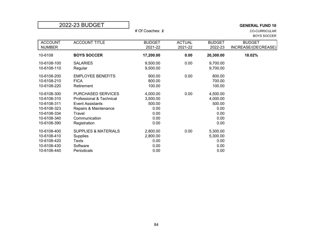|                | 2022-23 BUDGET                  |                 |               |               | <b>GENERAL FUND 10</b> |
|----------------|---------------------------------|-----------------|---------------|---------------|------------------------|
|                |                                 | # Of Coaches: 2 |               |               | <b>CO-CURRICULAR</b>   |
|                |                                 |                 |               |               | <b>BOYS SOCCER</b>     |
| <b>ACCOUNT</b> | <b>ACCOUNT TITLE</b>            | <b>BUDGET</b>   | <b>ACTUAL</b> | <b>BUDGET</b> | <b>BUDGET</b>          |
| <b>NUMBER</b>  |                                 | 2021-22         | 2021-22       | 2022-23       | INCREASE/(DECREASE)    |
| 10-6108        | <b>BOYS SOCCER</b>              | 17,200.00       | 0.00          | 20,300.00     | 18.02%                 |
| 10-6108-100    | <b>SALARIES</b>                 | 9,500.00        | 0.00          | 9,700.00      |                        |
| 10-6108-110    | Regular                         | 9,500.00        |               | 9,700.00      |                        |
| 10-6108-200    | <b>EMPLOYEE BENEFITS</b>        | 900.00          | 0.00          | 800.00        |                        |
| 10-6108-210    | <b>FICA</b>                     | 800.00          |               | 700.00        |                        |
| 10-6108-220    | Retirement                      | 100.00          |               | 100.00        |                        |
| 10-6108-300    | <b>PURCHASED SERVICES</b>       | 4,000.00        | 0.00          | 4,500.00      |                        |
| 10-6108-310    | Professional & Technical        | 3,500.00        |               | 4,000.00      |                        |
| 10-6108-311    | <b>Event Assistants</b>         | 500.00          |               | 500.00        |                        |
| 10-6108-323    | Repairs & Maintenance           | 0.00            |               | 0.00          |                        |
| 10-6108-334    | Travel                          | 0.00            |               | 0.00          |                        |
| 10-6108-340    | Communication                   | 0.00            |               | 0.00          |                        |
| 10-6108-390    | Registration                    | 0.00            |               | 0.00          |                        |
| 10-6108-400    | <b>SUPPLIES &amp; MATERIALS</b> | 2,800.00        | 0.00          | 5,300.00      |                        |
| 10-6108-410    | <b>Supplies</b>                 | 2,800.00        |               | 5,300.00      |                        |
| 10-6108-420    | Texts                           | 0.00            |               | 0.00          |                        |
| 10-6108-430    | Software                        | 0.00            |               | 0.00          |                        |
| 10-6106-440    | Periodicals                     | 0.00            |               | 0.00          |                        |

### 84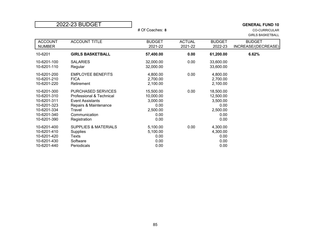| 2022-23 BUDGET                                                                                        |                                                                                                                                                      |                                                                        |                          |                                                                        | <b>GENERAL FUND 10</b>                          |
|-------------------------------------------------------------------------------------------------------|------------------------------------------------------------------------------------------------------------------------------------------------------|------------------------------------------------------------------------|--------------------------|------------------------------------------------------------------------|-------------------------------------------------|
|                                                                                                       |                                                                                                                                                      | # Of Coaches: 8                                                        |                          |                                                                        | <b>CO-CURRICULAR</b><br><b>GIRLS BASKETBALL</b> |
| <b>ACCOUNT</b><br><b>NUMBER</b>                                                                       | <b>ACCOUNT TITLE</b>                                                                                                                                 | <b>BUDGET</b><br>2021-22                                               | <b>ACTUAL</b><br>2021-22 | <b>BUDGET</b><br>2022-23                                               | <b>BUDGET</b><br>INCREASE/(DECREASE)            |
| 10-6201                                                                                               | <b>GIRLS BASKETBALL</b>                                                                                                                              | 57,400.00                                                              | 0.00                     | 61,200.00                                                              | 6.62%                                           |
| 10-6201-100<br>10-6201-110                                                                            | <b>SALARIES</b><br>Regular                                                                                                                           | 32,000.00<br>32,000.00                                                 | 0.00                     | 33,600.00<br>33,600.00                                                 |                                                 |
| 10-6201-200<br>10-6201-210<br>10-6201-220                                                             | <b>EMPLOYEE BENEFITS</b><br><b>FICA</b><br>Retirement                                                                                                | 4,800.00<br>2,700.00<br>2,100.00                                       | 0.00                     | 4,800.00<br>2,700.00<br>2,100.00                                       |                                                 |
| 10-6201-300<br>10-6201-310<br>10-6201-311<br>10-6201-323<br>10-6201-334<br>10-6201-340<br>10-6201-390 | <b>PURCHASED SERVICES</b><br>Professional & Technical<br><b>Event Assistants</b><br>Repairs & Maintenance<br>Travel<br>Communication<br>Registration | 15,500.00<br>10,000.00<br>3,000.00<br>0.00<br>2,500.00<br>0.00<br>0.00 | 0.00                     | 18,500.00<br>12,500.00<br>3,500.00<br>0.00<br>2,500.00<br>0.00<br>0.00 |                                                 |
| 10-6201-400<br>10-6201-410<br>10-6201-420<br>10-6201-430<br>10-6201-440                               | <b>SUPPLIES &amp; MATERIALS</b><br>Supplies<br>Texts<br>Software<br>Periodicals                                                                      | 5,100.00<br>5,100.00<br>0.00<br>0.00<br>0.00                           | 0.00                     | 4,300.00<br>4,300.00<br>0.00<br>0.00<br>0.00                           |                                                 |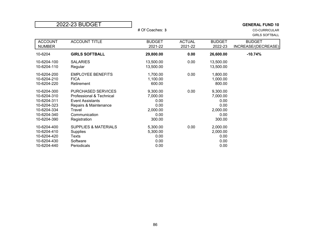| 2022-23 BUDGET                                                                                        |                                                                                                                                               |                                                                    |                          |                                                                    | <b>GENERAL FUND 10</b>                        |
|-------------------------------------------------------------------------------------------------------|-----------------------------------------------------------------------------------------------------------------------------------------------|--------------------------------------------------------------------|--------------------------|--------------------------------------------------------------------|-----------------------------------------------|
|                                                                                                       |                                                                                                                                               | # Of Coaches: 3                                                    |                          |                                                                    | <b>CO-CURRICULAR</b><br><b>GIRLS SOFTBALL</b> |
| <b>ACCOUNT</b><br><b>NUMBER</b>                                                                       | <b>ACCOUNT TITLE</b>                                                                                                                          | <b>BUDGET</b><br>2021-22                                           | <b>ACTUAL</b><br>2021-22 | <b>BUDGET</b><br>2022-23                                           | <b>BUDGET</b><br>INCREASE/(DECREASE)          |
| 10-6204                                                                                               | <b>GIRLS SOFTBALL</b>                                                                                                                         | 29,800.00                                                          | 0.00                     | 26,600.00                                                          | $-10.74%$                                     |
| 10-6204-100<br>10-6204-110                                                                            | <b>SALARIES</b><br>Regular                                                                                                                    | 13,500.00<br>13,500.00                                             | 0.00                     | 13,500.00<br>13,500.00                                             |                                               |
| 10-6204-200<br>10-6204-210<br>10-6204-220                                                             | <b>EMPLOYEE BENEFITS</b><br><b>FICA</b><br>Retirement                                                                                         | 1,700.00<br>1,100.00<br>600.00                                     | 0.00                     | 1,800.00<br>1,000.00<br>800.00                                     |                                               |
| 10-6204-300<br>10-6204-310<br>10-6204-311<br>10-6204-323<br>10-6204-334<br>10-6204-340<br>10-6204-390 | PURCHASED SERVICES<br>Professional & Technical<br><b>Event Assistants</b><br>Repairs & Maintenance<br>Travel<br>Communication<br>Registration | 9,300.00<br>7,000.00<br>0.00<br>0.00<br>2,000.00<br>0.00<br>300.00 | 0.00                     | 9,300.00<br>7,000.00<br>0.00<br>0.00<br>2,000.00<br>0.00<br>300.00 |                                               |
| 10-6204-400<br>10-6204-410<br>10-6204-420<br>10-6204-430<br>10-6204-440                               | <b>SUPPLIES &amp; MATERIALS</b><br>Supplies<br>Texts<br>Software<br>Periodicals                                                               | 5,300.00<br>5,300.00<br>0.00<br>0.00<br>0.00                       | 0.00                     | 2,000.00<br>2,000.00<br>0.00<br>0.00<br>0.00                       |                                               |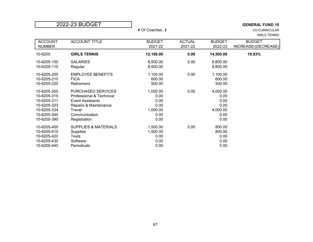|                                                                                                       | 2022-23 BUDGET                                                                                                                                | # Of Coaches: 2                                              |                          |                                                              | <b>GENERAL FUND 10</b><br><b>CO-CURRICULAR</b><br><b>GIRLS TENNIS</b> |
|-------------------------------------------------------------------------------------------------------|-----------------------------------------------------------------------------------------------------------------------------------------------|--------------------------------------------------------------|--------------------------|--------------------------------------------------------------|-----------------------------------------------------------------------|
| <b>ACCOUNT</b><br><b>NUMBER</b>                                                                       | <b>ACCOUNT TITLE</b>                                                                                                                          | <b>BUDGET</b><br>2021-22                                     | <b>ACTUAL</b><br>2021-22 | <b>BUDGET</b><br>2022-23                                     | <b>BUDGET</b><br>INCREASE/(DECREASE)                                  |
| 10-6205                                                                                               | <b>GIRLS TENNIS</b>                                                                                                                           | 12,100.00                                                    | 0.00                     | 14,500.00                                                    | 19.83%                                                                |
| 10-6205-100<br>10-6205-110                                                                            | <b>SALARIES</b><br>Regular                                                                                                                    | 8,500.00<br>8,500.00                                         | 0.00                     | 8,600.00<br>8,600.00                                         |                                                                       |
| 10-6205-200<br>10-6205-210<br>10-6205-220                                                             | <b>EMPLOYEE BENEFITS</b><br><b>FICA</b><br>Retirement                                                                                         | 1,100.00<br>600.00<br>500.00                                 | 0.00                     | 1,100.00<br>600.00<br>500.00                                 |                                                                       |
| 10-6205-300<br>10-6205-310<br>10-6205-311<br>10-6205-323<br>10-6205-334<br>10-6205-340<br>10-6205-390 | PURCHASED SERVICES<br>Professional & Technical<br><b>Event Assistants</b><br>Repairs & Maintenance<br>Travel<br>Communication<br>Registration | 1,000.00<br>0.00<br>0.00<br>0.00<br>1,000.00<br>0.00<br>0.00 | 0.00                     | 4,000.00<br>0.00<br>0.00<br>0.00<br>4,000.00<br>0.00<br>0.00 |                                                                       |
| 10-6205-400<br>10-6205-410<br>10-6205-420<br>10-6205-430<br>10-6205-440                               | <b>SUPPLIES &amp; MATERIALS</b><br>Supplies<br>Texts<br>Software<br>Periodicals                                                               | 1,500.00<br>1,500.00<br>0.00<br>0.00<br>0.00                 | 0.00                     | 800.00<br>800.00<br>0.00<br>0.00<br>0.00                     |                                                                       |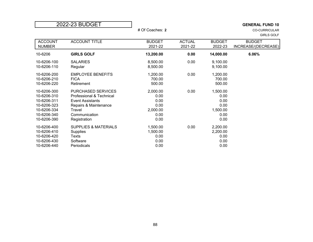| 2022-23 BUDGET                                                                                        |                                                                                                                                               |                                                              |                          |                                                              | <b>GENERAL FUND 10</b>                    |
|-------------------------------------------------------------------------------------------------------|-----------------------------------------------------------------------------------------------------------------------------------------------|--------------------------------------------------------------|--------------------------|--------------------------------------------------------------|-------------------------------------------|
|                                                                                                       |                                                                                                                                               | # Of Coaches: 2                                              |                          |                                                              | <b>CO-CURRICULAR</b><br><b>GIRLS GOLF</b> |
| <b>ACCOUNT</b><br><b>NUMBER</b>                                                                       | <b>ACCOUNT TITLE</b>                                                                                                                          | <b>BUDGET</b><br>2021-22                                     | <b>ACTUAL</b><br>2021-22 | <b>BUDGET</b><br>2022-23                                     | <b>BUDGET</b><br>INCREASE/(DECREASE)      |
| 10-6206                                                                                               | <b>GIRLS GOLF</b>                                                                                                                             | 13,200.00                                                    | 0.00                     | 14,000.00                                                    | 6.06%                                     |
| 10-6206-100<br>10-6206-110                                                                            | <b>SALARIES</b><br>Regular                                                                                                                    | 8,500.00<br>8,500.00                                         | 0.00                     | 9,100.00<br>9,100.00                                         |                                           |
| 10-6206-200<br>10-6206-210<br>10-6206-220                                                             | <b>EMPLOYEE BENEFITS</b><br><b>FICA</b><br>Retirement                                                                                         | 1,200.00<br>700.00<br>500.00                                 | 0.00                     | 1,200.00<br>700.00<br>500.00                                 |                                           |
| 10-6206-300<br>10-6206-310<br>10-6206-311<br>10-6206-323<br>10-6206-334<br>10-6206-340<br>10-6206-390 | PURCHASED SERVICES<br>Professional & Technical<br><b>Event Assistants</b><br>Repairs & Maintenance<br>Travel<br>Communication<br>Registration | 2,000.00<br>0.00<br>0.00<br>0.00<br>2,000.00<br>0.00<br>0.00 | 0.00                     | 1,500.00<br>0.00<br>0.00<br>0.00<br>1,500.00<br>0.00<br>0.00 |                                           |
| 10-6206-400<br>10-6206-410<br>10-6206-420<br>10-6206-430<br>10-6206-440                               | <b>SUPPLIES &amp; MATERIALS</b><br>Supplies<br>Texts<br>Software<br>Periodicals                                                               | 1,500.00<br>1,500.00<br>0.00<br>0.00<br>0.00                 | 0.00                     | 2,200.00<br>2,200.00<br>0.00<br>0.00<br>0.00                 |                                           |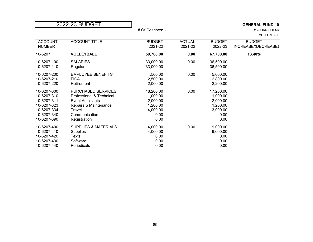|                                                                                                       | 2022-23 BUDGET                                                                                                                                | # Of Coaches: 9                                                            |                          |                                                                            | <b>GENERAL FUND 10</b><br><b>CO-CURRICULAR</b><br>VOLLEYBALL |
|-------------------------------------------------------------------------------------------------------|-----------------------------------------------------------------------------------------------------------------------------------------------|----------------------------------------------------------------------------|--------------------------|----------------------------------------------------------------------------|--------------------------------------------------------------|
| <b>ACCOUNT</b><br><b>NUMBER</b>                                                                       | <b>ACCOUNT TITLE</b>                                                                                                                          | <b>BUDGET</b><br>2021-22                                                   | <b>ACTUAL</b><br>2021-22 | <b>BUDGET</b><br>2022-23                                                   | <b>BUDGET</b><br>INCREASE/(DECREASE)                         |
| 10-6207                                                                                               | <b>VOLLEYBALL</b>                                                                                                                             | 59,700.00                                                                  | 0.00                     | 67,700.00                                                                  | 13.40%                                                       |
| 10-6207-100<br>10-6207-110                                                                            | <b>SALARIES</b><br>Regular                                                                                                                    | 33,000.00<br>33,000.00                                                     | 0.00                     | 36,500.00<br>36,500.00                                                     |                                                              |
| 10-6207-200<br>10-6207-210<br>10-6207-220                                                             | <b>EMPLOYEE BENEFITS</b><br><b>FICA</b><br>Retirement                                                                                         | 4,500.00<br>2,500.00<br>2,000.00                                           | 0.00                     | 5,000.00<br>2,800.00<br>2,200.00                                           |                                                              |
| 10-6207-300<br>10-6207-310<br>10-6207-311<br>10-6207-323<br>10-6207-334<br>10-6207-340<br>10-6207-390 | PURCHASED SERVICES<br>Professional & Technical<br><b>Event Assistants</b><br>Repairs & Maintenance<br>Travel<br>Communication<br>Registration | 18,200.00<br>11,000.00<br>2,000.00<br>1,200.00<br>4,000.00<br>0.00<br>0.00 | 0.00                     | 17,200.00<br>11,000.00<br>2,000.00<br>1,200.00<br>3,000.00<br>0.00<br>0.00 |                                                              |
| 10-6207-400<br>10-6207-410<br>10-6207-420<br>10-6207-430<br>10-6207-440                               | <b>SUPPLIES &amp; MATERIALS</b><br><b>Supplies</b><br>Texts<br>Software<br>Periodicals                                                        | 4,000.00<br>4,000.00<br>0.00<br>0.00<br>0.00                               | 0.00                     | 9,000.00<br>9,000.00<br>0.00<br>0.00<br>0.00                               |                                                              |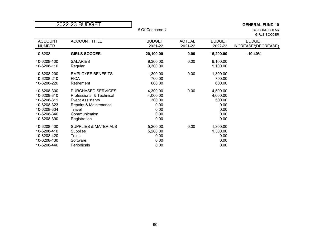|                                                                                                       | 2022-23 BUDGET                                                                                                                                       | # Of Coaches: 2                                                |                          |                                                                | <b>GENERAL FUND 10</b><br><b>CO-CURRICULAR</b><br><b>GIRLS SOCCER</b> |
|-------------------------------------------------------------------------------------------------------|------------------------------------------------------------------------------------------------------------------------------------------------------|----------------------------------------------------------------|--------------------------|----------------------------------------------------------------|-----------------------------------------------------------------------|
| <b>ACCOUNT</b><br><b>NUMBER</b>                                                                       | <b>ACCOUNT TITLE</b>                                                                                                                                 | <b>BUDGET</b><br>2021-22                                       | <b>ACTUAL</b><br>2021-22 | <b>BUDGET</b><br>2022-23                                       | <b>BUDGET</b><br>INCREASE/(DECREASE)                                  |
| 10-6208                                                                                               | <b>GIRLS SOCCER</b>                                                                                                                                  | 20,100.00                                                      | 0.00                     | 16,200.00                                                      | $-19.40%$                                                             |
| 10-6208-100<br>10-6208-110                                                                            | <b>SALARIES</b><br>Regular                                                                                                                           | 9,300.00<br>9,300.00                                           | 0.00                     | 9,100.00<br>9,100.00                                           |                                                                       |
| 10-6208-200<br>10-6208-210<br>10-6208-220                                                             | <b>EMPLOYEE BENEFITS</b><br><b>FICA</b><br>Retirement                                                                                                | 1,300.00<br>700.00<br>600.00                                   | 0.00                     | 1,300.00<br>700.00<br>600.00                                   |                                                                       |
| 10-6208-300<br>10-6208-310<br>10-6208-311<br>10-6208-323<br>10-6208-334<br>10-6208-340<br>10-6208-390 | <b>PURCHASED SERVICES</b><br>Professional & Technical<br><b>Event Assistants</b><br>Repairs & Maintenance<br>Travel<br>Communication<br>Registration | 4,300.00<br>4,000.00<br>300.00<br>0.00<br>0.00<br>0.00<br>0.00 | 0.00                     | 4,500.00<br>4,000.00<br>500.00<br>0.00<br>0.00<br>0.00<br>0.00 |                                                                       |
| 10-6208-400<br>10-6208-410<br>10-6208-420<br>10-6208-430<br>10-6208-440                               | <b>SUPPLIES &amp; MATERIALS</b><br><b>Supplies</b><br>Texts<br>Software<br>Periodicals                                                               | 5,200.00<br>5,200.00<br>0.00<br>0.00<br>0.00                   | 0.00                     | 1,300.00<br>1,300.00<br>0.00<br>0.00<br>0.00                   |                                                                       |

### 90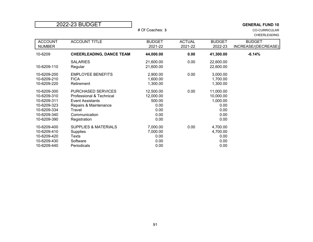|                                                                                                       | 2022-23 BUDGET                                                                                                                                | # Of Coaches: 3                                                  |                          |                                                                    | <b>GENERAL FUND 10</b><br><b>CO-CURRICULAR</b><br><b>CHEERLEADING</b> |
|-------------------------------------------------------------------------------------------------------|-----------------------------------------------------------------------------------------------------------------------------------------------|------------------------------------------------------------------|--------------------------|--------------------------------------------------------------------|-----------------------------------------------------------------------|
| <b>ACCOUNT</b><br><b>NUMBER</b>                                                                       | <b>ACCOUNT TITLE</b>                                                                                                                          | <b>BUDGET</b><br>2021-22                                         | <b>ACTUAL</b><br>2021-22 | <b>BUDGET</b><br>2022-23                                           | <b>BUDGET</b><br>INCREASE/(DECREASE)                                  |
| 10-6209                                                                                               | <b>CHEERLEADING, DANCE TEAM</b>                                                                                                               | 44,000.00                                                        | 0.00                     | 41,300.00                                                          | $-6.14%$                                                              |
| 10-6209-110                                                                                           | <b>SALARIES</b><br>Regular                                                                                                                    | 21,600.00<br>21,600.00                                           | 0.00                     | 22,600.00<br>22,600.00                                             |                                                                       |
| 10-6209-200<br>10-6209-210<br>10-6209-220                                                             | <b>EMPLOYEE BENEFITS</b><br><b>FICA</b><br>Retirement                                                                                         | 2,900.00<br>1,600.00<br>1,300.00                                 | 0.00                     | 3,000.00<br>1,700.00<br>1,300.00                                   |                                                                       |
| 10-6209-300<br>10-6209-310<br>10-6209-311<br>10-6209-323<br>10-6209-334<br>10-6209-340<br>10-6209-390 | PURCHASED SERVICES<br>Professional & Technical<br><b>Event Assistants</b><br>Repairs & Maintenance<br>Travel<br>Communication<br>Registration | 12,500.00<br>12,000.00<br>500.00<br>0.00<br>0.00<br>0.00<br>0.00 | 0.00                     | 11,000.00<br>10,000.00<br>1,000.00<br>0.00<br>0.00<br>0.00<br>0.00 |                                                                       |
| 10-6209-400<br>10-6209-410<br>10-6209-420<br>10-6209-430<br>10-6209-440                               | <b>SUPPLIES &amp; MATERIALS</b><br>Supplies<br>Texts<br>Software<br>Periodicals                                                               | 7,000.00<br>7,000.00<br>0.00<br>0.00<br>0.00                     | 0.00                     | 4,700.00<br>4,700.00<br>0.00<br>0.00<br>0.00                       |                                                                       |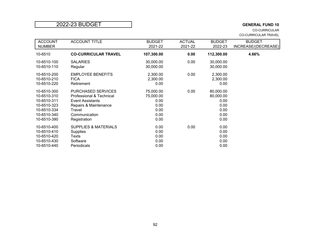## 2022-23 BUDGET **GENERAL FUND 10**

CO-CURRICULAR CO-CURRICULAR TRAVEL

| <b>ACCOUNT</b>                                                                                        | <b>ACCOUNT TITLE</b>                                                                                                                                 | <b>BUDGET</b>                                                  | <b>ACTUAL</b> | <b>BUDGET</b>                                                  | <b>BUDGET</b>       |
|-------------------------------------------------------------------------------------------------------|------------------------------------------------------------------------------------------------------------------------------------------------------|----------------------------------------------------------------|---------------|----------------------------------------------------------------|---------------------|
| <b>NUMBER</b>                                                                                         |                                                                                                                                                      | 2021-22                                                        | 2021-22       | 2022-23                                                        | INCREASE/(DECREASE) |
| 10-6510                                                                                               | <b>CO-CURRICULAR TRAVEL</b>                                                                                                                          | 107,300.00                                                     | 0.00          | 112,300.00                                                     | 4.66%               |
| 10-6510-100<br>10-6510-110                                                                            | <b>SALARIES</b><br>Regular                                                                                                                           | 30,000.00<br>30,000.00                                         | 0.00          | 30,000.00<br>30,000.00                                         |                     |
| 10-6510-200<br>10-6510-210<br>10-6510-220                                                             | <b>EMPLOYEE BENEFITS</b><br><b>FICA</b><br>Retirement                                                                                                | 2,300.00<br>2,300.00<br>0.00                                   | 0.00          | 2,300.00<br>2,300.00<br>0.00                                   |                     |
| 10-6510-300<br>10-6510-310<br>10-6510-311<br>10-6510-323<br>10-6510-334<br>10-6510-340<br>10-6510-390 | <b>PURCHASED SERVICES</b><br>Professional & Technical<br><b>Event Assistants</b><br>Repairs & Maintenance<br>Travel<br>Communication<br>Registration | 75,000.00<br>75,000.00<br>0.00<br>0.00<br>0.00<br>0.00<br>0.00 | 0.00          | 80,000.00<br>80,000.00<br>0.00<br>0.00<br>0.00<br>0.00<br>0.00 |                     |
| 10-6510-400<br>10-6510-410<br>10-6510-420<br>10-6510-430<br>10-6510-440                               | <b>SUPPLIES &amp; MATERIALS</b><br><b>Supplies</b><br>Texts<br>Software<br>Periodicals                                                               | 0.00<br>0.00<br>0.00<br>0.00<br>0.00                           | 0.00          | 0.00<br>0.00<br>0.00<br>0.00<br>0.00                           |                     |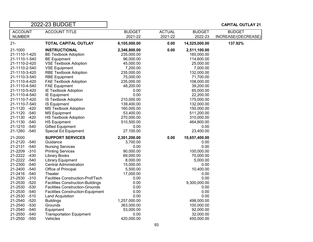| 2022-23 BUDGET                                       |                                          |               |               |               | <b>CAPITAL OUTLAY 21</b> |
|------------------------------------------------------|------------------------------------------|---------------|---------------|---------------|--------------------------|
| <b>ACCOUNT</b><br><b>ACCOUNT TITLE</b>               |                                          | <b>BUDGET</b> | <b>ACTUAL</b> | <b>BUDGET</b> | <b>BUDGET</b>            |
| <b>NUMBER</b>                                        |                                          | 2021-22       | 2021-22       | 2022-23       | INCREASE/(DECREASE)      |
| $21 -$<br><b>TOTAL CAPITAL OUTLAY</b>                |                                          | 6,105,000.00  | 0.00          | 14,525,000.00 | 137.92%                  |
| 21-1000<br><b>INSTRUCTIONAL</b>                      |                                          | 2,346,800.00  | 0.00          | 2,511,100.00  |                          |
| 21-1110-1-420<br><b>BE Textbook Adoption</b>         |                                          | 235,000.00    |               | 160,000.00    |                          |
| 21-1110-1-540<br><b>BE Equipment</b>                 |                                          | 96,000.00     |               | 114,600.00    |                          |
| 21-1110-2-420<br><b>VSE Textbook Adoption</b>        |                                          | 45,000.00     |               | 25,000.00     |                          |
| 21-1110-2-540<br><b>VSE Equipment</b>                |                                          | 7,200.00      |               | 7,000.00      |                          |
| 21-1110-3-420<br><b>RBE Textbook Adoption</b>        |                                          | 235,000.00    |               | 132,000.00    |                          |
| 21-1110-3-540<br><b>RBE Equipment</b>                |                                          | 75,000.00     |               | 71,700.00     |                          |
| 21-1110-4-420<br><b>FAE Textbook Adoption</b>        |                                          | 235,000.00    |               | 108,000.00    |                          |
| 21-1110-4-540<br><b>FAE Equipment</b>                |                                          | 48,200.00     |               | 39,200.00     |                          |
| 21-1110-5-420<br><b>IE Textbook Adoption</b>         |                                          | 0.00          |               | 65,000.00     |                          |
| 21-1110-4-540<br>IE Equipment                        |                                          | 0.00          |               | 22,200.00     |                          |
| 21-1110-7-420<br><b>IS Textbook Adoption</b>         |                                          | 210,000.00    |               | 175,000.00    |                          |
| 21-1110-7-540<br><b>IS Equipment</b>                 |                                          | 139,400.00    |               | 132,000.00    |                          |
| 21-1120 -420<br><b>MS Textbook Adoption</b>          |                                          | 160,000.00    |               | 150,000.00    |                          |
| 21-1120 -540<br><b>MS Equipment</b>                  |                                          | 53,400.00     |               | 511,200.00    |                          |
| 21-1130 -420<br><b>HS Textbook Adoption</b>          |                                          | 270,000.00    |               | 310,000.00    |                          |
| 21-1130 -540<br><b>HS Equipment</b>                  |                                          | 510,500.00    |               | 464,800.00    |                          |
| 21-1210 -540<br><b>Gifted Equipment</b>              |                                          | 0.00          |               | 0.00          |                          |
| 21-1260 -540<br>Special Ed Equipment                 |                                          | 27,100.00     |               | 23,400.00     |                          |
| 21-2000<br><b>SUPPORT SERVICES</b>                   |                                          | 2,301,200.00  | 0.00          | 10,657,400.00 |                          |
| 21-2120 -540<br>Guidance                             |                                          | 3,700.00      |               | 0.00          |                          |
| 21-2131<br>$-540$<br><b>Nursing Services</b>         |                                          | 0.00          |               | 0.00          |                          |
| 21-2209 -310<br><b>Printing Services</b>             |                                          | 90,000.00     |               | 100,000.00    |                          |
| 21-2222 -430<br><b>Library Books</b>                 |                                          | 69,000.00     |               | 70,000.00     |                          |
| 21-2222 -540<br><b>Library Equipment</b>             |                                          | 8,000.00      |               | 5,000.00      |                          |
| 21-2300 -540<br><b>Central Administration</b>        |                                          | 15,000.00     |               | 0.00          |                          |
| 21-2400 -540<br>Office of Principal                  |                                          | 5,500.00      |               | 10,400.00     |                          |
| 21-2416 -540<br>Theater                              |                                          | 17,000.00     |               | 0.00          |                          |
| 21-2530 -310                                         | Facilities Construction-Prof/Tech        | 0.00          |               | 0.00          |                          |
| 21-2530 -520                                         | <b>Facilities Construction-Buildings</b> | 0.00          |               | 9,300,000.00  |                          |
| 21-2530 -530                                         | <b>Facilities Construction-Grounds</b>   | 0.00          |               | 0.00          |                          |
| $-540$<br>21-2530                                    | <b>Facilities Construction-Equipment</b> | 0.00          |               | 0.00          |                          |
| 21-2530 -510<br><b>Land Acquisition</b>              |                                          | 0.00          |               | 0.00          |                          |
| 21-2540 -520<br><b>Buildings</b>                     |                                          | 1,257,000.00  |               | 498,000.00    |                          |
| 21-2540<br>$-530$<br>Grounds                         |                                          | 363,000.00    |               | 100,000.00    |                          |
| 21-2540 -540<br>Equipment                            |                                          | 53,000.00     |               | 92,000.00     |                          |
| 21-2550<br>$-540$<br><b>Transportation Equipment</b> |                                          | 0.00          |               | 32,000.00     |                          |
| 21-2550 -550<br>Vehicles                             |                                          | 420,000.00    |               | 450,000.00    |                          |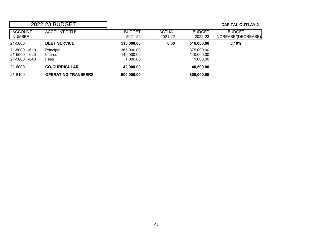# 2022-23 BUDGET **CAPITAL OUTLAY 21**

| <b>ACCOUNT</b>  | <b>ACCOUNT TITLE</b>       | <b>BUDGET</b> | <b>ACTUAL</b> | <b>BUDGET</b> | <b>BUDGET</b>       |
|-----------------|----------------------------|---------------|---------------|---------------|---------------------|
| NUMBER          |                            | 2021-22       | 2021-22       | 2022-23       | INCREASE/(DECREASE) |
| 21-5000         | <b>DEBT SERVICE</b>        | 515,000.00    | 0.00          | 516,000.00    | 0.19%               |
| 21-5000 -610    | Principal                  | 365,000.00    |               | 375,000.00    |                     |
| -620<br>21-5000 | Interest                   | 149,000.00    |               | 140,000.00    |                     |
| -640<br>21-5000 | Fees                       | 1,000.00      |               | 1.000.00      |                     |
| 21-6000         | <b>CO-CURRICULAR</b>       | 42,000.00     |               | 40,500.00     |                     |
| 21-8100         | <b>OPERATING TRANSFERS</b> | 900,000.00    |               | 800,000.00    |                     |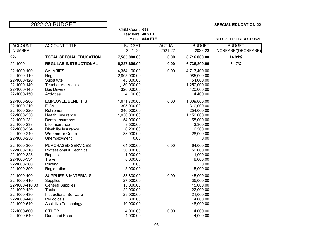## 2022-23 BUDGET **SPECIAL EDUCATION 22**

|                                                                                                                                     |                                                                                                                                                                            | SPECIAL ED INSTRUCTIONAL                                                                                           |                          |                                                                                                                    |                                      |
|-------------------------------------------------------------------------------------------------------------------------------------|----------------------------------------------------------------------------------------------------------------------------------------------------------------------------|--------------------------------------------------------------------------------------------------------------------|--------------------------|--------------------------------------------------------------------------------------------------------------------|--------------------------------------|
| <b>ACCOUNT</b><br><b>NUMBER</b>                                                                                                     | <b>ACCOUNT TITLE</b>                                                                                                                                                       | <b>BUDGET</b><br>2021-22                                                                                           | <b>ACTUAL</b><br>2021-22 | <b>BUDGET</b><br>2022-23                                                                                           | <b>BUDGET</b><br>INCREASE/(DECREASE) |
| $22 -$                                                                                                                              | <b>TOTAL SPECIAL EDUCATION</b>                                                                                                                                             | 7,585,000.00                                                                                                       | 0.00                     | 8,716,000.00                                                                                                       | 14.91%                               |
| 22-1000                                                                                                                             | <b>REGULAR INSTRUCTIONAL</b>                                                                                                                                               | 6,227,600.00                                                                                                       | 0.00                     | 6,736,200.00                                                                                                       | 8.17%                                |
| 22-1000-100<br>22-1000-110<br>22-1000-120<br>22-1000-140<br>22-1000-145<br>22-1000-150                                              | <b>SALARIES</b><br>Regular<br>Substitute<br><b>Teacher Assistants</b><br><b>Bus Drivers</b><br>Activities                                                                  | 4,354,100.00<br>2,805,000.00<br>45,000.00<br>1,180,000.00<br>320,000.00<br>4,100.00                                | 0.00                     | 4,713,400.00<br>2,985,000.00<br>54,000.00<br>1,250,000.00<br>420,000.00<br>4,400.00                                |                                      |
| 22-1000-200<br>22-1000-210<br>22-1000-220<br>22-1000-230<br>22-1000-231<br>22-1000-233<br>22-1000-234<br>22-1000-240<br>22-1000-250 | <b>EMPLOYEE BENEFITS</b><br><b>FICA</b><br>Retirement<br>Health Insurance<br>Dental Insurance<br>Life Insurance<br>Disability Insurance<br>Workmen's Comp.<br>Unemployment | 1,671,700.00<br>305,000.00<br>240,000.00<br>1,030,000.00<br>54,000.00<br>3,500.00<br>6,200.00<br>33,000.00<br>0.00 | 0.00                     | 1,809,800.00<br>310,000.00<br>254,000.00<br>1,150,000.00<br>58,000.00<br>3,300.00<br>6,500.00<br>28,000.00<br>0.00 |                                      |
| 22-1000-300<br>22-1000-310<br>22-1000-323<br>22-1000-334<br>22-1000-360<br>22-1000-390                                              | <b>PURCHASED SERVICES</b><br>Professional & Technical<br>Repairs<br>Travel<br>Printing<br>Registration                                                                     | 64,000.00<br>50,000.00<br>1,000.00<br>8,000.00<br>0.00<br>5,000.00                                                 | 0.00                     | 64,000.00<br>50,000.00<br>1,000.00<br>8,000.00<br>0.00<br>5,000.00                                                 |                                      |
| 22-1000-400<br>22-1000-410<br>22-1000-410.03<br>22-1000-420<br>22-1000-430<br>22-1000-440<br>22-1000-540                            | <b>SUPPLIES &amp; MATERIALS</b><br><b>Supplies</b><br><b>General Supplies</b><br><b>Texts</b><br><b>Instructional Software</b><br>Periodicals<br>Assistive Technology      | 133,800.00<br>27,000.00<br>15,000.00<br>22,000.00<br>29,000.00<br>800.00<br>40,000.00                              | 0.00                     | 145,000.00<br>35,000.00<br>15,000.00<br>22,000.00<br>21,000.00<br>4,000.00<br>48,000.00                            |                                      |
| 22-1000-600<br>22-1000-640                                                                                                          | <b>OTHER</b><br>Dues and Fees                                                                                                                                              | 4,000.00<br>4,000.00                                                                                               | 0.00                     | 4,000.00<br>4,000.00                                                                                               |                                      |

Child Count: **698**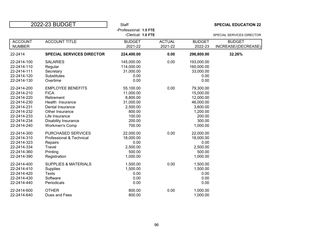| 2022-23 BUDGET |                                  | Staff                                        |               |               | <b>SPECIAL EDUCATION 22</b> |
|----------------|----------------------------------|----------------------------------------------|---------------|---------------|-----------------------------|
|                |                                  | -Professional: 1.5 FTE<br>-Clerical: 1.0 FTE |               |               | SPECIAL SERVICES DIRECTOR   |
| <b>ACCOUNT</b> | <b>ACCOUNT TITLE</b>             | <b>BUDGET</b>                                | <b>ACTUAL</b> | <b>BUDGET</b> | <b>BUDGET</b>               |
| <b>NUMBER</b>  |                                  | 2021-22                                      | 2021-22       | 2022-23       | INCREASE/(DECREASE)         |
| 22-2414        | <b>SPECIAL SERVICES DIRECTOR</b> | 224,400.00                                   | 0.00          | 296,800.00    | 32.26%                      |
| 22-2414-100    | <b>SALARIES</b>                  | 145,000.00                                   | 0.00          | 193,000.00    |                             |
| 22-2414-110    | Regular                          | 114,000.00                                   |               | 160,000.00    |                             |
| 22-2414-111    | Secretary                        | 31,000.00                                    |               | 33,000.00     |                             |
| 22-2414-120    | <b>Substitutes</b>               | 0.00                                         |               | 0.00          |                             |
| 22-2414-130    | Overtime                         | 0.00                                         |               | 0.00          |                             |
| 22-2414-200    | <b>EMPLOYEE BENEFITS</b>         | 55,100.00                                    | 0.00          | 79,300.00     |                             |
| 22-2414-210    | <b>FICA</b>                      | 11,000.00                                    |               | 15,000.00     |                             |
| 22-2414-220    | Retirement                       | 8,800.00                                     |               | 12,000.00     |                             |
| 22-2414-230    | Health Insurance                 | 31,000.00                                    |               | 46,000.00     |                             |
| 22-2414-231    | Dental Insurance                 | 2,500.00                                     |               | 3,600.00      |                             |
| 22-2414-232    | Other Insurance                  | 800.00                                       |               | 1,200.00      |                             |
| 22-2414-233    | Life Insurance                   | 100.00                                       |               | 200.00        |                             |
| 22-2414-234    | Disability Insurance             | 200.00                                       |               | 300.00        |                             |
| 22-2414-240    | <b>Workmen's Comp</b>            | 700.00                                       |               | 1,000.00      |                             |
| 22-2414-300    | PURCHASED SERVICES               | 22,000.00                                    | 0.00          | 22,000.00     |                             |
| 22-2414-310    | Professional & Technical         | 18,000.00                                    |               | 18,000.00     |                             |
| 22-2414-323    | Repairs                          | 0.00                                         |               | 0.00          |                             |
| 22-2414-334    | Travel                           | 2,500.00                                     |               | 2,500.00      |                             |
| 22-2414-360    | Printing                         | 500.00                                       |               | 500.00        |                             |
| 22-2414-390    | Registration                     | 1,000.00                                     |               | 1,000.00      |                             |
| 22-2414-400    | <b>SUPPLIES &amp; MATERIALS</b>  | 1,500.00                                     | 0.00          | 1,500.00      |                             |
| 22-2414-410    | Supplies                         | 1,500.00                                     |               | 1,500.00      |                             |
| 22-2414-420    | <b>Texts</b>                     | 0.00                                         |               | 0.00          |                             |
| 22-2414-430    | Software                         | 0.00                                         |               | 0.00          |                             |
| 22-2414-440    | Periodicals                      | 0.00                                         |               | 0.00          |                             |
| 22-2414-600    | <b>OTHER</b>                     | 800.00                                       | 0.00          | 1,000.00      |                             |
| 22-2414-640    | Dues and Fees                    | 800.00                                       |               | 1,000.00      |                             |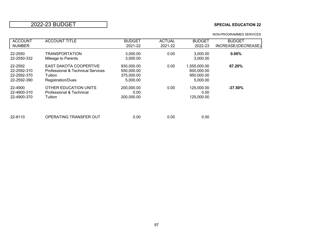## 2022-23 BUDGET **SPECIAL EDUCATION 22**

| <b>ACCOUNT</b> | <b>ACCOUNT TITLE</b>              | <b>BUDGET</b> | <b>ACTUAL</b> | <b>BUDGET</b> | <b>BUDGET</b>       |
|----------------|-----------------------------------|---------------|---------------|---------------|---------------------|
| <b>NUMBER</b>  |                                   | 2021-22       | 2021-22       | 2022-23       | INCREASE/(DECREASE) |
| 22-2550        | <b>TRANSPORTATION</b>             | 3,000.00      | 0.00          | 3,000.00      | $0.00\%$            |
| 22-2550-332    | Mileage to Parents                | 3,000.00      |               | 3,000.00      |                     |
| 22-2592        | <b>EAST DAKOTA COOPERTIVE</b>     | 930,000.00    | 0.00          | 1,555,000.00  | 67.20%              |
| 22-2592-310    | Professional & Technical Services | 550,000.00    |               | 600,000.00    |                     |
| 22-2592-370    | Tuition                           | 375,000.00    |               | 950,000.00    |                     |
| 22-2592-390    | Registration/Dues                 | 5,000.00      |               | 5,000.00      |                     |
| 22-4900        | OTHER EDUCATION UNITS             | 200,000.00    | 0.00          | 125,000.00    | $-37.50\%$          |
| 22-4900-310    | Professional & Technical          | 0.00          |               | 0.00          |                     |
| 22-4900-370    | Tuition                           | 200,000.00    |               | 125,000.00    |                     |
|                |                                   |               |               |               |                     |
| 22-8110        | OPERATING TRANSFER OUT            | 0.00          | 0.00          | 0.00          |                     |

NON-PROGRAMMED SERVICES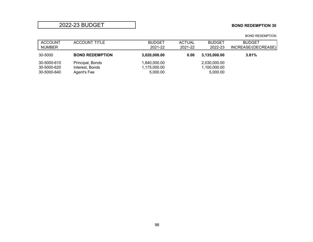### **2022-23 BUDGET BOND REDEMPTION 30**

### ACCOUNT ACCOUNT TITLE BUDGET ACTUAL BUDGET BUDGET<br>
NUMBER<br>
2021-22 2021-22 2021-22 2022-23 INCREASE/(DEC INCREASE/(DECREASE) 30-5000 **BOND REDEMPTION 3,020,000.00 0.00 3,135,000.00 3.81%** 30-5000-610 Principal, Bonds 1,840,000.00 2,030,000.00 2,030,000.00 1,100,000.00 contract to the extra 1,100,000<br>30-5000-620 Interest, Bonds 1,175,000.00 1,175,000.00 30-5000-620 Interest, Bonds 1,175,000.00 1,100,000.00 1,100,000.00<br>30-5000-640 Agent's Fee 5,000.00 5,000.00 5,000.00 Agent's Fee